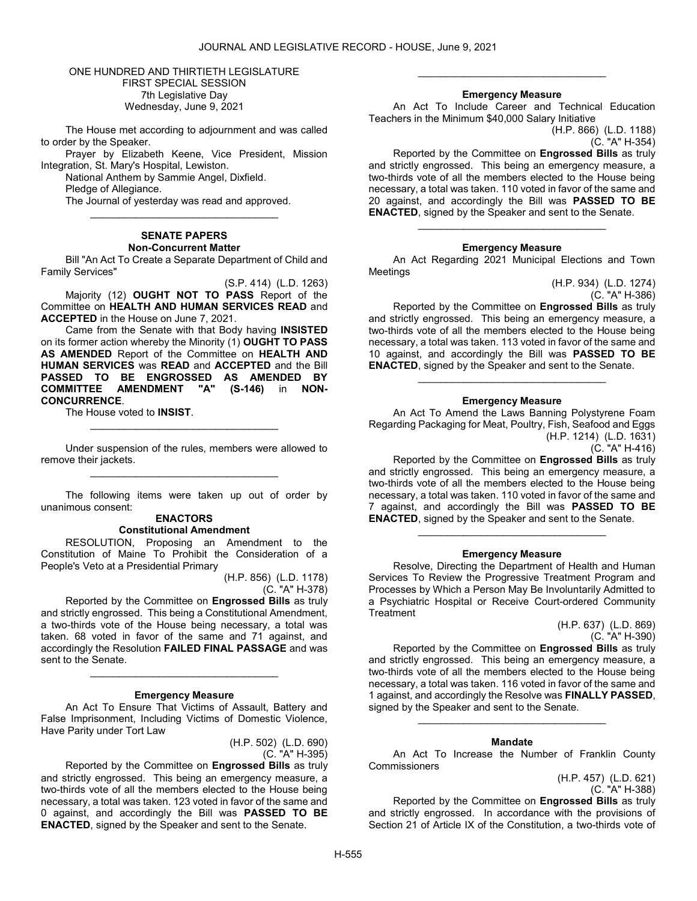## ONE HUNDRED AND THIRTIETH LEGISLATURE FIRST SPECIAL SESSION 7th Legislative Day Wednesday, June 9, 2021

 The House met according to adjournment and was called to order by the Speaker.

 Prayer by Elizabeth Keene, Vice President, Mission Integration, St. Mary's Hospital, Lewiston.

National Anthem by Sammie Angel, Dixfield.

Pledge of Allegiance.

 The Journal of yesterday was read and approved. \_\_\_\_\_\_\_\_\_\_\_\_\_\_\_\_\_\_\_\_\_\_\_\_\_\_\_\_\_\_\_\_\_

### SENATE PAPERS Non-Concurrent Matter

 Bill "An Act To Create a Separate Department of Child and Family Services"

(S.P. 414) (L.D. 1263) Majority (12) OUGHT NOT TO PASS Report of the Committee on HEALTH AND HUMAN SERVICES READ and ACCEPTED in the House on June 7, 2021.

 Came from the Senate with that Body having INSISTED on its former action whereby the Minority (1) OUGHT TO PASS AS AMENDED Report of the Committee on HEALTH AND HUMAN SERVICES was READ and ACCEPTED and the Bill PASSED TO BE ENGROSSED AS AMENDED BY<br>COMMITTEE AMENDMENT "A" (S-146) in NON-COMMITTEE AMENDMENT "A" (S-146) in NON-CONCURRENCE.

The House voted to INSIST.

 Under suspension of the rules, members were allowed to remove their jackets. \_\_\_\_\_\_\_\_\_\_\_\_\_\_\_\_\_\_\_\_\_\_\_\_\_\_\_\_\_\_\_\_\_

\_\_\_\_\_\_\_\_\_\_\_\_\_\_\_\_\_\_\_\_\_\_\_\_\_\_\_\_\_\_\_\_\_

 The following items were taken up out of order by unanimous consent:

# ENACTORS

# Constitutional Amendment

 RESOLUTION, Proposing an Amendment to the Constitution of Maine To Prohibit the Consideration of a People's Veto at a Presidential Primary

> (H.P. 856) (L.D. 1178) (C. "A" H-378)

 Reported by the Committee on Engrossed Bills as truly and strictly engrossed. This being a Constitutional Amendment, a two-thirds vote of the House being necessary, a total was taken. 68 voted in favor of the same and 71 against, and accordingly the Resolution FAILED FINAL PASSAGE and was sent to the Senate.

#### Emergency Measure

\_\_\_\_\_\_\_\_\_\_\_\_\_\_\_\_\_\_\_\_\_\_\_\_\_\_\_\_\_\_\_\_\_

 An Act To Ensure That Victims of Assault, Battery and False Imprisonment, Including Victims of Domestic Violence, Have Parity under Tort Law

> (H.P. 502) (L.D. 690) (C. "A" H-395)

 Reported by the Committee on Engrossed Bills as truly and strictly engrossed. This being an emergency measure, a two-thirds vote of all the members elected to the House being necessary, a total was taken. 123 voted in favor of the same and 0 against, and accordingly the Bill was PASSED TO BE ENACTED, signed by the Speaker and sent to the Senate.

#### Emergency Measure

\_\_\_\_\_\_\_\_\_\_\_\_\_\_\_\_\_\_\_\_\_\_\_\_\_\_\_\_\_\_\_\_\_

 An Act To Include Career and Technical Education Teachers in the Minimum \$40,000 Salary Initiative

(H.P. 866) (L.D. 1188) (C. "A" H-354)

 Reported by the Committee on Engrossed Bills as truly and strictly engrossed. This being an emergency measure, a two-thirds vote of all the members elected to the House being necessary, a total was taken. 110 voted in favor of the same and 20 against, and accordingly the Bill was PASSED TO BE ENACTED, signed by the Speaker and sent to the Senate.

### Emergency Measure

\_\_\_\_\_\_\_\_\_\_\_\_\_\_\_\_\_\_\_\_\_\_\_\_\_\_\_\_\_\_\_\_\_

 An Act Regarding 2021 Municipal Elections and Town Meetings

> (H.P. 934) (L.D. 1274) (C. "A" H-386)

 Reported by the Committee on Engrossed Bills as truly and strictly engrossed. This being an emergency measure, a two-thirds vote of all the members elected to the House being necessary, a total was taken. 113 voted in favor of the same and 10 against, and accordingly the Bill was PASSED TO BE ENACTED, signed by the Speaker and sent to the Senate.

### Emergency Measure

\_\_\_\_\_\_\_\_\_\_\_\_\_\_\_\_\_\_\_\_\_\_\_\_\_\_\_\_\_\_\_\_\_

 An Act To Amend the Laws Banning Polystyrene Foam Regarding Packaging for Meat, Poultry, Fish, Seafood and Eggs (H.P. 1214) (L.D. 1631)

(C. "A" H-416)

 Reported by the Committee on Engrossed Bills as truly and strictly engrossed. This being an emergency measure, a two-thirds vote of all the members elected to the House being necessary, a total was taken. 110 voted in favor of the same and 7 against, and accordingly the Bill was PASSED TO BE ENACTED, signed by the Speaker and sent to the Senate.

### Emergency Measure

\_\_\_\_\_\_\_\_\_\_\_\_\_\_\_\_\_\_\_\_\_\_\_\_\_\_\_\_\_\_\_\_\_

 Resolve, Directing the Department of Health and Human Services To Review the Progressive Treatment Program and Processes by Which a Person May Be Involuntarily Admitted to a Psychiatric Hospital or Receive Court-ordered Community **Treatment** 

(H.P. 637) (L.D. 869) (C. "A" H-390)

 Reported by the Committee on Engrossed Bills as truly and strictly engrossed. This being an emergency measure, a two-thirds vote of all the members elected to the House being necessary, a total was taken. 116 voted in favor of the same and 1 against, and accordingly the Resolve was FINALLY PASSED, signed by the Speaker and sent to the Senate.

### Mandate

\_\_\_\_\_\_\_\_\_\_\_\_\_\_\_\_\_\_\_\_\_\_\_\_\_\_\_\_\_\_\_\_\_

 An Act To Increase the Number of Franklin County **Commissioners** 

(H.P. 457) (L.D. 621) (C. "A" H-388)

 Reported by the Committee on Engrossed Bills as truly and strictly engrossed. In accordance with the provisions of Section 21 of Article IX of the Constitution, a two-thirds vote of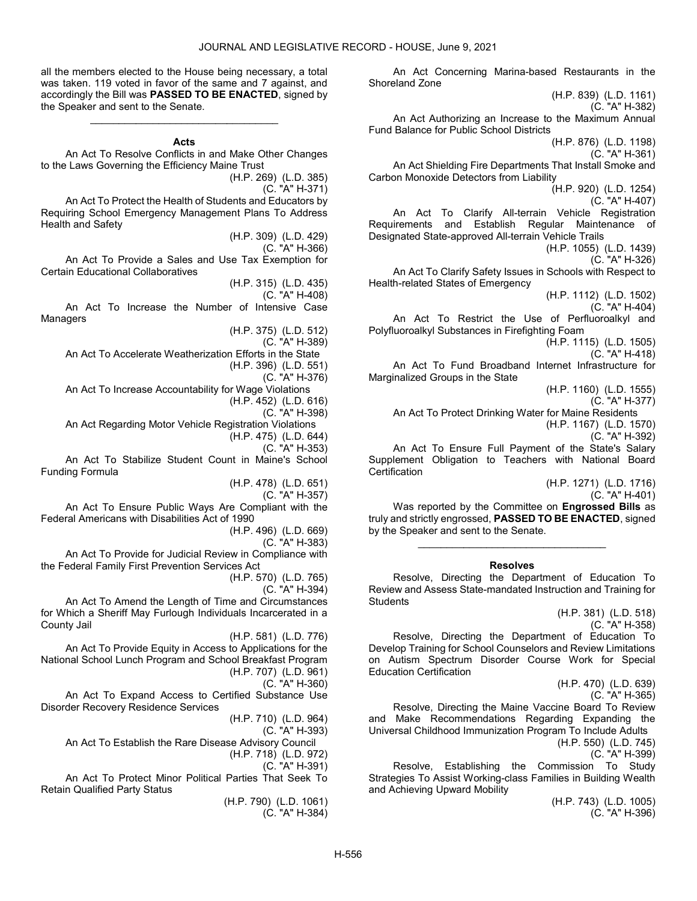all the members elected to the House being necessary, a total was taken. 119 voted in favor of the same and 7 against, and accordingly the Bill was PASSED TO BE ENACTED, signed by the Speaker and sent to the Senate.

#### **Acts**

\_\_\_\_\_\_\_\_\_\_\_\_\_\_\_\_\_\_\_\_\_\_\_\_\_\_\_\_\_\_\_\_\_

 An Act To Resolve Conflicts in and Make Other Changes to the Laws Governing the Efficiency Maine Trust

(H.P. 269) (L.D. 385)

(C. "A" H-371)

 An Act To Protect the Health of Students and Educators by Requiring School Emergency Management Plans To Address Health and Safety

> (H.P. 309) (L.D. 429) (C. "A" H-366)

 An Act To Provide a Sales and Use Tax Exemption for Certain Educational Collaboratives

(H.P. 315) (L.D. 435)

(C. "A" H-408)

 An Act To Increase the Number of Intensive Case Managers

(H.P. 375) (L.D. 512)

(C. "A" H-389)

An Act To Accelerate Weatherization Efforts in the State

(H.P. 396) (L.D. 551) (C. "A" H-376)

An Act To Increase Accountability for Wage Violations

(H.P. 452) (L.D. 616)

(C. "A" H-398)

An Act Regarding Motor Vehicle Registration Violations

(H.P. 475) (L.D. 644) (C. "A" H-353)

 An Act To Stabilize Student Count in Maine's School Funding Formula

(H.P. 478) (L.D. 651)

(C. "A" H-357)

 An Act To Ensure Public Ways Are Compliant with the Federal Americans with Disabilities Act of 1990

(H.P. 496) (L.D. 669)

(C. "A" H-383)

 An Act To Provide for Judicial Review in Compliance with the Federal Family First Prevention Services Act

(H.P. 570) (L.D. 765)

(C. "A" H-394)

 An Act To Amend the Length of Time and Circumstances for Which a Sheriff May Furlough Individuals Incarcerated in a County Jail

(H.P. 581) (L.D. 776) An Act To Provide Equity in Access to Applications for the National School Lunch Program and School Breakfast Program (H.P. 707) (L.D. 961)

(C. "A" H-360)

 An Act To Expand Access to Certified Substance Use Disorder Recovery Residence Services

(H.P. 710) (L.D. 964)

(C. "A" H-393)

 An Act To Establish the Rare Disease Advisory Council (H.P. 718) (L.D. 972)

(C. "A" H-391)

 An Act To Protect Minor Political Parties That Seek To Retain Qualified Party Status

> (H.P. 790) (L.D. 1061) (C. "A" H-384)

 An Act Concerning Marina-based Restaurants in the Shoreland Zone

(H.P. 839) (L.D. 1161) (C. "A" H-382) An Act Authorizing an Increase to the Maximum Annual Fund Balance for Public School Districts (H.P. 876) (L.D. 1198) (C. "A" H-361) An Act Shielding Fire Departments That Install Smoke and Carbon Monoxide Detectors from Liability (H.P. 920) (L.D. 1254) (C. "A" H-407) An Act To Clarify All-terrain Vehicle Registration Requirements and Establish Regular Maintenance of Designated State-approved All-terrain Vehicle Trails (H.P. 1055) (L.D. 1439) (C. "A" H-326) An Act To Clarify Safety Issues in Schools with Respect to Health-related States of Emergency (H.P. 1112) (L.D. 1502) (C. "A" H-404) An Act To Restrict the Use of Perfluoroalkyl and Polyfluoroalkyl Substances in Firefighting Foam (H.P. 1115) (L.D. 1505) (C. "A" H-418) An Act To Fund Broadband Internet Infrastructure for Marginalized Groups in the State (H.P. 1160) (L.D. 1555) (C. "A" H-377) An Act To Protect Drinking Water for Maine Residents (H.P. 1167) (L.D. 1570) (C. "A" H-392) An Act To Ensure Full Payment of the State's Salary Supplement Obligation to Teachers with National Board **Certification** 

> (H.P. 1271) (L.D. 1716) (C. "A" H-401)

 Was reported by the Committee on Engrossed Bills as truly and strictly engrossed, PASSED TO BE ENACTED, signed by the Speaker and sent to the Senate.

\_\_\_\_\_\_\_\_\_\_\_\_\_\_\_\_\_\_\_\_\_\_\_\_\_\_\_\_\_\_\_\_\_

# Resolves

 Resolve, Directing the Department of Education To Review and Assess State-mandated Instruction and Training for **Students** 

> (H.P. 381) (L.D. 518) (C. "A" H-358)

 Resolve, Directing the Department of Education To Develop Training for School Counselors and Review Limitations on Autism Spectrum Disorder Course Work for Special Education Certification

> (H.P. 470) (L.D. 639) (C. "A" H-365)

 Resolve, Directing the Maine Vaccine Board To Review and Make Recommendations Regarding Expanding the Universal Childhood Immunization Program To Include Adults (H.P. 550) (L.D. 745)

(C. "A" H-399)

 Resolve, Establishing the Commission To Study Strategies To Assist Working-class Families in Building Wealth and Achieving Upward Mobility

> (H.P. 743) (L.D. 1005) (C. "A" H-396)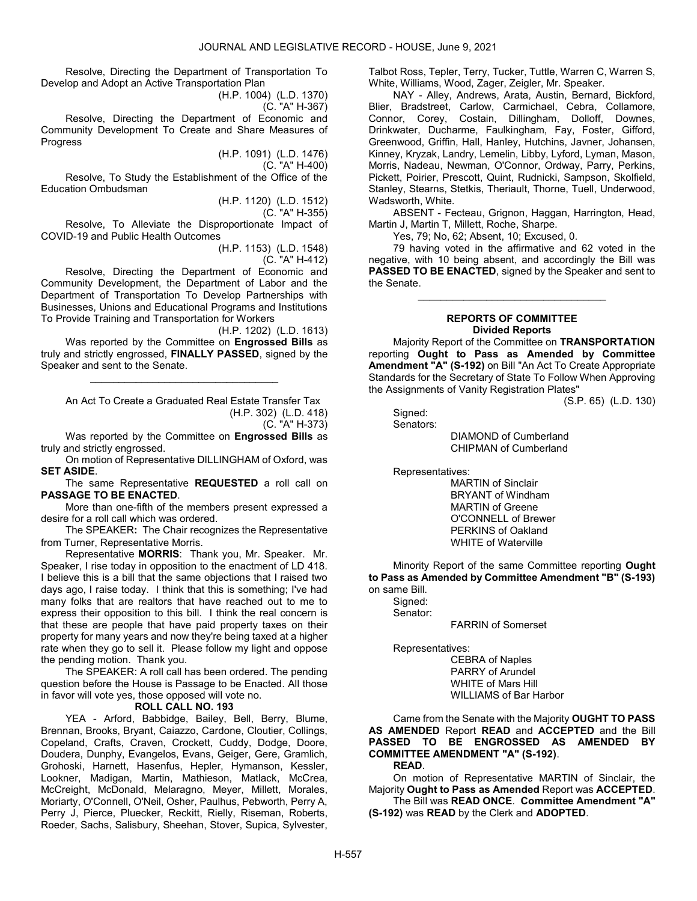Resolve, Directing the Department of Transportation To Develop and Adopt an Active Transportation Plan

(H.P. 1004) (L.D. 1370)

(C. "A" H-367)

 Resolve, Directing the Department of Economic and Community Development To Create and Share Measures of Progress

> (H.P. 1091) (L.D. 1476) (C. "A" H-400)

 Resolve, To Study the Establishment of the Office of the Education Ombudsman

(H.P. 1120) (L.D. 1512)

(C. "A" H-355)

 Resolve, To Alleviate the Disproportionate Impact of COVID-19 and Public Health Outcomes

(H.P. 1153) (L.D. 1548) (C. "A" H-412)

 Resolve, Directing the Department of Economic and Community Development, the Department of Labor and the Department of Transportation To Develop Partnerships with Businesses, Unions and Educational Programs and Institutions To Provide Training and Transportation for Workers

(H.P. 1202) (L.D. 1613) Was reported by the Committee on Engrossed Bills as truly and strictly engrossed, FINALLY PASSED, signed by the Speaker and sent to the Senate.

\_\_\_\_\_\_\_\_\_\_\_\_\_\_\_\_\_\_\_\_\_\_\_\_\_\_\_\_\_\_\_\_\_

 An Act To Create a Graduated Real Estate Transfer Tax (H.P. 302) (L.D. 418)

(C. "A" H-373)

Was reported by the Committee on Engrossed Bills as truly and strictly engrossed.

On motion of Representative DILLINGHAM of Oxford, was SET ASIDE.

The same Representative REQUESTED a roll call on PASSAGE TO BE ENACTED.

 More than one-fifth of the members present expressed a desire for a roll call which was ordered.

 The SPEAKER: The Chair recognizes the Representative from Turner, Representative Morris.

 Representative MORRIS: Thank you, Mr. Speaker. Mr. Speaker, I rise today in opposition to the enactment of LD 418. I believe this is a bill that the same objections that I raised two days ago, I raise today. I think that this is something; I've had many folks that are realtors that have reached out to me to express their opposition to this bill. I think the real concern is that these are people that have paid property taxes on their property for many years and now they're being taxed at a higher rate when they go to sell it. Please follow my light and oppose the pending motion. Thank you.

 The SPEAKER: A roll call has been ordered. The pending question before the House is Passage to be Enacted. All those in favor will vote yes, those opposed will vote no.

# ROLL CALL NO. 193

 YEA - Arford, Babbidge, Bailey, Bell, Berry, Blume, Brennan, Brooks, Bryant, Caiazzo, Cardone, Cloutier, Collings, Copeland, Crafts, Craven, Crockett, Cuddy, Dodge, Doore, Doudera, Dunphy, Evangelos, Evans, Geiger, Gere, Gramlich, Grohoski, Harnett, Hasenfus, Hepler, Hymanson, Kessler, Lookner, Madigan, Martin, Mathieson, Matlack, McCrea, McCreight, McDonald, Melaragno, Meyer, Millett, Morales, Moriarty, O'Connell, O'Neil, Osher, Paulhus, Pebworth, Perry A, Perry J, Pierce, Pluecker, Reckitt, Rielly, Riseman, Roberts, Roeder, Sachs, Salisbury, Sheehan, Stover, Supica, Sylvester, Talbot Ross, Tepler, Terry, Tucker, Tuttle, Warren C, Warren S, White, Williams, Wood, Zager, Zeigler, Mr. Speaker.

 NAY - Alley, Andrews, Arata, Austin, Bernard, Bickford, Blier, Bradstreet, Carlow, Carmichael, Cebra, Collamore, Connor, Corey, Costain, Dillingham, Dolloff, Downes, Drinkwater, Ducharme, Faulkingham, Fay, Foster, Gifford, Greenwood, Griffin, Hall, Hanley, Hutchins, Javner, Johansen, Kinney, Kryzak, Landry, Lemelin, Libby, Lyford, Lyman, Mason, Morris, Nadeau, Newman, O'Connor, Ordway, Parry, Perkins, Pickett, Poirier, Prescott, Quint, Rudnicki, Sampson, Skolfield, Stanley, Stearns, Stetkis, Theriault, Thorne, Tuell, Underwood, Wadsworth, White.

 ABSENT - Fecteau, Grignon, Haggan, Harrington, Head, Martin J, Martin T, Millett, Roche, Sharpe.

Yes, 79; No, 62; Absent, 10; Excused, 0.

 79 having voted in the affirmative and 62 voted in the negative, with 10 being absent, and accordingly the Bill was PASSED TO BE ENACTED, signed by the Speaker and sent to the Senate.

\_\_\_\_\_\_\_\_\_\_\_\_\_\_\_\_\_\_\_\_\_\_\_\_\_\_\_\_\_\_\_\_\_

# REPORTS OF COMMITTEE Divided Reports

 Majority Report of the Committee on TRANSPORTATION reporting Ought to Pass as Amended by Committee Amendment "A" (S-192) on Bill "An Act To Create Appropriate Standards for the Secretary of State To Follow When Approving the Assignments of Vanity Registration Plates"

(S.P. 65) (L.D. 130)

 Signed: Senators:

> DIAMOND of Cumberland CHIPMAN of Cumberland

Representatives:

 MARTIN of Sinclair BRYANT of Windham MARTIN of Greene O'CONNELL of Brewer PERKINS of Oakland WHITE of Waterville

 Minority Report of the same Committee reporting Ought to Pass as Amended by Committee Amendment "B" (S-193) on same Bill.

 Signed: Senator:

FARRIN of Somerset

Representatives:

 CEBRA of Naples PARRY of Arundel WHITE of Mars Hill WILLIAMS of Bar Harbor

 Came from the Senate with the Majority OUGHT TO PASS AS AMENDED Report READ and ACCEPTED and the Bill PASSED TO BE ENGROSSED AS AMENDED BY COMMITTEE AMENDMENT "A" (S-192).

READ.

 On motion of Representative MARTIN of Sinclair, the Majority Ought to Pass as Amended Report was ACCEPTED.

 The Bill was READ ONCE. Committee Amendment "A" (S-192) was READ by the Clerk and ADOPTED.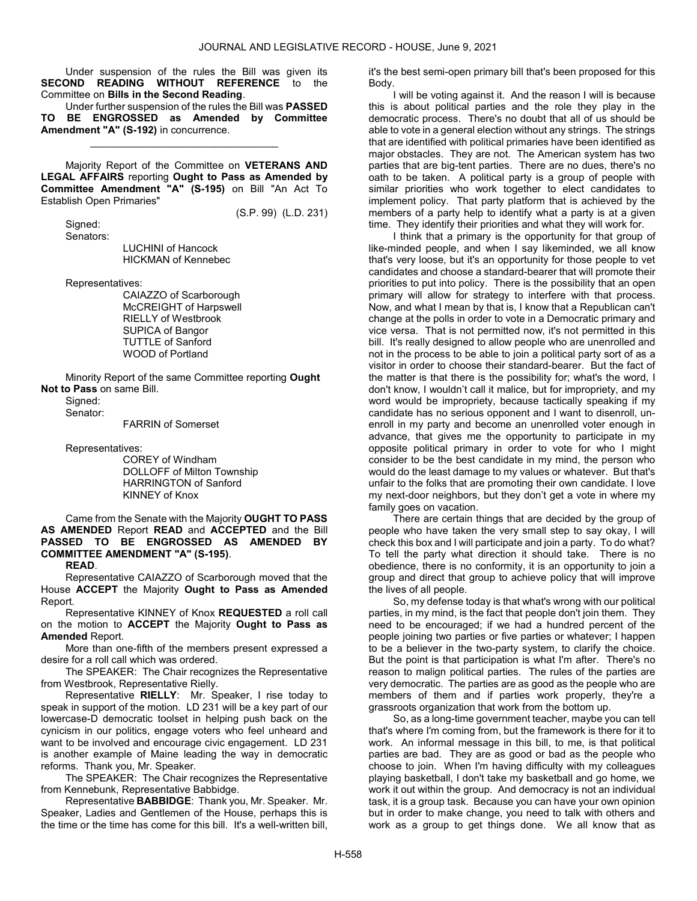Under suspension of the rules the Bill was given its SECOND READING WITHOUT REFERENCE to the Committee on Bills in the Second Reading.

 Under further suspension of the rules the Bill was PASSED TO BE ENGROSSED as Amended by Committee Amendment "A" (S-192) in concurrence.

\_\_\_\_\_\_\_\_\_\_\_\_\_\_\_\_\_\_\_\_\_\_\_\_\_\_\_\_\_\_\_\_\_

 Majority Report of the Committee on VETERANS AND LEGAL AFFAIRS reporting Ought to Pass as Amended by Committee Amendment "A" (S-195) on Bill "An Act To Establish Open Primaries"

(S.P. 99) (L.D. 231)

 Signed: Senators:

 LUCHINI of Hancock HICKMAN of Kennebec

Representatives:

 CAIAZZO of Scarborough McCREIGHT of Harpswell RIELLY of Westbrook SUPICA of Bangor TUTTLE of Sanford WOOD of Portland

 Minority Report of the same Committee reporting Ought Not to Pass on same Bill.

Signed:

Senator:

FARRIN of Somerset

Representatives:

 COREY of Windham DOLLOFF of Milton Township HARRINGTON of Sanford KINNEY of Knox

 Came from the Senate with the Majority OUGHT TO PASS AS AMENDED Report READ and ACCEPTED and the Bill PASSED TO BE ENGROSSED AS AMENDED BY COMMITTEE AMENDMENT "A" (S-195).

READ.

 Representative CAIAZZO of Scarborough moved that the House ACCEPT the Majority Ought to Pass as Amended Report.

 Representative KINNEY of Knox REQUESTED a roll call on the motion to ACCEPT the Majority Ought to Pass as Amended Report.

 More than one-fifth of the members present expressed a desire for a roll call which was ordered.

 The SPEAKER: The Chair recognizes the Representative from Westbrook, Representative Rielly.

 Representative RIELLY: Mr. Speaker, I rise today to speak in support of the motion. LD 231 will be a key part of our lowercase-D democratic toolset in helping push back on the cynicism in our politics, engage voters who feel unheard and want to be involved and encourage civic engagement. LD 231 is another example of Maine leading the way in democratic reforms. Thank you, Mr. Speaker.

 The SPEAKER: The Chair recognizes the Representative from Kennebunk, Representative Babbidge.

 Representative BABBIDGE: Thank you, Mr. Speaker. Mr. Speaker, Ladies and Gentlemen of the House, perhaps this is the time or the time has come for this bill. It's a well-written bill, it's the best semi-open primary bill that's been proposed for this Body.

 I will be voting against it. And the reason I will is because this is about political parties and the role they play in the democratic process. There's no doubt that all of us should be able to vote in a general election without any strings. The strings that are identified with political primaries have been identified as major obstacles. They are not. The American system has two parties that are big-tent parties. There are no dues, there's no oath to be taken. A political party is a group of people with similar priorities who work together to elect candidates to implement policy. That party platform that is achieved by the members of a party help to identify what a party is at a given time. They identify their priorities and what they will work for.

 I think that a primary is the opportunity for that group of like-minded people, and when I say likeminded, we all know that's very loose, but it's an opportunity for those people to vet candidates and choose a standard-bearer that will promote their priorities to put into policy. There is the possibility that an open primary will allow for strategy to interfere with that process. Now, and what I mean by that is, I know that a Republican can't change at the polls in order to vote in a Democratic primary and vice versa. That is not permitted now, it's not permitted in this bill. It's really designed to allow people who are unenrolled and not in the process to be able to join a political party sort of as a visitor in order to choose their standard-bearer. But the fact of the matter is that there is the possibility for; what's the word, I don't know, I wouldn't call it malice, but for impropriety, and my word would be impropriety, because tactically speaking if my candidate has no serious opponent and I want to disenroll, unenroll in my party and become an unenrolled voter enough in advance, that gives me the opportunity to participate in my opposite political primary in order to vote for who I might consider to be the best candidate in my mind, the person who would do the least damage to my values or whatever. But that's unfair to the folks that are promoting their own candidate. I love my next-door neighbors, but they don't get a vote in where my family goes on vacation.

 There are certain things that are decided by the group of people who have taken the very small step to say okay, I will check this box and I will participate and join a party. To do what? To tell the party what direction it should take. There is no obedience, there is no conformity, it is an opportunity to join a group and direct that group to achieve policy that will improve the lives of all people.

 So, my defense today is that what's wrong with our political parties, in my mind, is the fact that people don't join them. They need to be encouraged; if we had a hundred percent of the people joining two parties or five parties or whatever; I happen to be a believer in the two-party system, to clarify the choice. But the point is that participation is what I'm after. There's no reason to malign political parties. The rules of the parties are very democratic. The parties are as good as the people who are members of them and if parties work properly, they're a grassroots organization that work from the bottom up.

 So, as a long-time government teacher, maybe you can tell that's where I'm coming from, but the framework is there for it to work. An informal message in this bill, to me, is that political parties are bad. They are as good or bad as the people who choose to join. When I'm having difficulty with my colleagues playing basketball, I don't take my basketball and go home, we work it out within the group. And democracy is not an individual task, it is a group task. Because you can have your own opinion but in order to make change, you need to talk with others and work as a group to get things done. We all know that as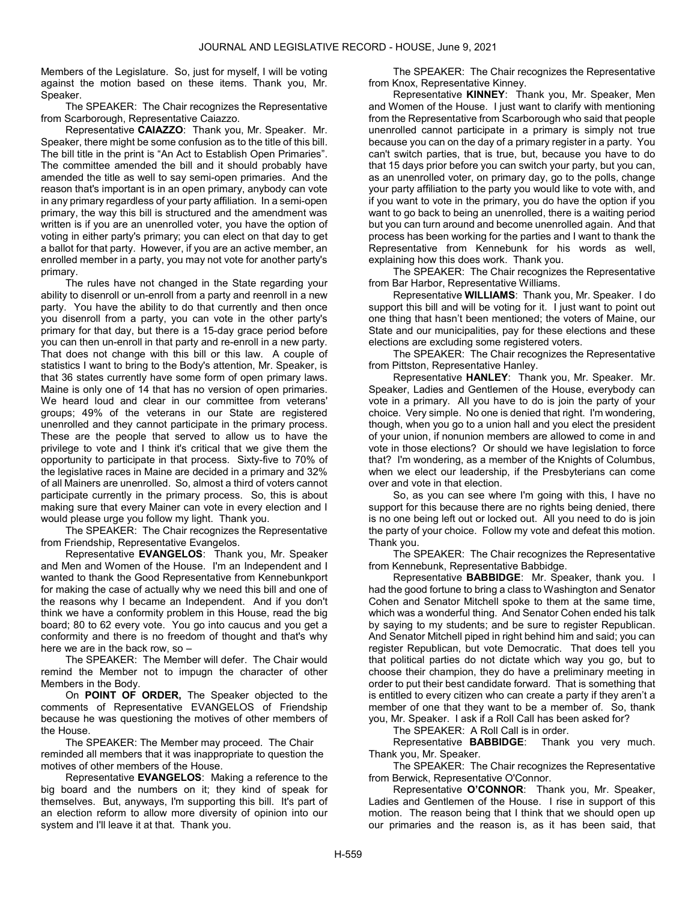Members of the Legislature. So, just for myself, I will be voting against the motion based on these items. Thank you, Mr. Speaker.

 The SPEAKER: The Chair recognizes the Representative from Scarborough, Representative Caiazzo.

 Representative CAIAZZO: Thank you, Mr. Speaker. Mr. Speaker, there might be some confusion as to the title of this bill. The bill title in the print is "An Act to Establish Open Primaries". The committee amended the bill and it should probably have amended the title as well to say semi-open primaries. And the reason that's important is in an open primary, anybody can vote in any primary regardless of your party affiliation. In a semi-open primary, the way this bill is structured and the amendment was written is if you are an unenrolled voter, you have the option of voting in either party's primary; you can elect on that day to get a ballot for that party. However, if you are an active member, an enrolled member in a party, you may not vote for another party's primary.

 The rules have not changed in the State regarding your ability to disenroll or un-enroll from a party and reenroll in a new party. You have the ability to do that currently and then once you disenroll from a party, you can vote in the other party's primary for that day, but there is a 15-day grace period before you can then un-enroll in that party and re-enroll in a new party. That does not change with this bill or this law. A couple of statistics I want to bring to the Body's attention, Mr. Speaker, is that 36 states currently have some form of open primary laws. Maine is only one of 14 that has no version of open primaries. We heard loud and clear in our committee from veterans' groups; 49% of the veterans in our State are registered unenrolled and they cannot participate in the primary process. These are the people that served to allow us to have the privilege to vote and I think it's critical that we give them the opportunity to participate in that process. Sixty-five to 70% of the legislative races in Maine are decided in a primary and 32% of all Mainers are unenrolled. So, almost a third of voters cannot participate currently in the primary process. So, this is about making sure that every Mainer can vote in every election and I would please urge you follow my light. Thank you.

 The SPEAKER: The Chair recognizes the Representative from Friendship, Representative Evangelos.

 Representative EVANGELOS: Thank you, Mr. Speaker and Men and Women of the House. I'm an Independent and I wanted to thank the Good Representative from Kennebunkport for making the case of actually why we need this bill and one of the reasons why I became an Independent. And if you don't think we have a conformity problem in this House, read the big board; 80 to 62 every vote. You go into caucus and you get a conformity and there is no freedom of thought and that's why here we are in the back row, so –

 The SPEAKER: The Member will defer. The Chair would remind the Member not to impugn the character of other Members in the Body.

On POINT OF ORDER, The Speaker objected to the comments of Representative EVANGELOS of Friendship because he was questioning the motives of other members of the House.

 The SPEAKER: The Member may proceed. The Chair reminded all members that it was inappropriate to question the motives of other members of the House.

 Representative EVANGELOS: Making a reference to the big board and the numbers on it; they kind of speak for themselves. But, anyways, I'm supporting this bill. It's part of an election reform to allow more diversity of opinion into our system and I'll leave it at that. Thank you.

 The SPEAKER: The Chair recognizes the Representative from Knox, Representative Kinney.

 Representative KINNEY: Thank you, Mr. Speaker, Men and Women of the House. I just want to clarify with mentioning from the Representative from Scarborough who said that people unenrolled cannot participate in a primary is simply not true because you can on the day of a primary register in a party. You can't switch parties, that is true, but, because you have to do that 15 days prior before you can switch your party, but you can, as an unenrolled voter, on primary day, go to the polls, change your party affiliation to the party you would like to vote with, and if you want to vote in the primary, you do have the option if you want to go back to being an unenrolled, there is a waiting period but you can turn around and become unenrolled again. And that process has been working for the parties and I want to thank the Representative from Kennebunk for his words as well, explaining how this does work. Thank you.

 The SPEAKER: The Chair recognizes the Representative from Bar Harbor, Representative Williams.

 Representative WILLIAMS: Thank you, Mr. Speaker. I do support this bill and will be voting for it. I just want to point out one thing that hasn't been mentioned; the voters of Maine, our State and our municipalities, pay for these elections and these elections are excluding some registered voters.

 The SPEAKER: The Chair recognizes the Representative from Pittston, Representative Hanley.

 Representative HANLEY: Thank you, Mr. Speaker. Mr. Speaker, Ladies and Gentlemen of the House, everybody can vote in a primary. All you have to do is join the party of your choice. Very simple. No one is denied that right. I'm wondering, though, when you go to a union hall and you elect the president of your union, if nonunion members are allowed to come in and vote in those elections? Or should we have legislation to force that? I'm wondering, as a member of the Knights of Columbus, when we elect our leadership, if the Presbyterians can come over and vote in that election.

 So, as you can see where I'm going with this, I have no support for this because there are no rights being denied, there is no one being left out or locked out. All you need to do is join the party of your choice. Follow my vote and defeat this motion. Thank you.

 The SPEAKER: The Chair recognizes the Representative from Kennebunk, Representative Babbidge.

 Representative BABBIDGE: Mr. Speaker, thank you. I had the good fortune to bring a class to Washington and Senator Cohen and Senator Mitchell spoke to them at the same time, which was a wonderful thing. And Senator Cohen ended his talk by saying to my students; and be sure to register Republican. And Senator Mitchell piped in right behind him and said; you can register Republican, but vote Democratic. That does tell you that political parties do not dictate which way you go, but to choose their champion, they do have a preliminary meeting in order to put their best candidate forward. That is something that is entitled to every citizen who can create a party if they aren't a member of one that they want to be a member of. So, thank you, Mr. Speaker. I ask if a Roll Call has been asked for?

The SPEAKER: A Roll Call is in order.

 Representative BABBIDGE: Thank you very much. Thank you, Mr. Speaker.

 The SPEAKER: The Chair recognizes the Representative from Berwick, Representative O'Connor.

 Representative O'CONNOR: Thank you, Mr. Speaker, Ladies and Gentlemen of the House. I rise in support of this motion. The reason being that I think that we should open up our primaries and the reason is, as it has been said, that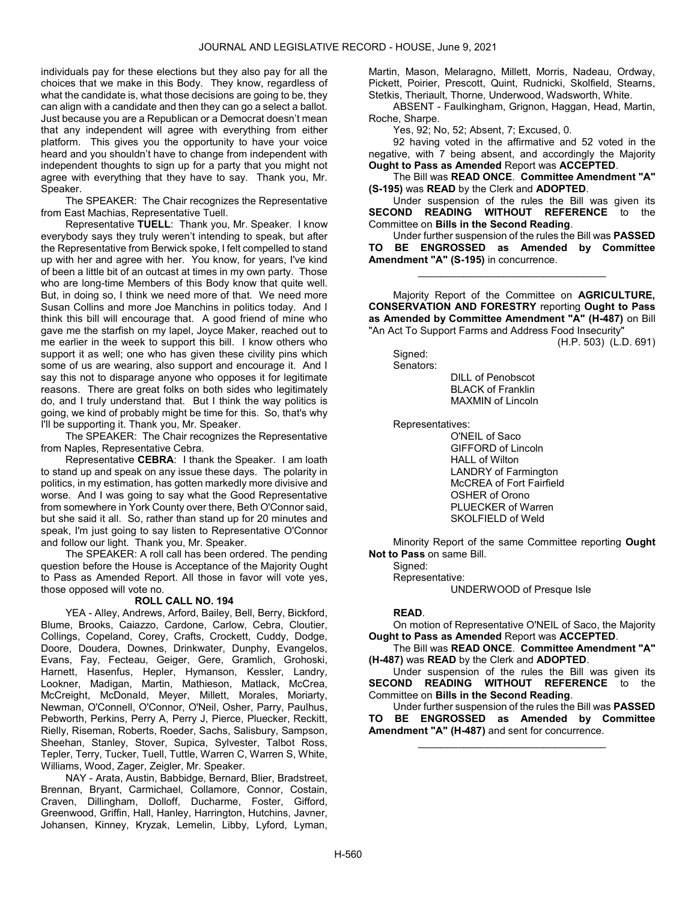individuals pay for these elections but they also pay for all the choices that we make in this Body. They know, regardless of what the candidate is, what those decisions are going to be, they can align with a candidate and then they can go a select a ballot. Just because you are a Republican or a Democrat doesn't mean that any independent will agree with everything from either platform. This gives you the opportunity to have your voice heard and you shouldn't have to change from independent with independent thoughts to sign up for a party that you might not agree with everything that they have to say. Thank you, Mr. Speaker.

 The SPEAKER: The Chair recognizes the Representative from East Machias, Representative Tuell.

 Representative TUELL: Thank you, Mr. Speaker. I know everybody says they truly weren't intending to speak, but after the Representative from Berwick spoke, I felt compelled to stand up with her and agree with her. You know, for years, I've kind of been a little bit of an outcast at times in my own party. Those who are long-time Members of this Body know that quite well. But, in doing so, I think we need more of that. We need more Susan Collins and more Joe Manchins in politics today. And I think this bill will encourage that. A good friend of mine who gave me the starfish on my lapel, Joyce Maker, reached out to me earlier in the week to support this bill. I know others who support it as well; one who has given these civility pins which some of us are wearing, also support and encourage it. And I say this not to disparage anyone who opposes it for legitimate reasons. There are great folks on both sides who legitimately do, and I truly understand that. But I think the way politics is going, we kind of probably might be time for this. So, that's why I'll be supporting it. Thank you, Mr. Speaker.

 The SPEAKER: The Chair recognizes the Representative from Naples, Representative Cebra.

 Representative CEBRA: I thank the Speaker. I am loath to stand up and speak on any issue these days. The polarity in politics, in my estimation, has gotten markedly more divisive and worse. And I was going to say what the Good Representative from somewhere in York County over there, Beth O'Connor said, but she said it all. So, rather than stand up for 20 minutes and speak, I'm just going to say listen to Representative O'Connor and follow our light. Thank you, Mr. Speaker.

 The SPEAKER: A roll call has been ordered. The pending question before the House is Acceptance of the Majority Ought to Pass as Amended Report. All those in favor will vote yes, those opposed will vote no.

### ROLL CALL NO. 194

 YEA - Alley, Andrews, Arford, Bailey, Bell, Berry, Bickford, Blume, Brooks, Caiazzo, Cardone, Carlow, Cebra, Cloutier, Collings, Copeland, Corey, Crafts, Crockett, Cuddy, Dodge, Doore, Doudera, Downes, Drinkwater, Dunphy, Evangelos, Evans, Fay, Fecteau, Geiger, Gere, Gramlich, Grohoski, Harnett, Hasenfus, Hepler, Hymanson, Kessler, Landry, Lookner, Madigan, Martin, Mathieson, Matlack, McCrea, McCreight, McDonald, Meyer, Millett, Morales, Moriarty, Newman, O'Connell, O'Connor, O'Neil, Osher, Parry, Paulhus, Pebworth, Perkins, Perry A, Perry J, Pierce, Pluecker, Reckitt, Rielly, Riseman, Roberts, Roeder, Sachs, Salisbury, Sampson, Sheehan, Stanley, Stover, Supica, Sylvester, Talbot Ross, Tepler, Terry, Tucker, Tuell, Tuttle, Warren C, Warren S, White, Williams, Wood, Zager, Zeigler, Mr. Speaker.

 NAY - Arata, Austin, Babbidge, Bernard, Blier, Bradstreet, Brennan, Bryant, Carmichael, Collamore, Connor, Costain, Craven, Dillingham, Dolloff, Ducharme, Foster, Gifford, Greenwood, Griffin, Hall, Hanley, Harrington, Hutchins, Javner, Johansen, Kinney, Kryzak, Lemelin, Libby, Lyford, Lyman, Martin, Mason, Melaragno, Millett, Morris, Nadeau, Ordway, Pickett, Poirier, Prescott, Quint, Rudnicki, Skolfield, Stearns, Stetkis, Theriault, Thorne, Underwood, Wadsworth, White.

 ABSENT - Faulkingham, Grignon, Haggan, Head, Martin, Roche, Sharpe.

Yes, 92; No, 52; Absent, 7; Excused, 0.

 92 having voted in the affirmative and 52 voted in the negative, with 7 being absent, and accordingly the Majority Ought to Pass as Amended Report was ACCEPTED.

 The Bill was READ ONCE. Committee Amendment "A" (S-195) was READ by the Clerk and ADOPTED.

 Under suspension of the rules the Bill was given its SECOND READING WITHOUT REFERENCE to the Committee on Bills in the Second Reading.

 Under further suspension of the rules the Bill was PASSED TO BE ENGROSSED as Amended by Committee Amendment "A" (S-195) in concurrence.

\_\_\_\_\_\_\_\_\_\_\_\_\_\_\_\_\_\_\_\_\_\_\_\_\_\_\_\_\_\_\_\_\_

 Majority Report of the Committee on AGRICULTURE, CONSERVATION AND FORESTRY reporting Ought to Pass as Amended by Committee Amendment "A" (H-487) on Bill "An Act To Support Farms and Address Food Insecurity"

(H.P. 503) (L.D. 691)

Signed: Senators:

 DILL of Penobscot BLACK of Franklin MAXMIN of Lincoln

Representatives:

 O'NEIL of Saco GIFFORD of Lincoln HALL of Wilton LANDRY of Farmington McCREA of Fort Fairfield OSHER of Orono PLUECKER of Warren SKOLFIELD of Weld

 Minority Report of the same Committee reporting Ought Not to Pass on same Bill.

 Signed: Representative:

UNDERWOOD of Presque Isle

### READ.

 On motion of Representative O'NEIL of Saco, the Majority Ought to Pass as Amended Report was ACCEPTED.

 The Bill was READ ONCE. Committee Amendment "A" (H-487) was READ by the Clerk and ADOPTED.

 Under suspension of the rules the Bill was given its SECOND READING WITHOUT REFERENCE to the Committee on Bills in the Second Reading.

 Under further suspension of the rules the Bill was PASSED TO BE ENGROSSED as Amended by Committee Amendment "A" (H-487) and sent for concurrence.

\_\_\_\_\_\_\_\_\_\_\_\_\_\_\_\_\_\_\_\_\_\_\_\_\_\_\_\_\_\_\_\_\_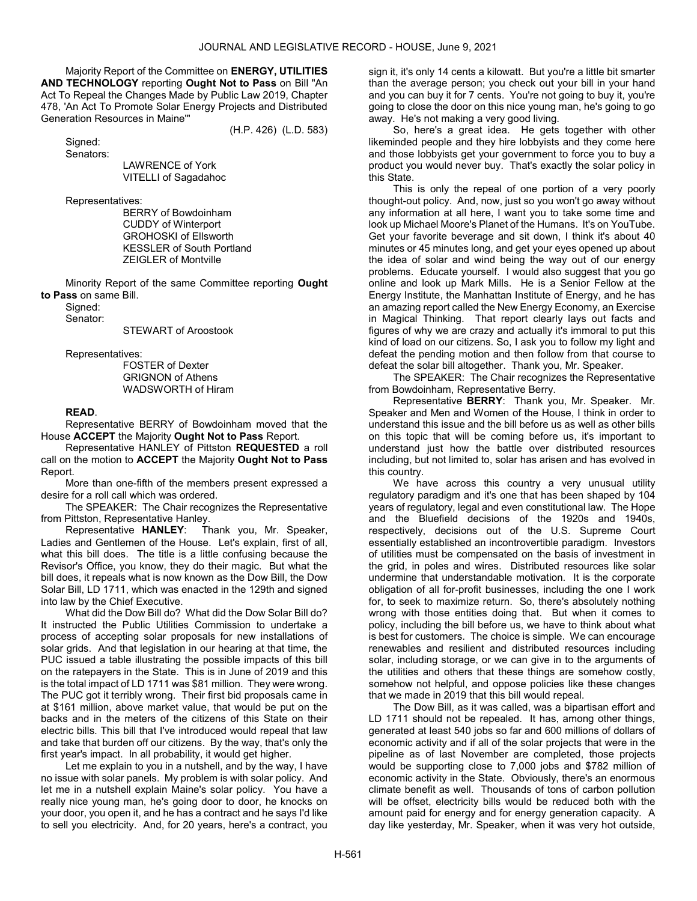Majority Report of the Committee on ENERGY, UTILITIES AND TECHNOLOGY reporting Ought Not to Pass on Bill "An Act To Repeal the Changes Made by Public Law 2019, Chapter 478, 'An Act To Promote Solar Energy Projects and Distributed Generation Resources in Maine'"

(H.P. 426) (L.D. 583)

Signed:

Senators:

 LAWRENCE of York VITELLI of Sagadahoc

Representatives:

 BERRY of Bowdoinham CUDDY of Winterport GROHOSKI of Ellsworth KESSLER of South Portland ZEIGLER of Montville

 Minority Report of the same Committee reporting Ought to Pass on same Bill.

 Signed: Senator:

STEWART of Aroostook

Representatives:

 FOSTER of Dexter GRIGNON of Athens WADSWORTH of Hiram

# READ.

 Representative BERRY of Bowdoinham moved that the House ACCEPT the Majority Ought Not to Pass Report.

 Representative HANLEY of Pittston REQUESTED a roll call on the motion to ACCEPT the Majority Ought Not to Pass Report.

 More than one-fifth of the members present expressed a desire for a roll call which was ordered.

 The SPEAKER: The Chair recognizes the Representative from Pittston, Representative Hanley.

 Representative HANLEY: Thank you, Mr. Speaker, Ladies and Gentlemen of the House. Let's explain, first of all, what this bill does. The title is a little confusing because the Revisor's Office, you know, they do their magic. But what the bill does, it repeals what is now known as the Dow Bill, the Dow Solar Bill, LD 1711, which was enacted in the 129th and signed into law by the Chief Executive.

 What did the Dow Bill do? What did the Dow Solar Bill do? It instructed the Public Utilities Commission to undertake a process of accepting solar proposals for new installations of solar grids. And that legislation in our hearing at that time, the PUC issued a table illustrating the possible impacts of this bill on the ratepayers in the State. This is in June of 2019 and this is the total impact of LD 1711 was \$81 million. They were wrong. The PUC got it terribly wrong. Their first bid proposals came in at \$161 million, above market value, that would be put on the backs and in the meters of the citizens of this State on their electric bills. This bill that I've introduced would repeal that law and take that burden off our citizens. By the way, that's only the first year's impact. In all probability, it would get higher.

 Let me explain to you in a nutshell, and by the way, I have no issue with solar panels. My problem is with solar policy. And let me in a nutshell explain Maine's solar policy. You have a really nice young man, he's going door to door, he knocks on your door, you open it, and he has a contract and he says I'd like to sell you electricity. And, for 20 years, here's a contract, you sign it, it's only 14 cents a kilowatt. But you're a little bit smarter than the average person; you check out your bill in your hand and you can buy it for 7 cents. You're not going to buy it, you're going to close the door on this nice young man, he's going to go away. He's not making a very good living.

 So, here's a great idea. He gets together with other likeminded people and they hire lobbyists and they come here and those lobbyists get your government to force you to buy a product you would never buy. That's exactly the solar policy in this State.

 This is only the repeal of one portion of a very poorly thought-out policy. And, now, just so you won't go away without any information at all here, I want you to take some time and look up Michael Moore's Planet of the Humans. It's on YouTube. Get your favorite beverage and sit down, I think it's about 40 minutes or 45 minutes long, and get your eyes opened up about the idea of solar and wind being the way out of our energy problems. Educate yourself. I would also suggest that you go online and look up Mark Mills. He is a Senior Fellow at the Energy Institute, the Manhattan Institute of Energy, and he has an amazing report called the New Energy Economy, an Exercise in Magical Thinking. That report clearly lays out facts and figures of why we are crazy and actually it's immoral to put this kind of load on our citizens. So, I ask you to follow my light and defeat the pending motion and then follow from that course to defeat the solar bill altogether. Thank you, Mr. Speaker.

 The SPEAKER: The Chair recognizes the Representative from Bowdoinham, Representative Berry.

 Representative BERRY: Thank you, Mr. Speaker. Mr. Speaker and Men and Women of the House, I think in order to understand this issue and the bill before us as well as other bills on this topic that will be coming before us, it's important to understand just how the battle over distributed resources including, but not limited to, solar has arisen and has evolved in this country.

We have across this country a very unusual utility regulatory paradigm and it's one that has been shaped by 104 years of regulatory, legal and even constitutional law. The Hope and the Bluefield decisions of the 1920s and 1940s, respectively, decisions out of the U.S. Supreme Court essentially established an incontrovertible paradigm. Investors of utilities must be compensated on the basis of investment in the grid, in poles and wires. Distributed resources like solar undermine that understandable motivation. It is the corporate obligation of all for-profit businesses, including the one I work for, to seek to maximize return. So, there's absolutely nothing wrong with those entities doing that. But when it comes to policy, including the bill before us, we have to think about what is best for customers. The choice is simple. We can encourage renewables and resilient and distributed resources including solar, including storage, or we can give in to the arguments of the utilities and others that these things are somehow costly, somehow not helpful, and oppose policies like these changes that we made in 2019 that this bill would repeal.

 The Dow Bill, as it was called, was a bipartisan effort and LD 1711 should not be repealed. It has, among other things, generated at least 540 jobs so far and 600 millions of dollars of economic activity and if all of the solar projects that were in the pipeline as of last November are completed, those projects would be supporting close to 7,000 jobs and \$782 million of economic activity in the State. Obviously, there's an enormous climate benefit as well. Thousands of tons of carbon pollution will be offset, electricity bills would be reduced both with the amount paid for energy and for energy generation capacity. A day like yesterday, Mr. Speaker, when it was very hot outside,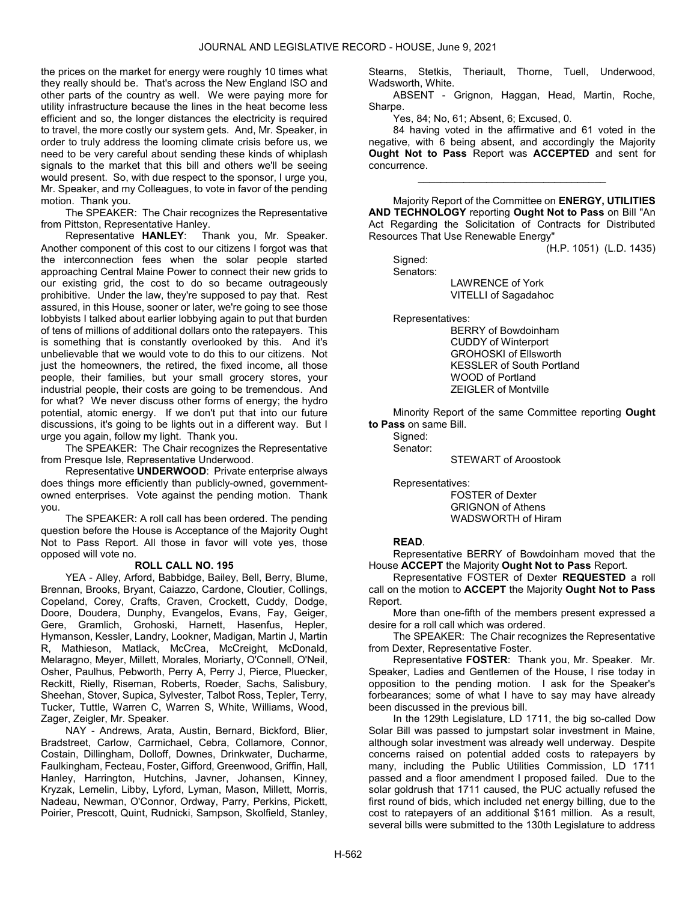the prices on the market for energy were roughly 10 times what they really should be. That's across the New England ISO and other parts of the country as well. We were paying more for utility infrastructure because the lines in the heat become less efficient and so, the longer distances the electricity is required to travel, the more costly our system gets. And, Mr. Speaker, in order to truly address the looming climate crisis before us, we need to be very careful about sending these kinds of whiplash signals to the market that this bill and others we'll be seeing would present. So, with due respect to the sponsor, I urge you, Mr. Speaker, and my Colleagues, to vote in favor of the pending motion. Thank you.

 The SPEAKER: The Chair recognizes the Representative from Pittston, Representative Hanley.

 Representative HANLEY: Thank you, Mr. Speaker. Another component of this cost to our citizens I forgot was that the interconnection fees when the solar people started approaching Central Maine Power to connect their new grids to our existing grid, the cost to do so became outrageously prohibitive. Under the law, they're supposed to pay that. Rest assured, in this House, sooner or later, we're going to see those lobbyists I talked about earlier lobbying again to put that burden of tens of millions of additional dollars onto the ratepayers. This is something that is constantly overlooked by this. And it's unbelievable that we would vote to do this to our citizens. Not just the homeowners, the retired, the fixed income, all those people, their families, but your small grocery stores, your industrial people, their costs are going to be tremendous. And for what? We never discuss other forms of energy; the hydro potential, atomic energy. If we don't put that into our future discussions, it's going to be lights out in a different way. But I urge you again, follow my light. Thank you.

 The SPEAKER: The Chair recognizes the Representative from Presque Isle, Representative Underwood.

 Representative UNDERWOOD: Private enterprise always does things more efficiently than publicly-owned, governmentowned enterprises. Vote against the pending motion. Thank you.

 The SPEAKER: A roll call has been ordered. The pending question before the House is Acceptance of the Majority Ought Not to Pass Report. All those in favor will vote yes, those opposed will vote no.

### ROLL CALL NO. 195

 YEA - Alley, Arford, Babbidge, Bailey, Bell, Berry, Blume, Brennan, Brooks, Bryant, Caiazzo, Cardone, Cloutier, Collings, Copeland, Corey, Crafts, Craven, Crockett, Cuddy, Dodge, Doore, Doudera, Dunphy, Evangelos, Evans, Fay, Geiger, Gere, Gramlich, Grohoski, Harnett, Hasenfus, Hepler, Hymanson, Kessler, Landry, Lookner, Madigan, Martin J, Martin R, Mathieson, Matlack, McCrea, McCreight, McDonald, Melaragno, Meyer, Millett, Morales, Moriarty, O'Connell, O'Neil, Osher, Paulhus, Pebworth, Perry A, Perry J, Pierce, Pluecker, Reckitt, Rielly, Riseman, Roberts, Roeder, Sachs, Salisbury, Sheehan, Stover, Supica, Sylvester, Talbot Ross, Tepler, Terry, Tucker, Tuttle, Warren C, Warren S, White, Williams, Wood, Zager, Zeigler, Mr. Speaker.

 NAY - Andrews, Arata, Austin, Bernard, Bickford, Blier, Bradstreet, Carlow, Carmichael, Cebra, Collamore, Connor, Costain, Dillingham, Dolloff, Downes, Drinkwater, Ducharme, Faulkingham, Fecteau, Foster, Gifford, Greenwood, Griffin, Hall, Hanley, Harrington, Hutchins, Javner, Johansen, Kinney, Kryzak, Lemelin, Libby, Lyford, Lyman, Mason, Millett, Morris, Nadeau, Newman, O'Connor, Ordway, Parry, Perkins, Pickett, Poirier, Prescott, Quint, Rudnicki, Sampson, Skolfield, Stanley, Stearns, Stetkis, Theriault, Thorne, Tuell, Underwood, Wadsworth, White.

 ABSENT - Grignon, Haggan, Head, Martin, Roche, Sharpe.

Yes, 84; No, 61; Absent, 6; Excused, 0.

 84 having voted in the affirmative and 61 voted in the negative, with 6 being absent, and accordingly the Majority Ought Not to Pass Report was ACCEPTED and sent for concurrence.

\_\_\_\_\_\_\_\_\_\_\_\_\_\_\_\_\_\_\_\_\_\_\_\_\_\_\_\_\_\_\_\_\_

 Majority Report of the Committee on ENERGY, UTILITIES AND TECHNOLOGY reporting Ought Not to Pass on Bill "An Act Regarding the Solicitation of Contracts for Distributed Resources That Use Renewable Energy"

(H.P. 1051) (L.D. 1435)

 Signed: Senators: LAWRENCE of York VITELLI of Sagadahoc

Representatives:

 BERRY of Bowdoinham CUDDY of Winterport GROHOSKI of Ellsworth KESSLER of South Portland WOOD of Portland ZEIGLER of Montville

 Minority Report of the same Committee reporting Ought to Pass on same Bill.

 Signed: Senator:

STEWART of Aroostook

Representatives:

 FOSTER of Dexter GRIGNON of Athens WADSWORTH of Hiram

### READ.

 Representative BERRY of Bowdoinham moved that the House ACCEPT the Majority Ought Not to Pass Report.

 Representative FOSTER of Dexter REQUESTED a roll call on the motion to ACCEPT the Majority Ought Not to Pass Report.

 More than one-fifth of the members present expressed a desire for a roll call which was ordered.

 The SPEAKER: The Chair recognizes the Representative from Dexter, Representative Foster.

 Representative FOSTER: Thank you, Mr. Speaker. Mr. Speaker, Ladies and Gentlemen of the House, I rise today in opposition to the pending motion. I ask for the Speaker's forbearances; some of what I have to say may have already been discussed in the previous bill.

 In the 129th Legislature, LD 1711, the big so-called Dow Solar Bill was passed to jumpstart solar investment in Maine, although solar investment was already well underway. Despite concerns raised on potential added costs to ratepayers by many, including the Public Utilities Commission, LD 1711 passed and a floor amendment I proposed failed. Due to the solar goldrush that 1711 caused, the PUC actually refused the first round of bids, which included net energy billing, due to the cost to ratepayers of an additional \$161 million. As a result, several bills were submitted to the 130th Legislature to address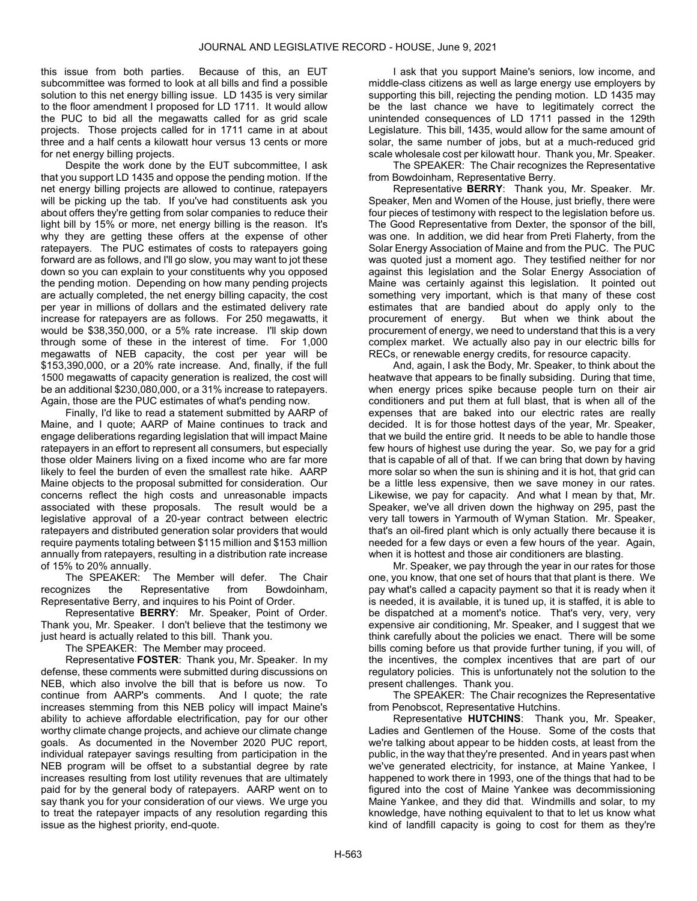this issue from both parties. Because of this, an EUT subcommittee was formed to look at all bills and find a possible solution to this net energy billing issue. LD 1435 is very similar to the floor amendment I proposed for LD 1711. It would allow the PUC to bid all the megawatts called for as grid scale projects. Those projects called for in 1711 came in at about three and a half cents a kilowatt hour versus 13 cents or more for net energy billing projects.

 Despite the work done by the EUT subcommittee, I ask that you support LD 1435 and oppose the pending motion. If the net energy billing projects are allowed to continue, ratepayers will be picking up the tab. If you've had constituents ask you about offers they're getting from solar companies to reduce their light bill by 15% or more, net energy billing is the reason. It's why they are getting these offers at the expense of other ratepayers. The PUC estimates of costs to ratepayers going forward are as follows, and I'll go slow, you may want to jot these down so you can explain to your constituents why you opposed the pending motion. Depending on how many pending projects are actually completed, the net energy billing capacity, the cost per year in millions of dollars and the estimated delivery rate increase for ratepayers are as follows. For 250 megawatts, it would be \$38,350,000, or a 5% rate increase. I'll skip down through some of these in the interest of time. For 1,000 megawatts of NEB capacity, the cost per year will be \$153,390,000, or a 20% rate increase. And, finally, if the full 1500 megawatts of capacity generation is realized, the cost will be an additional \$230,080,000, or a 31% increase to ratepayers. Again, those are the PUC estimates of what's pending now.

 Finally, I'd like to read a statement submitted by AARP of Maine, and I quote; AARP of Maine continues to track and engage deliberations regarding legislation that will impact Maine ratepayers in an effort to represent all consumers, but especially those older Mainers living on a fixed income who are far more likely to feel the burden of even the smallest rate hike. AARP Maine objects to the proposal submitted for consideration. Our concerns reflect the high costs and unreasonable impacts associated with these proposals. The result would be a legislative approval of a 20-year contract between electric ratepayers and distributed generation solar providers that would require payments totaling between \$115 million and \$153 million annually from ratepayers, resulting in a distribution rate increase of 15% to 20% annually.

 The SPEAKER: The Member will defer. The Chair recognizes the Representative from Bowdoinham, Representative Berry, and inquires to his Point of Order.

 Representative BERRY: Mr. Speaker, Point of Order. Thank you, Mr. Speaker. I don't believe that the testimony we just heard is actually related to this bill. Thank you.

The SPEAKER: The Member may proceed.

 Representative FOSTER: Thank you, Mr. Speaker. In my defense, these comments were submitted during discussions on NEB, which also involve the bill that is before us now. To continue from AARP's comments. And I quote; the rate increases stemming from this NEB policy will impact Maine's ability to achieve affordable electrification, pay for our other worthy climate change projects, and achieve our climate change goals. As documented in the November 2020 PUC report, individual ratepayer savings resulting from participation in the NEB program will be offset to a substantial degree by rate increases resulting from lost utility revenues that are ultimately paid for by the general body of ratepayers. AARP went on to say thank you for your consideration of our views. We urge you to treat the ratepayer impacts of any resolution regarding this issue as the highest priority, end-quote.

 I ask that you support Maine's seniors, low income, and middle-class citizens as well as large energy use employers by supporting this bill, rejecting the pending motion. LD 1435 may be the last chance we have to legitimately correct the unintended consequences of LD 1711 passed in the 129th Legislature. This bill, 1435, would allow for the same amount of solar, the same number of jobs, but at a much-reduced grid scale wholesale cost per kilowatt hour. Thank you, Mr. Speaker.

 The SPEAKER: The Chair recognizes the Representative from Bowdoinham, Representative Berry.

 Representative BERRY: Thank you, Mr. Speaker. Mr. Speaker, Men and Women of the House, just briefly, there were four pieces of testimony with respect to the legislation before us. The Good Representative from Dexter, the sponsor of the bill, was one. In addition, we did hear from Preti Flaherty, from the Solar Energy Association of Maine and from the PUC. The PUC was quoted just a moment ago. They testified neither for nor against this legislation and the Solar Energy Association of Maine was certainly against this legislation. It pointed out something very important, which is that many of these cost estimates that are bandied about do apply only to the procurement of energy. But when we think about the But when we think about the procurement of energy, we need to understand that this is a very complex market. We actually also pay in our electric bills for RECs, or renewable energy credits, for resource capacity.

 And, again, I ask the Body, Mr. Speaker, to think about the heatwave that appears to be finally subsiding. During that time, when energy prices spike because people turn on their air conditioners and put them at full blast, that is when all of the expenses that are baked into our electric rates are really decided. It is for those hottest days of the year, Mr. Speaker, that we build the entire grid. It needs to be able to handle those few hours of highest use during the year. So, we pay for a grid that is capable of all of that. If we can bring that down by having more solar so when the sun is shining and it is hot, that grid can be a little less expensive, then we save money in our rates. Likewise, we pay for capacity. And what I mean by that, Mr. Speaker, we've all driven down the highway on 295, past the very tall towers in Yarmouth of Wyman Station. Mr. Speaker, that's an oil-fired plant which is only actually there because it is needed for a few days or even a few hours of the year. Again, when it is hottest and those air conditioners are blasting.

 Mr. Speaker, we pay through the year in our rates for those one, you know, that one set of hours that that plant is there. We pay what's called a capacity payment so that it is ready when it is needed, it is available, it is tuned up, it is staffed, it is able to be dispatched at a moment's notice. That's very, very, very expensive air conditioning, Mr. Speaker, and I suggest that we think carefully about the policies we enact. There will be some bills coming before us that provide further tuning, if you will, of the incentives, the complex incentives that are part of our regulatory policies. This is unfortunately not the solution to the present challenges. Thank you.

 The SPEAKER: The Chair recognizes the Representative from Penobscot, Representative Hutchins.

 Representative HUTCHINS: Thank you, Mr. Speaker, Ladies and Gentlemen of the House. Some of the costs that we're talking about appear to be hidden costs, at least from the public, in the way that they're presented. And in years past when we've generated electricity, for instance, at Maine Yankee, I happened to work there in 1993, one of the things that had to be figured into the cost of Maine Yankee was decommissioning Maine Yankee, and they did that. Windmills and solar, to my knowledge, have nothing equivalent to that to let us know what kind of landfill capacity is going to cost for them as they're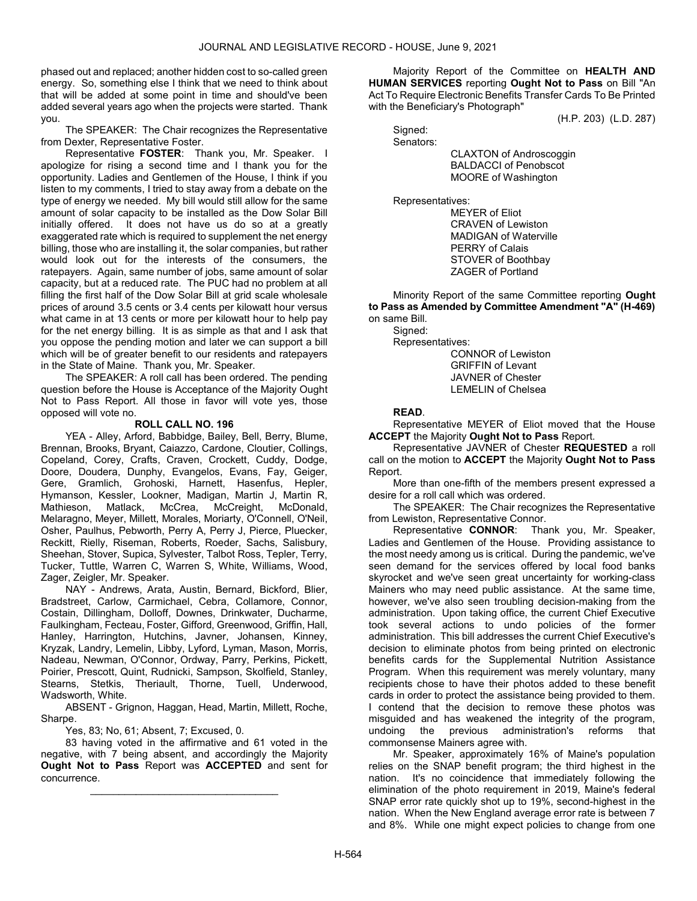phased out and replaced; another hidden cost to so-called green energy. So, something else I think that we need to think about that will be added at some point in time and should've been added several years ago when the projects were started. Thank you.

 The SPEAKER: The Chair recognizes the Representative from Dexter, Representative Foster.

Representative FOSTER: Thank you, Mr. Speaker. I apologize for rising a second time and I thank you for the opportunity. Ladies and Gentlemen of the House, I think if you listen to my comments, I tried to stay away from a debate on the type of energy we needed. My bill would still allow for the same amount of solar capacity to be installed as the Dow Solar Bill initially offered. It does not have us do so at a greatly exaggerated rate which is required to supplement the net energy billing, those who are installing it, the solar companies, but rather would look out for the interests of the consumers, the ratepayers. Again, same number of jobs, same amount of solar capacity, but at a reduced rate. The PUC had no problem at all filling the first half of the Dow Solar Bill at grid scale wholesale prices of around 3.5 cents or 3.4 cents per kilowatt hour versus what came in at 13 cents or more per kilowatt hour to help pay for the net energy billing. It is as simple as that and I ask that you oppose the pending motion and later we can support a bill which will be of greater benefit to our residents and ratepayers in the State of Maine. Thank you, Mr. Speaker.

 The SPEAKER: A roll call has been ordered. The pending question before the House is Acceptance of the Majority Ought Not to Pass Report. All those in favor will vote yes, those opposed will vote no.

# ROLL CALL NO. 196

 YEA - Alley, Arford, Babbidge, Bailey, Bell, Berry, Blume, Brennan, Brooks, Bryant, Caiazzo, Cardone, Cloutier, Collings, Copeland, Corey, Crafts, Craven, Crockett, Cuddy, Dodge, Doore, Doudera, Dunphy, Evangelos, Evans, Fay, Geiger, Gere, Gramlich, Grohoski, Harnett, Hasenfus, Hepler, Hymanson, Kessler, Lookner, Madigan, Martin J, Martin R, Mathieson, Matlack, McCrea, McCreight, McDonald, Melaragno, Meyer, Millett, Morales, Moriarty, O'Connell, O'Neil, Osher, Paulhus, Pebworth, Perry A, Perry J, Pierce, Pluecker, Reckitt, Rielly, Riseman, Roberts, Roeder, Sachs, Salisbury, Sheehan, Stover, Supica, Sylvester, Talbot Ross, Tepler, Terry, Tucker, Tuttle, Warren C, Warren S, White, Williams, Wood, Zager, Zeigler, Mr. Speaker.

 NAY - Andrews, Arata, Austin, Bernard, Bickford, Blier, Bradstreet, Carlow, Carmichael, Cebra, Collamore, Connor, Costain, Dillingham, Dolloff, Downes, Drinkwater, Ducharme, Faulkingham, Fecteau, Foster, Gifford, Greenwood, Griffin, Hall, Hanley, Harrington, Hutchins, Javner, Johansen, Kinney, Kryzak, Landry, Lemelin, Libby, Lyford, Lyman, Mason, Morris, Nadeau, Newman, O'Connor, Ordway, Parry, Perkins, Pickett, Poirier, Prescott, Quint, Rudnicki, Sampson, Skolfield, Stanley, Stearns, Stetkis, Theriault, Thorne, Tuell, Underwood, Wadsworth, White.

 ABSENT - Grignon, Haggan, Head, Martin, Millett, Roche, Sharpe.

Yes, 83; No, 61; Absent, 7; Excused, 0.

 83 having voted in the affirmative and 61 voted in the negative, with 7 being absent, and accordingly the Majority Ought Not to Pass Report was ACCEPTED and sent for concurrence.

\_\_\_\_\_\_\_\_\_\_\_\_\_\_\_\_\_\_\_\_\_\_\_\_\_\_\_\_\_\_\_\_\_

 Majority Report of the Committee on HEALTH AND HUMAN SERVICES reporting Ought Not to Pass on Bill "An Act To Require Electronic Benefits Transfer Cards To Be Printed with the Beneficiary's Photograph"

(H.P. 203) (L.D. 287)

 Signed: Senators:

 CLAXTON of Androscoggin BALDACCI of Penobscot MOORE of Washington

Representatives:

 MEYER of Eliot CRAVEN of Lewiston MADIGAN of Waterville PERRY of Calais STOVER of Boothbay ZAGER of Portland

 Minority Report of the same Committee reporting Ought to Pass as Amended by Committee Amendment "A" (H-469) on same Bill.

Signed:

Representatives:

 CONNOR of Lewiston GRIFFIN of Levant JAVNER of Chester LEMELIN of Chelsea

# READ.

 Representative MEYER of Eliot moved that the House **ACCEPT** the Majority **Ought Not to Pass** Report.

 Representative JAVNER of Chester REQUESTED a roll call on the motion to ACCEPT the Majority Ought Not to Pass Report.

 More than one-fifth of the members present expressed a desire for a roll call which was ordered.

 The SPEAKER: The Chair recognizes the Representative from Lewiston, Representative Connor.

 Representative CONNOR: Thank you, Mr. Speaker, Ladies and Gentlemen of the House. Providing assistance to the most needy among us is critical. During the pandemic, we've seen demand for the services offered by local food banks skyrocket and we've seen great uncertainty for working-class Mainers who may need public assistance. At the same time, however, we've also seen troubling decision-making from the administration. Upon taking office, the current Chief Executive took several actions to undo policies of the former administration. This bill addresses the current Chief Executive's decision to eliminate photos from being printed on electronic benefits cards for the Supplemental Nutrition Assistance Program. When this requirement was merely voluntary, many recipients chose to have their photos added to these benefit cards in order to protect the assistance being provided to them. I contend that the decision to remove these photos was misguided and has weakened the integrity of the program, undoing the previous administration's reforms that commonsense Mainers agree with.

 Mr. Speaker, approximately 16% of Maine's population relies on the SNAP benefit program; the third highest in the nation. It's no coincidence that immediately following the elimination of the photo requirement in 2019, Maine's federal SNAP error rate quickly shot up to 19%, second-highest in the nation. When the New England average error rate is between 7 and 8%. While one might expect policies to change from one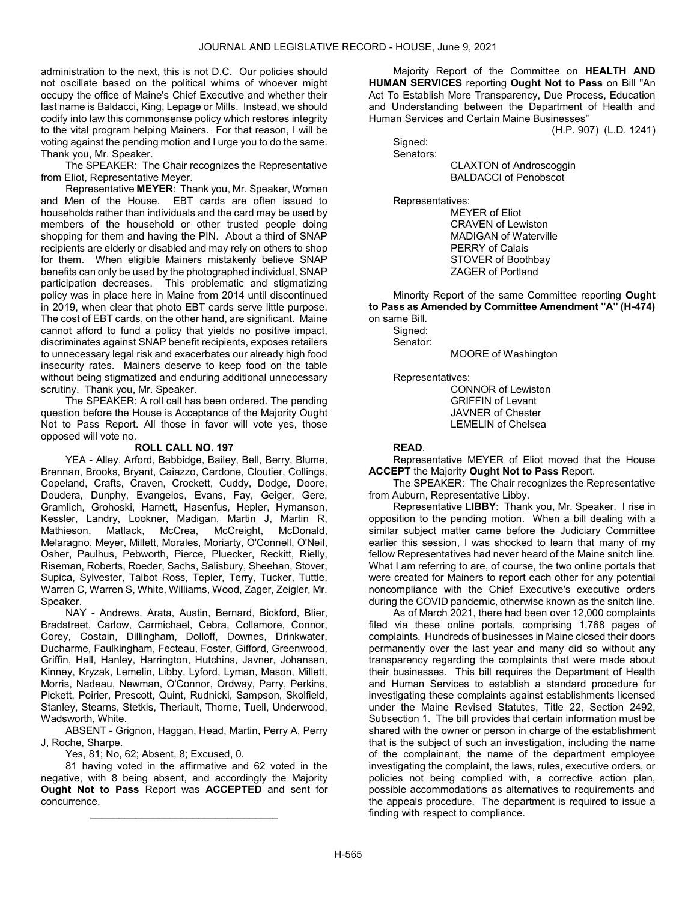administration to the next, this is not D.C. Our policies should not oscillate based on the political whims of whoever might occupy the office of Maine's Chief Executive and whether their last name is Baldacci, King, Lepage or Mills. Instead, we should codify into law this commonsense policy which restores integrity to the vital program helping Mainers. For that reason, I will be voting against the pending motion and I urge you to do the same. Thank you, Mr. Speaker.

 The SPEAKER: The Chair recognizes the Representative from Eliot, Representative Meyer.

 Representative MEYER: Thank you, Mr. Speaker, Women and Men of the House. EBT cards are often issued to households rather than individuals and the card may be used by members of the household or other trusted people doing shopping for them and having the PIN. About a third of SNAP recipients are elderly or disabled and may rely on others to shop for them. When eligible Mainers mistakenly believe SNAP benefits can only be used by the photographed individual, SNAP participation decreases. This problematic and stigmatizing policy was in place here in Maine from 2014 until discontinued in 2019, when clear that photo EBT cards serve little purpose. The cost of EBT cards, on the other hand, are significant. Maine cannot afford to fund a policy that yields no positive impact, discriminates against SNAP benefit recipients, exposes retailers to unnecessary legal risk and exacerbates our already high food insecurity rates. Mainers deserve to keep food on the table without being stigmatized and enduring additional unnecessary scrutiny. Thank you, Mr. Speaker.

 The SPEAKER: A roll call has been ordered. The pending question before the House is Acceptance of the Majority Ought Not to Pass Report. All those in favor will vote yes, those opposed will vote no.

# ROLL CALL NO. 197

 YEA - Alley, Arford, Babbidge, Bailey, Bell, Berry, Blume, Brennan, Brooks, Bryant, Caiazzo, Cardone, Cloutier, Collings, Copeland, Crafts, Craven, Crockett, Cuddy, Dodge, Doore, Doudera, Dunphy, Evangelos, Evans, Fay, Geiger, Gere, Gramlich, Grohoski, Harnett, Hasenfus, Hepler, Hymanson, Kessler, Landry, Lookner, Madigan, Martin J, Martin R, Mathieson, Matlack, McCrea, McCreight, McDonald, Melaragno, Meyer, Millett, Morales, Moriarty, O'Connell, O'Neil, Osher, Paulhus, Pebworth, Pierce, Pluecker, Reckitt, Rielly, Riseman, Roberts, Roeder, Sachs, Salisbury, Sheehan, Stover, Supica, Sylvester, Talbot Ross, Tepler, Terry, Tucker, Tuttle, Warren C, Warren S, White, Williams, Wood, Zager, Zeigler, Mr. Speaker.

 NAY - Andrews, Arata, Austin, Bernard, Bickford, Blier, Bradstreet, Carlow, Carmichael, Cebra, Collamore, Connor, Corey, Costain, Dillingham, Dolloff, Downes, Drinkwater, Ducharme, Faulkingham, Fecteau, Foster, Gifford, Greenwood, Griffin, Hall, Hanley, Harrington, Hutchins, Javner, Johansen, Kinney, Kryzak, Lemelin, Libby, Lyford, Lyman, Mason, Millett, Morris, Nadeau, Newman, O'Connor, Ordway, Parry, Perkins, Pickett, Poirier, Prescott, Quint, Rudnicki, Sampson, Skolfield, Stanley, Stearns, Stetkis, Theriault, Thorne, Tuell, Underwood, Wadsworth, White.

 ABSENT - Grignon, Haggan, Head, Martin, Perry A, Perry J, Roche, Sharpe.

Yes, 81; No, 62; Absent, 8; Excused, 0.

 81 having voted in the affirmative and 62 voted in the negative, with 8 being absent, and accordingly the Majority Ought Not to Pass Report was ACCEPTED and sent for concurrence.

\_\_\_\_\_\_\_\_\_\_\_\_\_\_\_\_\_\_\_\_\_\_\_\_\_\_\_\_\_\_\_\_\_

 Majority Report of the Committee on HEALTH AND HUMAN SERVICES reporting Ought Not to Pass on Bill "An Act To Establish More Transparency, Due Process, Education and Understanding between the Department of Health and Human Services and Certain Maine Businesses"

(H.P. 907) (L.D. 1241)

 Signed: Senators:

 CLAXTON of Androscoggin BALDACCI of Penobscot

Representatives:

 MEYER of Eliot CRAVEN of Lewiston MADIGAN of Waterville PERRY of Calais STOVER of Boothbay ZAGER of Portland

 Minority Report of the same Committee reporting Ought to Pass as Amended by Committee Amendment "A" (H-474) on same Bill.

 Signed: Senator:

MOORE of Washington

Representatives:

 CONNOR of Lewiston GRIFFIN of Levant JAVNER of Chester LEMELIN of Chelsea

# READ.

 Representative MEYER of Eliot moved that the House ACCEPT the Majority Ought Not to Pass Report.

 The SPEAKER: The Chair recognizes the Representative from Auburn, Representative Libby.

 Representative LIBBY: Thank you, Mr. Speaker. I rise in opposition to the pending motion. When a bill dealing with a similar subject matter came before the Judiciary Committee earlier this session, I was shocked to learn that many of my fellow Representatives had never heard of the Maine snitch line. What I am referring to are, of course, the two online portals that were created for Mainers to report each other for any potential noncompliance with the Chief Executive's executive orders during the COVID pandemic, otherwise known as the snitch line.

 As of March 2021, there had been over 12,000 complaints filed via these online portals, comprising 1,768 pages of complaints. Hundreds of businesses in Maine closed their doors permanently over the last year and many did so without any transparency regarding the complaints that were made about their businesses. This bill requires the Department of Health and Human Services to establish a standard procedure for investigating these complaints against establishments licensed under the Maine Revised Statutes, Title 22, Section 2492, Subsection 1. The bill provides that certain information must be shared with the owner or person in charge of the establishment that is the subject of such an investigation, including the name of the complainant, the name of the department employee investigating the complaint, the laws, rules, executive orders, or policies not being complied with, a corrective action plan, possible accommodations as alternatives to requirements and the appeals procedure. The department is required to issue a finding with respect to compliance.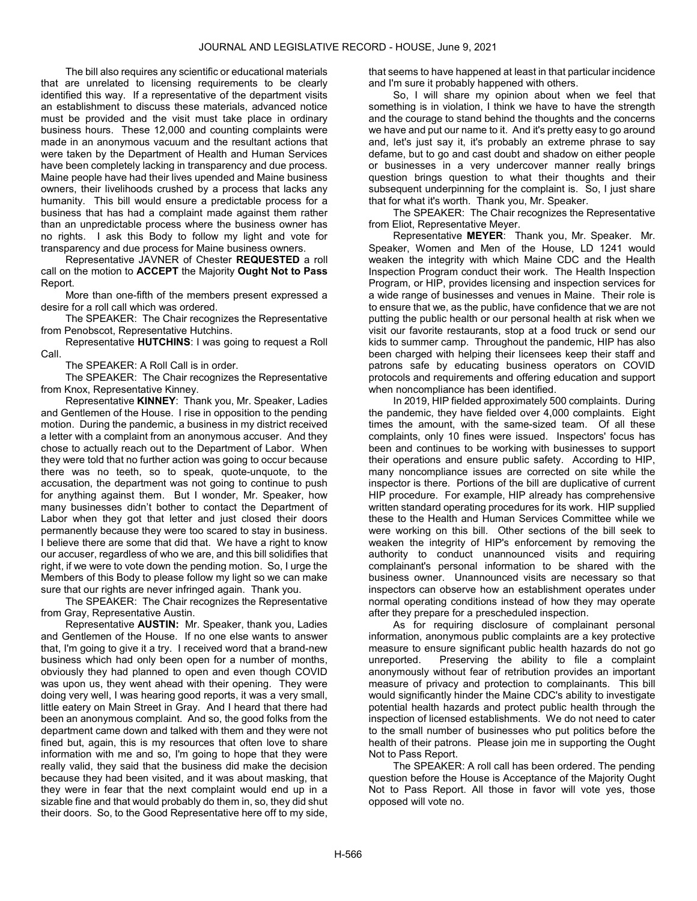The bill also requires any scientific or educational materials that are unrelated to licensing requirements to be clearly identified this way. If a representative of the department visits an establishment to discuss these materials, advanced notice must be provided and the visit must take place in ordinary business hours. These 12,000 and counting complaints were made in an anonymous vacuum and the resultant actions that were taken by the Department of Health and Human Services have been completely lacking in transparency and due process. Maine people have had their lives upended and Maine business owners, their livelihoods crushed by a process that lacks any humanity. This bill would ensure a predictable process for a business that has had a complaint made against them rather than an unpredictable process where the business owner has no rights. I ask this Body to follow my light and vote for transparency and due process for Maine business owners.

 Representative JAVNER of Chester REQUESTED a roll call on the motion to ACCEPT the Majority Ought Not to Pass Report.

 More than one-fifth of the members present expressed a desire for a roll call which was ordered.

 The SPEAKER: The Chair recognizes the Representative from Penobscot, Representative Hutchins.

 Representative HUTCHINS: I was going to request a Roll Call.

The SPEAKER: A Roll Call is in order.

 The SPEAKER: The Chair recognizes the Representative from Knox, Representative Kinney.

 Representative KINNEY: Thank you, Mr. Speaker, Ladies and Gentlemen of the House. I rise in opposition to the pending motion. During the pandemic, a business in my district received a letter with a complaint from an anonymous accuser. And they chose to actually reach out to the Department of Labor. When they were told that no further action was going to occur because there was no teeth, so to speak, quote-unquote, to the accusation, the department was not going to continue to push for anything against them. But I wonder, Mr. Speaker, how many businesses didn't bother to contact the Department of Labor when they got that letter and just closed their doors permanently because they were too scared to stay in business. I believe there are some that did that. We have a right to know our accuser, regardless of who we are, and this bill solidifies that right, if we were to vote down the pending motion. So, I urge the Members of this Body to please follow my light so we can make sure that our rights are never infringed again. Thank you.

 The SPEAKER: The Chair recognizes the Representative from Gray, Representative Austin.

 Representative AUSTIN: Mr. Speaker, thank you, Ladies and Gentlemen of the House. If no one else wants to answer that, I'm going to give it a try. I received word that a brand-new business which had only been open for a number of months, obviously they had planned to open and even though COVID was upon us, they went ahead with their opening. They were doing very well, I was hearing good reports, it was a very small, little eatery on Main Street in Gray. And I heard that there had been an anonymous complaint. And so, the good folks from the department came down and talked with them and they were not fined but, again, this is my resources that often love to share information with me and so, I'm going to hope that they were really valid, they said that the business did make the decision because they had been visited, and it was about masking, that they were in fear that the next complaint would end up in a sizable fine and that would probably do them in, so, they did shut their doors. So, to the Good Representative here off to my side,

that seems to have happened at least in that particular incidence and I'm sure it probably happened with others.

 So, I will share my opinion about when we feel that something is in violation, I think we have to have the strength and the courage to stand behind the thoughts and the concerns we have and put our name to it. And it's pretty easy to go around and, let's just say it, it's probably an extreme phrase to say defame, but to go and cast doubt and shadow on either people or businesses in a very undercover manner really brings question brings question to what their thoughts and their subsequent underpinning for the complaint is. So, I just share that for what it's worth. Thank you, Mr. Speaker.

 The SPEAKER: The Chair recognizes the Representative from Eliot, Representative Meyer.

 Representative MEYER: Thank you, Mr. Speaker. Mr. Speaker, Women and Men of the House, LD 1241 would weaken the integrity with which Maine CDC and the Health Inspection Program conduct their work. The Health Inspection Program, or HIP, provides licensing and inspection services for a wide range of businesses and venues in Maine. Their role is to ensure that we, as the public, have confidence that we are not putting the public health or our personal health at risk when we visit our favorite restaurants, stop at a food truck or send our kids to summer camp. Throughout the pandemic, HIP has also been charged with helping their licensees keep their staff and patrons safe by educating business operators on COVID protocols and requirements and offering education and support when noncompliance has been identified.

 In 2019, HIP fielded approximately 500 complaints. During the pandemic, they have fielded over 4,000 complaints. Eight times the amount, with the same-sized team. Of all these complaints, only 10 fines were issued. Inspectors' focus has been and continues to be working with businesses to support their operations and ensure public safety. According to HIP, many noncompliance issues are corrected on site while the inspector is there. Portions of the bill are duplicative of current HIP procedure. For example, HIP already has comprehensive written standard operating procedures for its work. HIP supplied these to the Health and Human Services Committee while we were working on this bill. Other sections of the bill seek to weaken the integrity of HIP's enforcement by removing the authority to conduct unannounced visits and requiring complainant's personal information to be shared with the business owner. Unannounced visits are necessary so that inspectors can observe how an establishment operates under normal operating conditions instead of how they may operate after they prepare for a prescheduled inspection.

 As for requiring disclosure of complainant personal information, anonymous public complaints are a key protective measure to ensure significant public health hazards do not go unreported. Preserving the ability to file a complaint anonymously without fear of retribution provides an important measure of privacy and protection to complainants. This bill would significantly hinder the Maine CDC's ability to investigate potential health hazards and protect public health through the inspection of licensed establishments. We do not need to cater to the small number of businesses who put politics before the health of their patrons. Please join me in supporting the Ought Not to Pass Report.

 The SPEAKER: A roll call has been ordered. The pending question before the House is Acceptance of the Majority Ought Not to Pass Report. All those in favor will vote yes, those opposed will vote no.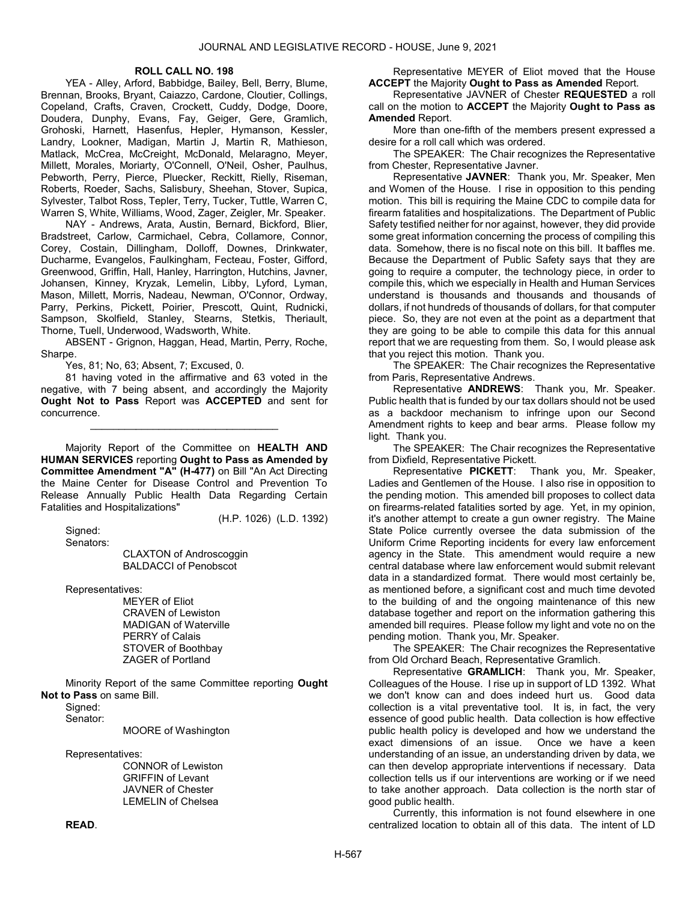### ROLL CALL NO. 198

 YEA - Alley, Arford, Babbidge, Bailey, Bell, Berry, Blume, Brennan, Brooks, Bryant, Caiazzo, Cardone, Cloutier, Collings, Copeland, Crafts, Craven, Crockett, Cuddy, Dodge, Doore, Doudera, Dunphy, Evans, Fay, Geiger, Gere, Gramlich, Grohoski, Harnett, Hasenfus, Hepler, Hymanson, Kessler, Landry, Lookner, Madigan, Martin J, Martin R, Mathieson, Matlack, McCrea, McCreight, McDonald, Melaragno, Meyer, Millett, Morales, Moriarty, O'Connell, O'Neil, Osher, Paulhus, Pebworth, Perry, Pierce, Pluecker, Reckitt, Rielly, Riseman, Roberts, Roeder, Sachs, Salisbury, Sheehan, Stover, Supica, Sylvester, Talbot Ross, Tepler, Terry, Tucker, Tuttle, Warren C, Warren S, White, Williams, Wood, Zager, Zeigler, Mr. Speaker.

 NAY - Andrews, Arata, Austin, Bernard, Bickford, Blier, Bradstreet, Carlow, Carmichael, Cebra, Collamore, Connor, Corey, Costain, Dillingham, Dolloff, Downes, Drinkwater, Ducharme, Evangelos, Faulkingham, Fecteau, Foster, Gifford, Greenwood, Griffin, Hall, Hanley, Harrington, Hutchins, Javner, Johansen, Kinney, Kryzak, Lemelin, Libby, Lyford, Lyman, Mason, Millett, Morris, Nadeau, Newman, O'Connor, Ordway, Parry, Perkins, Pickett, Poirier, Prescott, Quint, Rudnicki, Sampson, Skolfield, Stanley, Stearns, Stetkis, Theriault, Thorne, Tuell, Underwood, Wadsworth, White.

 ABSENT - Grignon, Haggan, Head, Martin, Perry, Roche, Sharpe.

Yes, 81; No, 63; Absent, 7; Excused, 0.

 81 having voted in the affirmative and 63 voted in the negative, with 7 being absent, and accordingly the Majority Ought Not to Pass Report was ACCEPTED and sent for concurrence.

\_\_\_\_\_\_\_\_\_\_\_\_\_\_\_\_\_\_\_\_\_\_\_\_\_\_\_\_\_\_\_\_\_

 Majority Report of the Committee on HEALTH AND HUMAN SERVICES reporting Ought to Pass as Amended by Committee Amendment "A" (H-477) on Bill "An Act Directing the Maine Center for Disease Control and Prevention To Release Annually Public Health Data Regarding Certain Fatalities and Hospitalizations"

(H.P. 1026) (L.D. 1392)

 Signed: Senators:

 CLAXTON of Androscoggin BALDACCI of Penobscot

Representatives:

 MEYER of Eliot CRAVEN of Lewiston MADIGAN of Waterville PERRY of Calais STOVER of Boothbay ZAGER of Portland

 Minority Report of the same Committee reporting Ought Not to Pass on same Bill.

Signed:

Senator:

MOORE of Washington

Representatives:

 CONNOR of Lewiston GRIFFIN of Levant JAVNER of Chester LEMELIN of Chelsea

 Representative MEYER of Eliot moved that the House **ACCEPT** the Majority Ought to Pass as Amended Report.

 Representative JAVNER of Chester REQUESTED a roll call on the motion to ACCEPT the Majority Ought to Pass as Amended Report.

 More than one-fifth of the members present expressed a desire for a roll call which was ordered.

 The SPEAKER: The Chair recognizes the Representative from Chester, Representative Javner.

 Representative JAVNER: Thank you, Mr. Speaker, Men and Women of the House. I rise in opposition to this pending motion. This bill is requiring the Maine CDC to compile data for firearm fatalities and hospitalizations. The Department of Public Safety testified neither for nor against, however, they did provide some great information concerning the process of compiling this data. Somehow, there is no fiscal note on this bill. It baffles me. Because the Department of Public Safety says that they are going to require a computer, the technology piece, in order to compile this, which we especially in Health and Human Services understand is thousands and thousands and thousands of dollars, if not hundreds of thousands of dollars, for that computer piece. So, they are not even at the point as a department that they are going to be able to compile this data for this annual report that we are requesting from them. So, I would please ask that you reject this motion. Thank you.

 The SPEAKER: The Chair recognizes the Representative from Paris, Representative Andrews.

 Representative ANDREWS: Thank you, Mr. Speaker. Public health that is funded by our tax dollars should not be used as a backdoor mechanism to infringe upon our Second Amendment rights to keep and bear arms. Please follow my light. Thank you.

 The SPEAKER: The Chair recognizes the Representative from Dixfield, Representative Pickett.

 Representative PICKETT: Thank you, Mr. Speaker, Ladies and Gentlemen of the House. I also rise in opposition to the pending motion. This amended bill proposes to collect data on firearms-related fatalities sorted by age. Yet, in my opinion, it's another attempt to create a gun owner registry. The Maine State Police currently oversee the data submission of the Uniform Crime Reporting incidents for every law enforcement agency in the State. This amendment would require a new central database where law enforcement would submit relevant data in a standardized format. There would most certainly be, as mentioned before, a significant cost and much time devoted to the building of and the ongoing maintenance of this new database together and report on the information gathering this amended bill requires. Please follow my light and vote no on the pending motion. Thank you, Mr. Speaker.

 The SPEAKER: The Chair recognizes the Representative from Old Orchard Beach, Representative Gramlich.

 Representative GRAMLICH: Thank you, Mr. Speaker, Colleagues of the House. I rise up in support of LD 1392. What we don't know can and does indeed hurt us. Good data collection is a vital preventative tool. It is, in fact, the very essence of good public health. Data collection is how effective public health policy is developed and how we understand the exact dimensions of an issue. Once we have a keen understanding of an issue, an understanding driven by data, we can then develop appropriate interventions if necessary. Data collection tells us if our interventions are working or if we need to take another approach. Data collection is the north star of good public health.

 Currently, this information is not found elsewhere in one centralized location to obtain all of this data. The intent of LD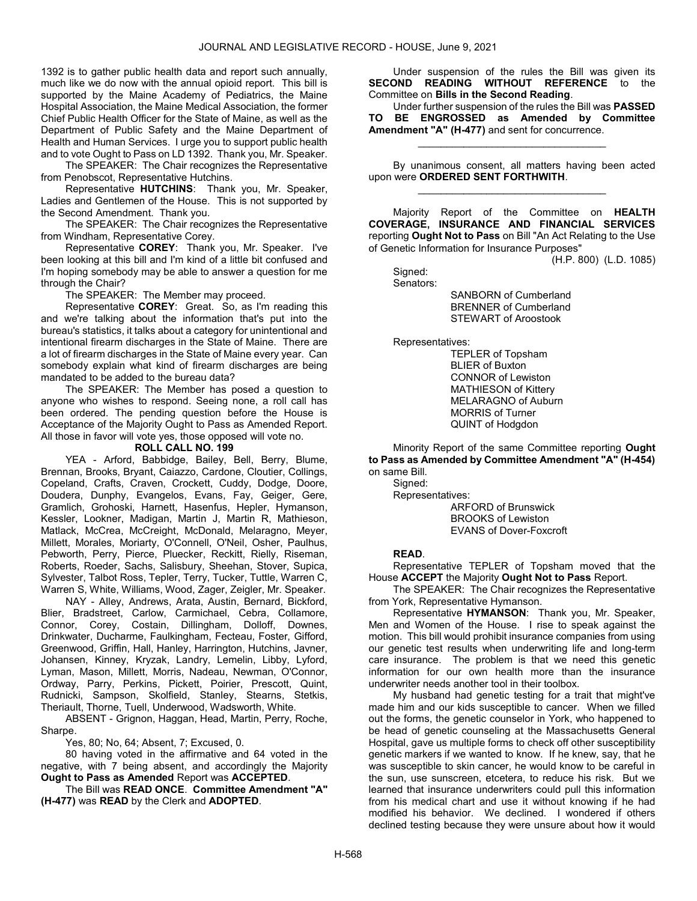1392 is to gather public health data and report such annually, much like we do now with the annual opioid report. This bill is supported by the Maine Academy of Pediatrics, the Maine Hospital Association, the Maine Medical Association, the former Chief Public Health Officer for the State of Maine, as well as the Department of Public Safety and the Maine Department of Health and Human Services. I urge you to support public health and to vote Ought to Pass on LD 1392. Thank you, Mr. Speaker.

 The SPEAKER: The Chair recognizes the Representative from Penobscot, Representative Hutchins.

 Representative HUTCHINS: Thank you, Mr. Speaker, Ladies and Gentlemen of the House. This is not supported by the Second Amendment. Thank you.

 The SPEAKER: The Chair recognizes the Representative from Windham, Representative Corey.

 Representative COREY: Thank you, Mr. Speaker. I've been looking at this bill and I'm kind of a little bit confused and I'm hoping somebody may be able to answer a question for me through the Chair?

The SPEAKER: The Member may proceed.

 Representative COREY: Great. So, as I'm reading this and we're talking about the information that's put into the bureau's statistics, it talks about a category for unintentional and intentional firearm discharges in the State of Maine. There are a lot of firearm discharges in the State of Maine every year. Can somebody explain what kind of firearm discharges are being mandated to be added to the bureau data?

 The SPEAKER: The Member has posed a question to anyone who wishes to respond. Seeing none, a roll call has been ordered. The pending question before the House is Acceptance of the Majority Ought to Pass as Amended Report. All those in favor will vote yes, those opposed will vote no.

#### ROLL CALL NO. 199

 YEA - Arford, Babbidge, Bailey, Bell, Berry, Blume, Brennan, Brooks, Bryant, Caiazzo, Cardone, Cloutier, Collings, Copeland, Crafts, Craven, Crockett, Cuddy, Dodge, Doore, Doudera, Dunphy, Evangelos, Evans, Fay, Geiger, Gere, Gramlich, Grohoski, Harnett, Hasenfus, Hepler, Hymanson, Kessler, Lookner, Madigan, Martin J, Martin R, Mathieson, Matlack, McCrea, McCreight, McDonald, Melaragno, Meyer, Millett, Morales, Moriarty, O'Connell, O'Neil, Osher, Paulhus, Pebworth, Perry, Pierce, Pluecker, Reckitt, Rielly, Riseman, Roberts, Roeder, Sachs, Salisbury, Sheehan, Stover, Supica, Sylvester, Talbot Ross, Tepler, Terry, Tucker, Tuttle, Warren C, Warren S, White, Williams, Wood, Zager, Zeigler, Mr. Speaker.

 NAY - Alley, Andrews, Arata, Austin, Bernard, Bickford, Blier, Bradstreet, Carlow, Carmichael, Cebra, Collamore, Connor, Corey, Costain, Dillingham, Dolloff, Downes, Drinkwater, Ducharme, Faulkingham, Fecteau, Foster, Gifford, Greenwood, Griffin, Hall, Hanley, Harrington, Hutchins, Javner, Johansen, Kinney, Kryzak, Landry, Lemelin, Libby, Lyford, Lyman, Mason, Millett, Morris, Nadeau, Newman, O'Connor, Ordway, Parry, Perkins, Pickett, Poirier, Prescott, Quint, Rudnicki, Sampson, Skolfield, Stanley, Stearns, Stetkis, Theriault, Thorne, Tuell, Underwood, Wadsworth, White.

 ABSENT - Grignon, Haggan, Head, Martin, Perry, Roche, Sharpe.

Yes, 80; No, 64; Absent, 7; Excused, 0.

 80 having voted in the affirmative and 64 voted in the negative, with 7 being absent, and accordingly the Majority Ought to Pass as Amended Report was ACCEPTED.

 The Bill was READ ONCE. Committee Amendment "A" (H-477) was READ by the Clerk and ADOPTED.

 Under suspension of the rules the Bill was given its SECOND READING WITHOUT REFERENCE to the Committee on Bills in the Second Reading.

 Under further suspension of the rules the Bill was PASSED TO BE ENGROSSED as Amended by Committee Amendment "A" (H-477) and sent for concurrence.

\_\_\_\_\_\_\_\_\_\_\_\_\_\_\_\_\_\_\_\_\_\_\_\_\_\_\_\_\_\_\_\_\_

 By unanimous consent, all matters having been acted upon were ORDERED SENT FORTHWITH. \_\_\_\_\_\_\_\_\_\_\_\_\_\_\_\_\_\_\_\_\_\_\_\_\_\_\_\_\_\_\_\_\_

 Majority Report of the Committee on HEALTH COVERAGE, INSURANCE AND FINANCIAL SERVICES reporting Ought Not to Pass on Bill "An Act Relating to the Use of Genetic Information for Insurance Purposes"

(H.P. 800) (L.D. 1085)

 Signed: Senators:

 SANBORN of Cumberland BRENNER of Cumberland STEWART of Aroostook

Representatives:

 TEPLER of Topsham BLIER of Buxton CONNOR of Lewiston MATHIESON of Kittery MELARAGNO of Auburn MORRIS of Turner QUINT of Hodgdon

 Minority Report of the same Committee reporting Ought to Pass as Amended by Committee Amendment "A" (H-454) on same Bill.

 Signed: Representatives:

 ARFORD of Brunswick BROOKS of Lewiston EVANS of Dover-Foxcroft

### READ.

 Representative TEPLER of Topsham moved that the House ACCEPT the Majority Ought Not to Pass Report.

 The SPEAKER: The Chair recognizes the Representative from York, Representative Hymanson.

 Representative HYMANSON: Thank you, Mr. Speaker, Men and Women of the House. I rise to speak against the motion. This bill would prohibit insurance companies from using our genetic test results when underwriting life and long-term care insurance. The problem is that we need this genetic information for our own health more than the insurance underwriter needs another tool in their toolbox.

 My husband had genetic testing for a trait that might've made him and our kids susceptible to cancer. When we filled out the forms, the genetic counselor in York, who happened to be head of genetic counseling at the Massachusetts General Hospital, gave us multiple forms to check off other susceptibility genetic markers if we wanted to know. If he knew, say, that he was susceptible to skin cancer, he would know to be careful in the sun, use sunscreen, etcetera, to reduce his risk. But we learned that insurance underwriters could pull this information from his medical chart and use it without knowing if he had modified his behavior. We declined. I wondered if others declined testing because they were unsure about how it would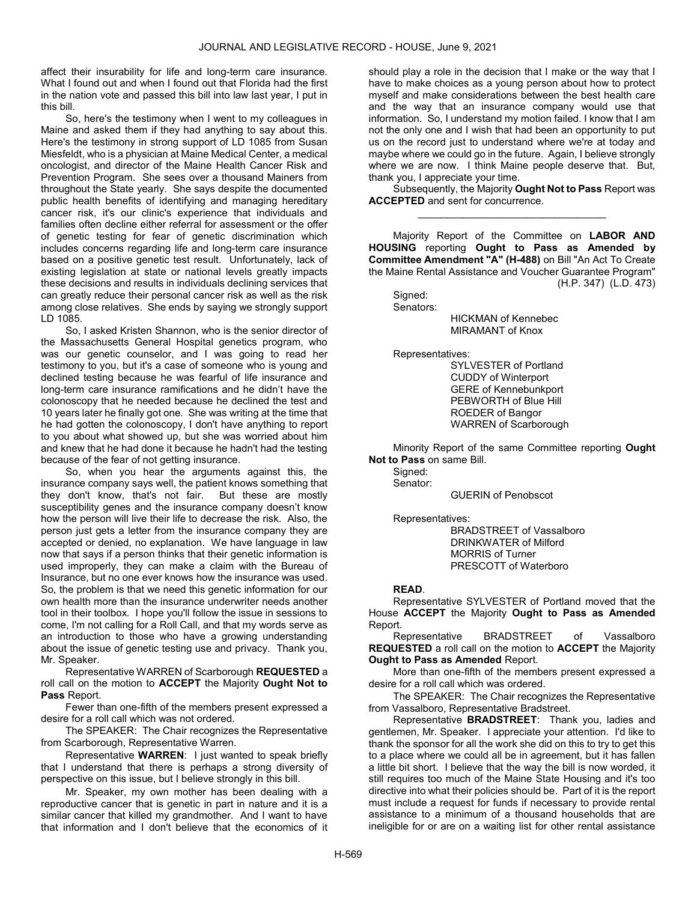affect their insurability for life and long-term care insurance. What I found out and when I found out that Florida had the first in the nation vote and passed this bill into law last year, I put in this bill.

 So, here's the testimony when I went to my colleagues in Maine and asked them if they had anything to say about this. Here's the testimony in strong support of LD 1085 from Susan Miesfeldt, who is a physician at Maine Medical Center, a medical oncologist, and director of the Maine Health Cancer Risk and Prevention Program. She sees over a thousand Mainers from throughout the State yearly. She says despite the documented public health benefits of identifying and managing hereditary cancer risk, it's our clinic's experience that individuals and families often decline either referral for assessment or the offer of genetic testing for fear of genetic discrimination which includes concerns regarding life and long-term care insurance based on a positive genetic test result. Unfortunately, lack of existing legislation at state or national levels greatly impacts these decisions and results in individuals declining services that can greatly reduce their personal cancer risk as well as the risk among close relatives. She ends by saying we strongly support LD 1085.

 So, I asked Kristen Shannon, who is the senior director of the Massachusetts General Hospital genetics program, who was our genetic counselor, and I was going to read her testimony to you, but it's a case of someone who is young and declined testing because he was fearful of life insurance and long-term care insurance ramifications and he didn't have the colonoscopy that he needed because he declined the test and 10 years later he finally got one. She was writing at the time that he had gotten the colonoscopy, I don't have anything to report to you about what showed up, but she was worried about him and knew that he had done it because he hadn't had the testing because of the fear of not getting insurance.

 So, when you hear the arguments against this, the insurance company says well, the patient knows something that they don't know, that's not fair. But these are mostly susceptibility genes and the insurance company doesn't know how the person will live their life to decrease the risk. Also, the person just gets a letter from the insurance company they are accepted or denied, no explanation. We have language in law now that says if a person thinks that their genetic information is used improperly, they can make a claim with the Bureau of Insurance, but no one ever knows how the insurance was used. So, the problem is that we need this genetic information for our own health more than the insurance underwriter needs another tool in their toolbox. I hope you'll follow the issue in sessions to come, I'm not calling for a Roll Call, and that my words serve as an introduction to those who have a growing understanding about the issue of genetic testing use and privacy. Thank you, Mr. Speaker.

 Representative WARREN of Scarborough REQUESTED a roll call on the motion to ACCEPT the Majority Ought Not to Pass Report.

 Fewer than one-fifth of the members present expressed a desire for a roll call which was not ordered.

 The SPEAKER: The Chair recognizes the Representative from Scarborough, Representative Warren.

 Representative WARREN: I just wanted to speak briefly that I understand that there is perhaps a strong diversity of perspective on this issue, but I believe strongly in this bill.

 Mr. Speaker, my own mother has been dealing with a reproductive cancer that is genetic in part in nature and it is a similar cancer that killed my grandmother. And I want to have that information and I don't believe that the economics of it

should play a role in the decision that I make or the way that I have to make choices as a young person about how to protect myself and make considerations between the best health care and the way that an insurance company would use that information. So, I understand my motion failed. I know that I am not the only one and I wish that had been an opportunity to put us on the record just to understand where we're at today and maybe where we could go in the future. Again, I believe strongly where we are now. I think Maine people deserve that. But, thank you, I appreciate your time.

 Subsequently, the Majority Ought Not to Pass Report was ACCEPTED and sent for concurrence. \_\_\_\_\_\_\_\_\_\_\_\_\_\_\_\_\_\_\_\_\_\_\_\_\_\_\_\_\_\_\_\_\_

 Majority Report of the Committee on LABOR AND HOUSING reporting Ought to Pass as Amended by Committee Amendment "A" (H-488) on Bill "An Act To Create the Maine Rental Assistance and Voucher Guarantee Program" (H.P. 347) (L.D. 473)

Signed:

Senators:

 HICKMAN of Kennebec MIRAMANT of Knox

Representatives:

 SYLVESTER of Portland CUDDY of Winterport GERE of Kennebunkport PEBWORTH of Blue Hill ROEDER of Bangor WARREN of Scarborough

 Minority Report of the same Committee reporting Ought Not to Pass on same Bill.

Sianed: Senator:

GUERIN of Penobscot

Representatives:

 BRADSTREET of Vassalboro DRINKWATER of Milford MORRIS of Turner PRESCOTT of Waterboro

### READ.

 Representative SYLVESTER of Portland moved that the House ACCEPT the Majority Ought to Pass as Amended Report.

 Representative BRADSTREET of Vassalboro REQUESTED a roll call on the motion to ACCEPT the Majority Ought to Pass as Amended Report.

 More than one-fifth of the members present expressed a desire for a roll call which was ordered.

 The SPEAKER: The Chair recognizes the Representative from Vassalboro, Representative Bradstreet.

 Representative BRADSTREET: Thank you, ladies and gentlemen, Mr. Speaker. I appreciate your attention. I'd like to thank the sponsor for all the work she did on this to try to get this to a place where we could all be in agreement, but it has fallen a little bit short. I believe that the way the bill is now worded, it still requires too much of the Maine State Housing and it's too directive into what their policies should be. Part of it is the report must include a request for funds if necessary to provide rental assistance to a minimum of a thousand households that are ineligible for or are on a waiting list for other rental assistance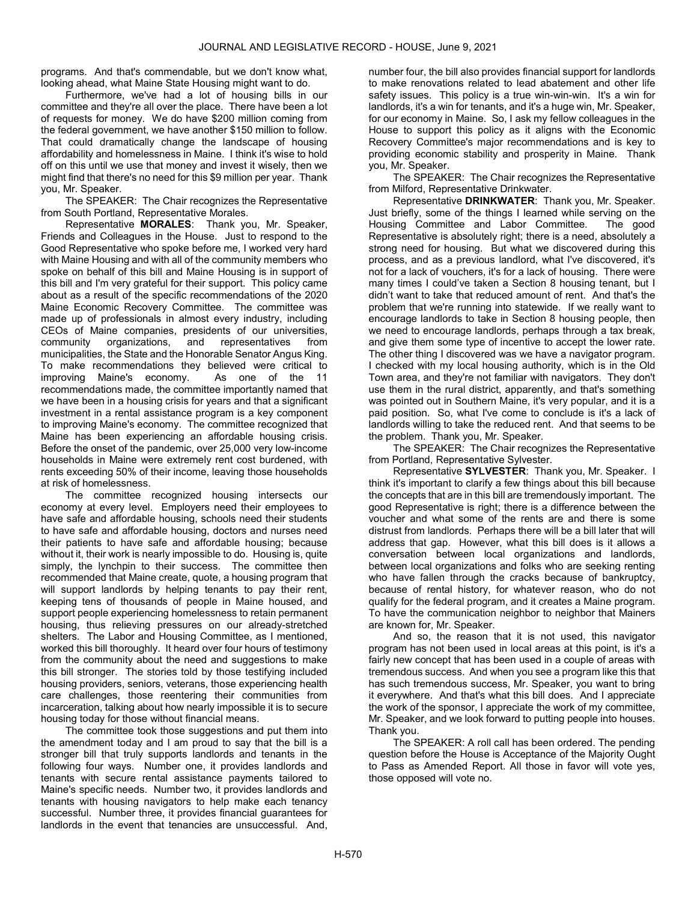programs. And that's commendable, but we don't know what, looking ahead, what Maine State Housing might want to do.

 Furthermore, we've had a lot of housing bills in our committee and they're all over the place. There have been a lot of requests for money. We do have \$200 million coming from the federal government, we have another \$150 million to follow. That could dramatically change the landscape of housing affordability and homelessness in Maine. I think it's wise to hold off on this until we use that money and invest it wisely, then we might find that there's no need for this \$9 million per year. Thank you, Mr. Speaker.

 The SPEAKER: The Chair recognizes the Representative from South Portland, Representative Morales.

 Representative MORALES: Thank you, Mr. Speaker, Friends and Colleagues in the House. Just to respond to the Good Representative who spoke before me, I worked very hard with Maine Housing and with all of the community members who spoke on behalf of this bill and Maine Housing is in support of this bill and I'm very grateful for their support. This policy came about as a result of the specific recommendations of the 2020 Maine Economic Recovery Committee. The committee was made up of professionals in almost every industry, including CEOs of Maine companies, presidents of our universities, community organizations, and representatives from municipalities, the State and the Honorable Senator Angus King. To make recommendations they believed were critical to improving Maine's economy. As one of the 11 recommendations made, the committee importantly named that we have been in a housing crisis for years and that a significant investment in a rental assistance program is a key component to improving Maine's economy. The committee recognized that Maine has been experiencing an affordable housing crisis. Before the onset of the pandemic, over 25,000 very low-income households in Maine were extremely rent cost burdened, with rents exceeding 50% of their income, leaving those households at risk of homelessness.

 The committee recognized housing intersects our economy at every level. Employers need their employees to have safe and affordable housing, schools need their students to have safe and affordable housing, doctors and nurses need their patients to have safe and affordable housing; because without it, their work is nearly impossible to do. Housing is, quite simply, the lynchpin to their success. The committee then recommended that Maine create, quote, a housing program that will support landlords by helping tenants to pay their rent, keeping tens of thousands of people in Maine housed, and support people experiencing homelessness to retain permanent housing, thus relieving pressures on our already-stretched shelters. The Labor and Housing Committee, as I mentioned, worked this bill thoroughly. It heard over four hours of testimony from the community about the need and suggestions to make this bill stronger. The stories told by those testifying included housing providers, seniors, veterans, those experiencing health care challenges, those reentering their communities from incarceration, talking about how nearly impossible it is to secure housing today for those without financial means.

 The committee took those suggestions and put them into the amendment today and I am proud to say that the bill is a stronger bill that truly supports landlords and tenants in the following four ways. Number one, it provides landlords and tenants with secure rental assistance payments tailored to Maine's specific needs. Number two, it provides landlords and tenants with housing navigators to help make each tenancy successful. Number three, it provides financial guarantees for landlords in the event that tenancies are unsuccessful. And,

number four, the bill also provides financial support for landlords to make renovations related to lead abatement and other life safety issues. This policy is a true win-win-win. It's a win for landlords, it's a win for tenants, and it's a huge win, Mr. Speaker, for our economy in Maine. So, I ask my fellow colleagues in the House to support this policy as it aligns with the Economic Recovery Committee's major recommendations and is key to providing economic stability and prosperity in Maine. Thank you, Mr. Speaker.

 The SPEAKER: The Chair recognizes the Representative from Milford, Representative Drinkwater.

 Representative DRINKWATER: Thank you, Mr. Speaker. Just briefly, some of the things I learned while serving on the Housing Committee and Labor Committee. The good Representative is absolutely right; there is a need, absolutely a strong need for housing. But what we discovered during this process, and as a previous landlord, what I've discovered, it's not for a lack of vouchers, it's for a lack of housing. There were many times I could've taken a Section 8 housing tenant, but I didn't want to take that reduced amount of rent. And that's the problem that we're running into statewide. If we really want to encourage landlords to take in Section 8 housing people, then we need to encourage landlords, perhaps through a tax break, and give them some type of incentive to accept the lower rate. The other thing I discovered was we have a navigator program. I checked with my local housing authority, which is in the Old Town area, and they're not familiar with navigators. They don't use them in the rural district, apparently, and that's something was pointed out in Southern Maine, it's very popular, and it is a paid position. So, what I've come to conclude is it's a lack of landlords willing to take the reduced rent. And that seems to be the problem. Thank you, Mr. Speaker.

 The SPEAKER: The Chair recognizes the Representative from Portland, Representative Sylvester.

 Representative SYLVESTER: Thank you, Mr. Speaker. I think it's important to clarify a few things about this bill because the concepts that are in this bill are tremendously important. The good Representative is right; there is a difference between the voucher and what some of the rents are and there is some distrust from landlords. Perhaps there will be a bill later that will address that gap. However, what this bill does is it allows a conversation between local organizations and landlords, between local organizations and folks who are seeking renting who have fallen through the cracks because of bankruptcy, because of rental history, for whatever reason, who do not qualify for the federal program, and it creates a Maine program. To have the communication neighbor to neighbor that Mainers are known for, Mr. Speaker.

 And so, the reason that it is not used, this navigator program has not been used in local areas at this point, is it's a fairly new concept that has been used in a couple of areas with tremendous success. And when you see a program like this that has such tremendous success, Mr. Speaker, you want to bring it everywhere. And that's what this bill does. And I appreciate the work of the sponsor, I appreciate the work of my committee, Mr. Speaker, and we look forward to putting people into houses. Thank you.

 The SPEAKER: A roll call has been ordered. The pending question before the House is Acceptance of the Majority Ought to Pass as Amended Report. All those in favor will vote yes, those opposed will vote no.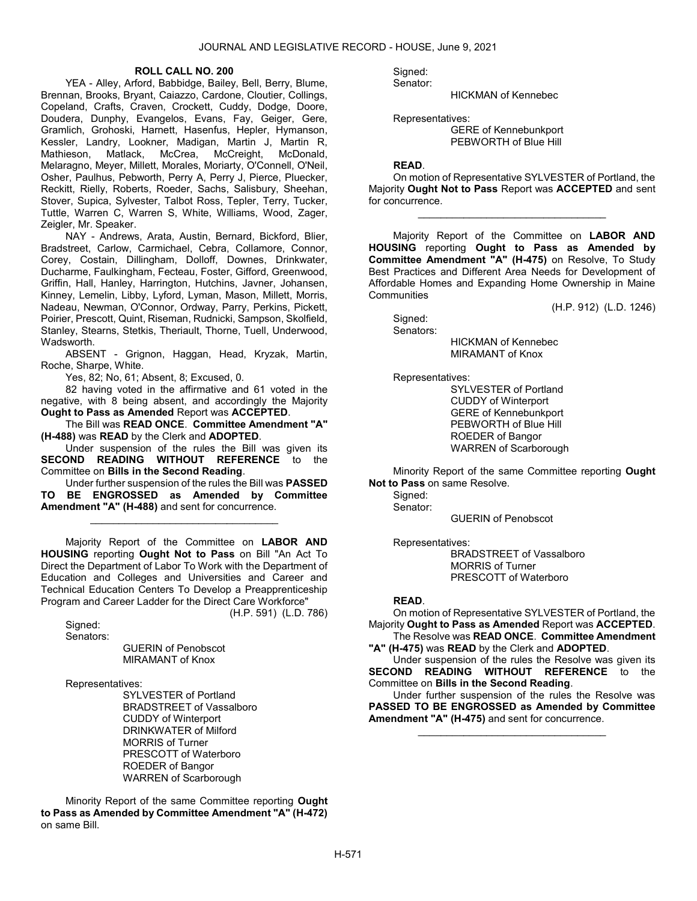### ROLL CALL NO. 200

 YEA - Alley, Arford, Babbidge, Bailey, Bell, Berry, Blume, Brennan, Brooks, Bryant, Caiazzo, Cardone, Cloutier, Collings, Copeland, Crafts, Craven, Crockett, Cuddy, Dodge, Doore, Doudera, Dunphy, Evangelos, Evans, Fay, Geiger, Gere, Gramlich, Grohoski, Harnett, Hasenfus, Hepler, Hymanson, Kessler, Landry, Lookner, Madigan, Martin J, Martin R, Mathieson, Matlack, McCrea, McCreight, McDonald, Melaragno, Meyer, Millett, Morales, Moriarty, O'Connell, O'Neil, Osher, Paulhus, Pebworth, Perry A, Perry J, Pierce, Pluecker, Reckitt, Rielly, Roberts, Roeder, Sachs, Salisbury, Sheehan, Stover, Supica, Sylvester, Talbot Ross, Tepler, Terry, Tucker, Tuttle, Warren C, Warren S, White, Williams, Wood, Zager, Zeigler, Mr. Speaker.

 NAY - Andrews, Arata, Austin, Bernard, Bickford, Blier, Bradstreet, Carlow, Carmichael, Cebra, Collamore, Connor, Corey, Costain, Dillingham, Dolloff, Downes, Drinkwater, Ducharme, Faulkingham, Fecteau, Foster, Gifford, Greenwood, Griffin, Hall, Hanley, Harrington, Hutchins, Javner, Johansen, Kinney, Lemelin, Libby, Lyford, Lyman, Mason, Millett, Morris, Nadeau, Newman, O'Connor, Ordway, Parry, Perkins, Pickett, Poirier, Prescott, Quint, Riseman, Rudnicki, Sampson, Skolfield, Stanley, Stearns, Stetkis, Theriault, Thorne, Tuell, Underwood, Wadsworth.

 ABSENT - Grignon, Haggan, Head, Kryzak, Martin, Roche, Sharpe, White.

Yes, 82; No, 61; Absent, 8; Excused, 0.

 82 having voted in the affirmative and 61 voted in the negative, with 8 being absent, and accordingly the Majority Ought to Pass as Amended Report was ACCEPTED.

 The Bill was READ ONCE. Committee Amendment "A" (H-488) was READ by the Clerk and ADOPTED.

 Under suspension of the rules the Bill was given its SECOND READING WITHOUT REFERENCE to the Committee on Bills in the Second Reading.

 Under further suspension of the rules the Bill was PASSED TO BE ENGROSSED as Amended by Committee Amendment "A" (H-488) and sent for concurrence.

\_\_\_\_\_\_\_\_\_\_\_\_\_\_\_\_\_\_\_\_\_\_\_\_\_\_\_\_\_\_\_\_\_

 Majority Report of the Committee on LABOR AND HOUSING reporting Ought Not to Pass on Bill "An Act To Direct the Department of Labor To Work with the Department of Education and Colleges and Universities and Career and Technical Education Centers To Develop a Preapprenticeship Program and Career Ladder for the Direct Care Workforce"

(H.P. 591) (L.D. 786)

 Signed: Senators:

> GUERIN of Penobscot MIRAMANT of Knox

Representatives:

 SYLVESTER of Portland BRADSTREET of Vassalboro CUDDY of Winterport DRINKWATER of Milford MORRIS of Turner PRESCOTT of Waterboro ROEDER of Bangor WARREN of Scarborough

 Minority Report of the same Committee reporting Ought to Pass as Amended by Committee Amendment "A" (H-472) on same Bill.

 Signed: Senator:

HICKMAN of Kennebec

Representatives:

 GERE of Kennebunkport PEBWORTH of Blue Hill

### READ.

 On motion of Representative SYLVESTER of Portland, the Majority Ought Not to Pass Report was ACCEPTED and sent for concurrence.

\_\_\_\_\_\_\_\_\_\_\_\_\_\_\_\_\_\_\_\_\_\_\_\_\_\_\_\_\_\_\_\_\_

 Majority Report of the Committee on LABOR AND HOUSING reporting Ought to Pass as Amended by Committee Amendment "A" (H-475) on Resolve, To Study Best Practices and Different Area Needs for Development of Affordable Homes and Expanding Home Ownership in Maine **Communities** 

(H.P. 912) (L.D. 1246)

 Signed: Senators:

 HICKMAN of Kennebec MIRAMANT of Knox

Representatives:

 SYLVESTER of Portland CUDDY of Winterport GERE of Kennebunkport PEBWORTH of Blue Hill ROEDER of Bangor WARREN of Scarborough

 Minority Report of the same Committee reporting Ought Not to Pass on same Resolve.

 Signed: Senator:

GUERIN of Penobscot

Representatives:

 BRADSTREET of Vassalboro MORRIS of Turner PRESCOTT of Waterboro

# READ.

 On motion of Representative SYLVESTER of Portland, the Majority Ought to Pass as Amended Report was ACCEPTED.

 The Resolve was READ ONCE. Committee Amendment "A" (H-475) was READ by the Clerk and ADOPTED.

 Under suspension of the rules the Resolve was given its SECOND READING WITHOUT REFERENCE to the Committee on Bills in the Second Reading.

 Under further suspension of the rules the Resolve was PASSED TO BE ENGROSSED as Amended by Committee Amendment "A" (H-475) and sent for concurrence.

\_\_\_\_\_\_\_\_\_\_\_\_\_\_\_\_\_\_\_\_\_\_\_\_\_\_\_\_\_\_\_\_\_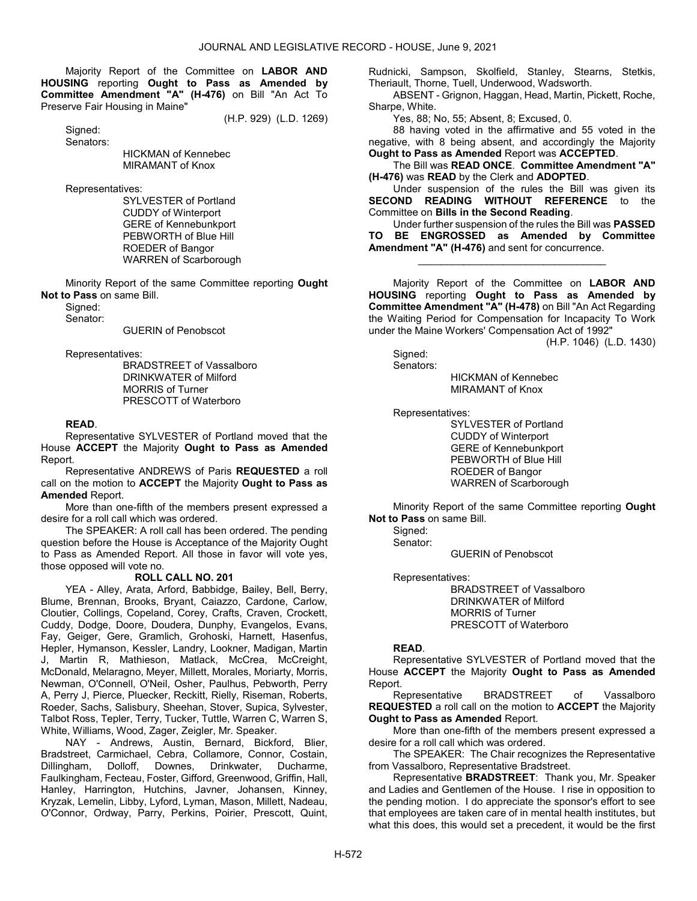Majority Report of the Committee on LABOR AND HOUSING reporting Ought to Pass as Amended by Committee Amendment "A" (H-476) on Bill "An Act To Preserve Fair Housing in Maine"

(H.P. 929) (L.D. 1269)

 Signed: Senators:

 HICKMAN of Kennebec MIRAMANT of Knox

Representatives:

 SYLVESTER of Portland CUDDY of Winterport GERE of Kennebunkport PEBWORTH of Blue Hill ROEDER of Bangor WARREN of Scarborough

 Minority Report of the same Committee reporting Ought Not to Pass on same Bill.

Signed:

Senator:

GUERIN of Penobscot

Representatives:

 BRADSTREET of Vassalboro DRINKWATER of Milford MORRIS of Turner PRESCOTT of Waterboro

## READ.

 Representative SYLVESTER of Portland moved that the House ACCEPT the Majority Ought to Pass as Amended Report.

 Representative ANDREWS of Paris REQUESTED a roll call on the motion to ACCEPT the Majority Ought to Pass as Amended Report.

 More than one-fifth of the members present expressed a desire for a roll call which was ordered.

 The SPEAKER: A roll call has been ordered. The pending question before the House is Acceptance of the Majority Ought to Pass as Amended Report. All those in favor will vote yes, those opposed will vote no.

# ROLL CALL NO. 201

 YEA - Alley, Arata, Arford, Babbidge, Bailey, Bell, Berry, Blume, Brennan, Brooks, Bryant, Caiazzo, Cardone, Carlow, Cloutier, Collings, Copeland, Corey, Crafts, Craven, Crockett, Cuddy, Dodge, Doore, Doudera, Dunphy, Evangelos, Evans, Fay, Geiger, Gere, Gramlich, Grohoski, Harnett, Hasenfus, Hepler, Hymanson, Kessler, Landry, Lookner, Madigan, Martin J, Martin R, Mathieson, Matlack, McCrea, McCreight, McDonald, Melaragno, Meyer, Millett, Morales, Moriarty, Morris, Newman, O'Connell, O'Neil, Osher, Paulhus, Pebworth, Perry A, Perry J, Pierce, Pluecker, Reckitt, Rielly, Riseman, Roberts, Roeder, Sachs, Salisbury, Sheehan, Stover, Supica, Sylvester, Talbot Ross, Tepler, Terry, Tucker, Tuttle, Warren C, Warren S, White, Williams, Wood, Zager, Zeigler, Mr. Speaker.

 NAY - Andrews, Austin, Bernard, Bickford, Blier, Bradstreet, Carmichael, Cebra, Collamore, Connor, Costain, Dillingham, Dolloff, Downes, Drinkwater, Ducharme, Faulkingham, Fecteau, Foster, Gifford, Greenwood, Griffin, Hall, Hanley, Harrington, Hutchins, Javner, Johansen, Kinney, Kryzak, Lemelin, Libby, Lyford, Lyman, Mason, Millett, Nadeau, O'Connor, Ordway, Parry, Perkins, Poirier, Prescott, Quint, Rudnicki, Sampson, Skolfield, Stanley, Stearns, Stetkis, Theriault, Thorne, Tuell, Underwood, Wadsworth.

 ABSENT - Grignon, Haggan, Head, Martin, Pickett, Roche, Sharpe, White.

Yes, 88; No, 55; Absent, 8; Excused, 0.

 88 having voted in the affirmative and 55 voted in the negative, with 8 being absent, and accordingly the Majority Ought to Pass as Amended Report was ACCEPTED.

 The Bill was READ ONCE. Committee Amendment "A" (H-476) was READ by the Clerk and ADOPTED.

 Under suspension of the rules the Bill was given its SECOND READING WITHOUT REFERENCE to the Committee on Bills in the Second Reading.

 Under further suspension of the rules the Bill was PASSED TO BE ENGROSSED as Amended by Committee Amendment "A" (H-476) and sent for concurrence.

\_\_\_\_\_\_\_\_\_\_\_\_\_\_\_\_\_\_\_\_\_\_\_\_\_\_\_\_\_\_\_\_\_

 Majority Report of the Committee on LABOR AND HOUSING reporting Ought to Pass as Amended by Committee Amendment "A" (H-478) on Bill "An Act Regarding the Waiting Period for Compensation for Incapacity To Work under the Maine Workers' Compensation Act of 1992"

(H.P. 1046) (L.D. 1430)

Signed: Senators:

 HICKMAN of Kennebec MIRAMANT of Knox

Representatives:

 SYLVESTER of Portland CUDDY of Winterport GERE of Kennebunkport PEBWORTH of Blue Hill ROEDER of Bangor WARREN of Scarborough

 Minority Report of the same Committee reporting Ought Not to Pass on same Bill.

Signed:

Senator:

GUERIN of Penobscot

Representatives:

 BRADSTREET of Vassalboro DRINKWATER of Milford MORRIS of Turner PRESCOTT of Waterboro

# READ.

 Representative SYLVESTER of Portland moved that the House ACCEPT the Majority Ought to Pass as Amended Report.

 Representative BRADSTREET of Vassalboro REQUESTED a roll call on the motion to ACCEPT the Majority Ought to Pass as Amended Report.

 More than one-fifth of the members present expressed a desire for a roll call which was ordered.

 The SPEAKER: The Chair recognizes the Representative from Vassalboro, Representative Bradstreet.

 Representative BRADSTREET: Thank you, Mr. Speaker and Ladies and Gentlemen of the House. I rise in opposition to the pending motion. I do appreciate the sponsor's effort to see that employees are taken care of in mental health institutes, but what this does, this would set a precedent, it would be the first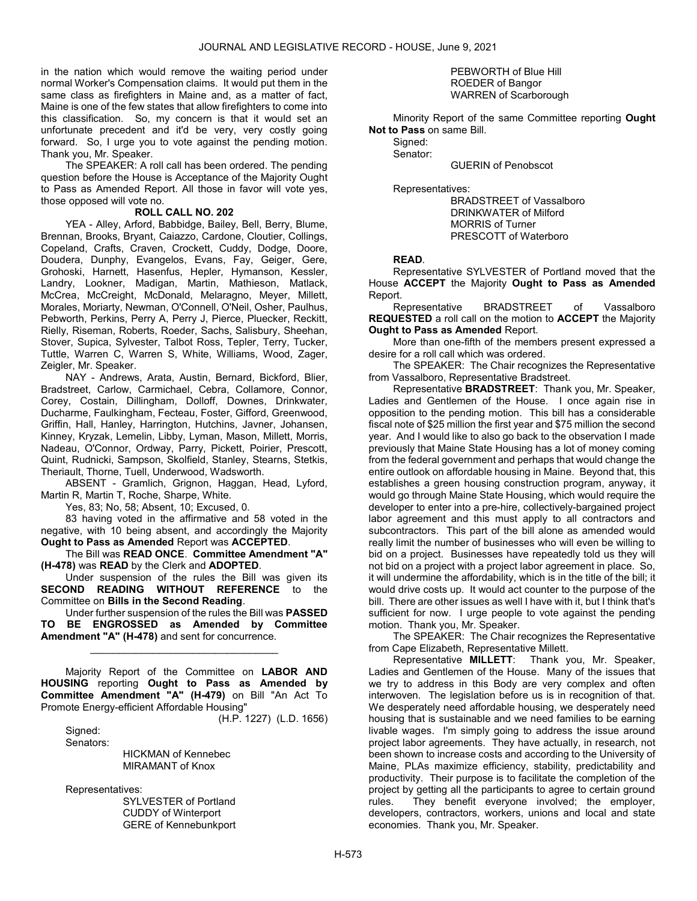in the nation which would remove the waiting period under normal Worker's Compensation claims. It would put them in the same class as firefighters in Maine and, as a matter of fact, Maine is one of the few states that allow firefighters to come into this classification. So, my concern is that it would set an unfortunate precedent and it'd be very, very costly going forward. So, I urge you to vote against the pending motion. Thank you, Mr. Speaker.

 The SPEAKER: A roll call has been ordered. The pending question before the House is Acceptance of the Majority Ought to Pass as Amended Report. All those in favor will vote yes, those opposed will vote no.

### ROLL CALL NO. 202

 YEA - Alley, Arford, Babbidge, Bailey, Bell, Berry, Blume, Brennan, Brooks, Bryant, Caiazzo, Cardone, Cloutier, Collings, Copeland, Crafts, Craven, Crockett, Cuddy, Dodge, Doore, Doudera, Dunphy, Evangelos, Evans, Fay, Geiger, Gere, Grohoski, Harnett, Hasenfus, Hepler, Hymanson, Kessler, Landry, Lookner, Madigan, Martin, Mathieson, Matlack, McCrea, McCreight, McDonald, Melaragno, Meyer, Millett, Morales, Moriarty, Newman, O'Connell, O'Neil, Osher, Paulhus, Pebworth, Perkins, Perry A, Perry J, Pierce, Pluecker, Reckitt, Rielly, Riseman, Roberts, Roeder, Sachs, Salisbury, Sheehan, Stover, Supica, Sylvester, Talbot Ross, Tepler, Terry, Tucker, Tuttle, Warren C, Warren S, White, Williams, Wood, Zager, Zeigler, Mr. Speaker.

 NAY - Andrews, Arata, Austin, Bernard, Bickford, Blier, Bradstreet, Carlow, Carmichael, Cebra, Collamore, Connor, Corey, Costain, Dillingham, Dolloff, Downes, Drinkwater, Ducharme, Faulkingham, Fecteau, Foster, Gifford, Greenwood, Griffin, Hall, Hanley, Harrington, Hutchins, Javner, Johansen, Kinney, Kryzak, Lemelin, Libby, Lyman, Mason, Millett, Morris, Nadeau, O'Connor, Ordway, Parry, Pickett, Poirier, Prescott, Quint, Rudnicki, Sampson, Skolfield, Stanley, Stearns, Stetkis, Theriault, Thorne, Tuell, Underwood, Wadsworth.

 ABSENT - Gramlich, Grignon, Haggan, Head, Lyford, Martin R, Martin T, Roche, Sharpe, White.

Yes, 83; No, 58; Absent, 10; Excused, 0.

 83 having voted in the affirmative and 58 voted in the negative, with 10 being absent, and accordingly the Majority Ought to Pass as Amended Report was ACCEPTED.

 The Bill was READ ONCE. Committee Amendment "A" (H-478) was READ by the Clerk and ADOPTED.

 Under suspension of the rules the Bill was given its SECOND READING WITHOUT REFERENCE to the Committee on Bills in the Second Reading.

 Under further suspension of the rules the Bill was PASSED TO BE ENGROSSED as Amended by Committee Amendment "A" (H-478) and sent for concurrence.

\_\_\_\_\_\_\_\_\_\_\_\_\_\_\_\_\_\_\_\_\_\_\_\_\_\_\_\_\_\_\_\_\_

 Majority Report of the Committee on LABOR AND HOUSING reporting Ought to Pass as Amended by Committee Amendment "A" (H-479) on Bill "An Act To Promote Energy-efficient Affordable Housing"

(H.P. 1227) (L.D. 1656)

Sianed: Senators:

 HICKMAN of Kennebec MIRAMANT of Knox

Representatives:

 SYLVESTER of Portland CUDDY of Winterport GERE of Kennebunkport

### PEBWORTH of Blue Hill ROEDER of Bangor WARREN of Scarborough

 Minority Report of the same Committee reporting Ought Not to Pass on same Bill.

 Signed: Senator:

GUERIN of Penobscot

Representatives:

 BRADSTREET of Vassalboro DRINKWATER of Milford MORRIS of Turner PRESCOTT of Waterboro

### READ.

 Representative SYLVESTER of Portland moved that the House ACCEPT the Majority Ought to Pass as Amended Report.

 Representative BRADSTREET of Vassalboro REQUESTED a roll call on the motion to ACCEPT the Majority Ought to Pass as Amended Report.

 More than one-fifth of the members present expressed a desire for a roll call which was ordered.

 The SPEAKER: The Chair recognizes the Representative from Vassalboro, Representative Bradstreet.

 Representative BRADSTREET: Thank you, Mr. Speaker, Ladies and Gentlemen of the House. I once again rise in opposition to the pending motion. This bill has a considerable fiscal note of \$25 million the first year and \$75 million the second year. And I would like to also go back to the observation I made previously that Maine State Housing has a lot of money coming from the federal government and perhaps that would change the entire outlook on affordable housing in Maine. Beyond that, this establishes a green housing construction program, anyway, it would go through Maine State Housing, which would require the developer to enter into a pre-hire, collectively-bargained project labor agreement and this must apply to all contractors and subcontractors. This part of the bill alone as amended would really limit the number of businesses who will even be willing to bid on a project. Businesses have repeatedly told us they will not bid on a project with a project labor agreement in place. So, it will undermine the affordability, which is in the title of the bill; it would drive costs up. It would act counter to the purpose of the bill. There are other issues as well I have with it, but I think that's sufficient for now. I urge people to vote against the pending motion. Thank you, Mr. Speaker.

 The SPEAKER: The Chair recognizes the Representative from Cape Elizabeth, Representative Millett.

 Representative MILLETT: Thank you, Mr. Speaker, Ladies and Gentlemen of the House. Many of the issues that we try to address in this Body are very complex and often interwoven. The legislation before us is in recognition of that. We desperately need affordable housing, we desperately need housing that is sustainable and we need families to be earning livable wages. I'm simply going to address the issue around project labor agreements. They have actually, in research, not been shown to increase costs and according to the University of Maine, PLAs maximize efficiency, stability, predictability and productivity. Their purpose is to facilitate the completion of the project by getting all the participants to agree to certain ground rules. They benefit everyone involved; the employer, developers, contractors, workers, unions and local and state economies. Thank you, Mr. Speaker.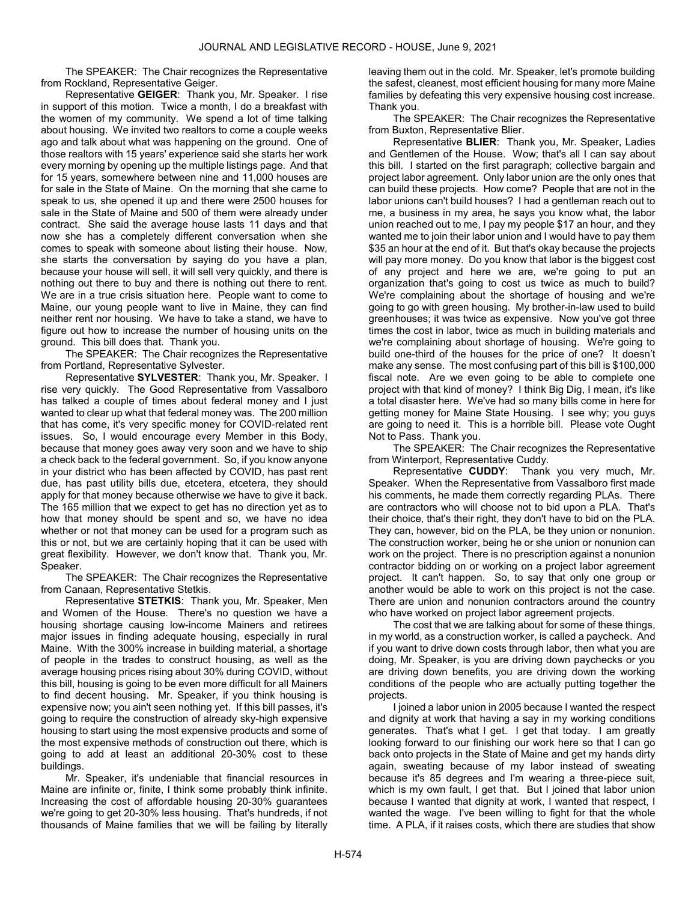The SPEAKER: The Chair recognizes the Representative from Rockland, Representative Geiger.

 Representative GEIGER: Thank you, Mr. Speaker. I rise in support of this motion. Twice a month, I do a breakfast with the women of my community. We spend a lot of time talking about housing. We invited two realtors to come a couple weeks ago and talk about what was happening on the ground. One of those realtors with 15 years' experience said she starts her work every morning by opening up the multiple listings page. And that for 15 years, somewhere between nine and 11,000 houses are for sale in the State of Maine. On the morning that she came to speak to us, she opened it up and there were 2500 houses for sale in the State of Maine and 500 of them were already under contract. She said the average house lasts 11 days and that now she has a completely different conversation when she comes to speak with someone about listing their house. Now, she starts the conversation by saying do you have a plan, because your house will sell, it will sell very quickly, and there is nothing out there to buy and there is nothing out there to rent. We are in a true crisis situation here. People want to come to Maine, our young people want to live in Maine, they can find neither rent nor housing. We have to take a stand, we have to figure out how to increase the number of housing units on the ground. This bill does that. Thank you.

 The SPEAKER: The Chair recognizes the Representative from Portland, Representative Sylvester.

 Representative SYLVESTER: Thank you, Mr. Speaker. I rise very quickly. The Good Representative from Vassalboro has talked a couple of times about federal money and I just wanted to clear up what that federal money was. The 200 million that has come, it's very specific money for COVID-related rent issues. So, I would encourage every Member in this Body, because that money goes away very soon and we have to ship a check back to the federal government. So, if you know anyone in your district who has been affected by COVID, has past rent due, has past utility bills due, etcetera, etcetera, they should apply for that money because otherwise we have to give it back. The 165 million that we expect to get has no direction yet as to how that money should be spent and so, we have no idea whether or not that money can be used for a program such as this or not, but we are certainly hoping that it can be used with great flexibility. However, we don't know that. Thank you, Mr. Speaker.

 The SPEAKER: The Chair recognizes the Representative from Canaan, Representative Stetkis.

 Representative STETKIS: Thank you, Mr. Speaker, Men and Women of the House. There's no question we have a housing shortage causing low-income Mainers and retirees major issues in finding adequate housing, especially in rural Maine. With the 300% increase in building material, a shortage of people in the trades to construct housing, as well as the average housing prices rising about 30% during COVID, without this bill, housing is going to be even more difficult for all Mainers to find decent housing. Mr. Speaker, if you think housing is expensive now; you ain't seen nothing yet. If this bill passes, it's going to require the construction of already sky-high expensive housing to start using the most expensive products and some of the most expensive methods of construction out there, which is going to add at least an additional 20-30% cost to these buildings.

 Mr. Speaker, it's undeniable that financial resources in Maine are infinite or, finite, I think some probably think infinite. Increasing the cost of affordable housing 20-30% guarantees we're going to get 20-30% less housing. That's hundreds, if not thousands of Maine families that we will be failing by literally

leaving them out in the cold. Mr. Speaker, let's promote building the safest, cleanest, most efficient housing for many more Maine families by defeating this very expensive housing cost increase. Thank you.

 The SPEAKER: The Chair recognizes the Representative from Buxton, Representative Blier.

 Representative BLIER: Thank you, Mr. Speaker, Ladies and Gentlemen of the House. Wow; that's all I can say about this bill. I started on the first paragraph; collective bargain and project labor agreement. Only labor union are the only ones that can build these projects. How come? People that are not in the labor unions can't build houses? I had a gentleman reach out to me, a business in my area, he says you know what, the labor union reached out to me, I pay my people \$17 an hour, and they wanted me to join their labor union and I would have to pay them \$35 an hour at the end of it. But that's okay because the projects will pay more money. Do you know that labor is the biggest cost of any project and here we are, we're going to put an organization that's going to cost us twice as much to build? We're complaining about the shortage of housing and we're going to go with green housing. My brother-in-law used to build greenhouses; it was twice as expensive. Now you've got three times the cost in labor, twice as much in building materials and we're complaining about shortage of housing. We're going to build one-third of the houses for the price of one? It doesn't make any sense. The most confusing part of this bill is \$100,000 fiscal note. Are we even going to be able to complete one project with that kind of money? I think Big Dig, I mean, it's like a total disaster here. We've had so many bills come in here for getting money for Maine State Housing. I see why; you guys are going to need it. This is a horrible bill. Please vote Ought Not to Pass. Thank you.

 The SPEAKER: The Chair recognizes the Representative from Winterport, Representative Cuddy.

 Representative CUDDY: Thank you very much, Mr. Speaker. When the Representative from Vassalboro first made his comments, he made them correctly regarding PLAs. There are contractors who will choose not to bid upon a PLA. That's their choice, that's their right, they don't have to bid on the PLA. They can, however, bid on the PLA, be they union or nonunion. The construction worker, being he or she union or nonunion can work on the project. There is no prescription against a nonunion contractor bidding on or working on a project labor agreement project. It can't happen. So, to say that only one group or another would be able to work on this project is not the case. There are union and nonunion contractors around the country who have worked on project labor agreement projects.

 The cost that we are talking about for some of these things, in my world, as a construction worker, is called a paycheck. And if you want to drive down costs through labor, then what you are doing, Mr. Speaker, is you are driving down paychecks or you are driving down benefits, you are driving down the working conditions of the people who are actually putting together the projects.

 I joined a labor union in 2005 because I wanted the respect and dignity at work that having a say in my working conditions generates. That's what I get. I get that today. I am greatly looking forward to our finishing our work here so that I can go back onto projects in the State of Maine and get my hands dirty again, sweating because of my labor instead of sweating because it's 85 degrees and I'm wearing a three-piece suit, which is my own fault, I get that. But I joined that labor union because I wanted that dignity at work, I wanted that respect, I wanted the wage. I've been willing to fight for that the whole time. A PLA, if it raises costs, which there are studies that show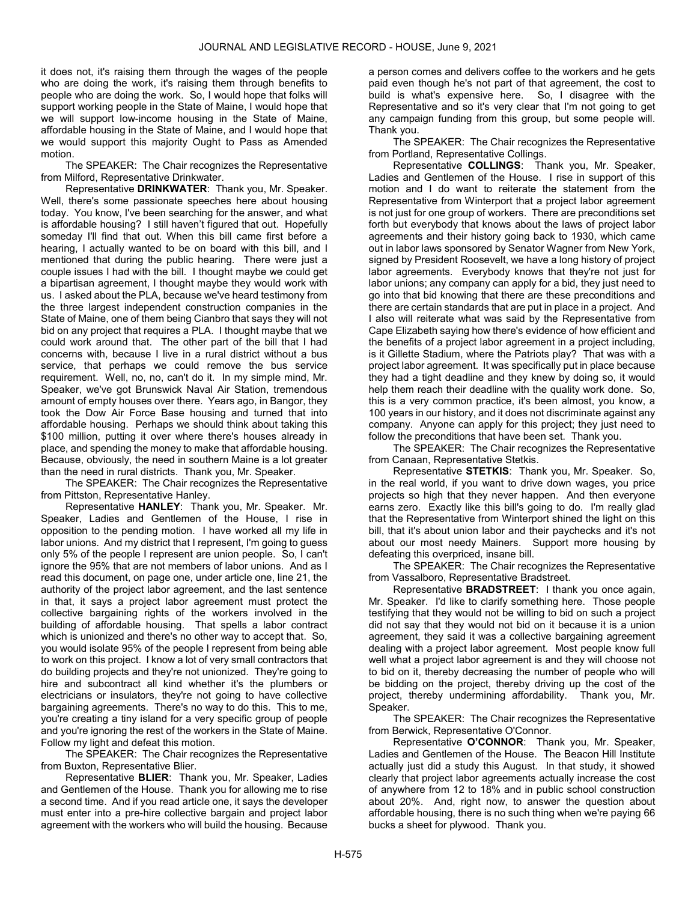it does not, it's raising them through the wages of the people who are doing the work, it's raising them through benefits to people who are doing the work. So, I would hope that folks will support working people in the State of Maine, I would hope that we will support low-income housing in the State of Maine, affordable housing in the State of Maine, and I would hope that we would support this majority Ought to Pass as Amended motion.

 The SPEAKER: The Chair recognizes the Representative from Milford, Representative Drinkwater.

 Representative DRINKWATER: Thank you, Mr. Speaker. Well, there's some passionate speeches here about housing today. You know, I've been searching for the answer, and what is affordable housing? I still haven't figured that out. Hopefully someday I'll find that out. When this bill came first before a hearing, I actually wanted to be on board with this bill, and I mentioned that during the public hearing. There were just a couple issues I had with the bill. I thought maybe we could get a bipartisan agreement, I thought maybe they would work with us. I asked about the PLA, because we've heard testimony from the three largest independent construction companies in the State of Maine, one of them being Cianbro that says they will not bid on any project that requires a PLA. I thought maybe that we could work around that. The other part of the bill that I had concerns with, because I live in a rural district without a bus service, that perhaps we could remove the bus service requirement. Well, no, no, can't do it. In my simple mind, Mr. Speaker, we've got Brunswick Naval Air Station, tremendous amount of empty houses over there. Years ago, in Bangor, they took the Dow Air Force Base housing and turned that into affordable housing. Perhaps we should think about taking this \$100 million, putting it over where there's houses already in place, and spending the money to make that affordable housing. Because, obviously, the need in southern Maine is a lot greater than the need in rural districts. Thank you, Mr. Speaker.

 The SPEAKER: The Chair recognizes the Representative from Pittston, Representative Hanley.

 Representative HANLEY: Thank you, Mr. Speaker. Mr. Speaker, Ladies and Gentlemen of the House, I rise in opposition to the pending motion. I have worked all my life in labor unions. And my district that I represent, I'm going to guess only 5% of the people I represent are union people. So, I can't ignore the 95% that are not members of labor unions. And as I read this document, on page one, under article one, line 21, the authority of the project labor agreement, and the last sentence in that, it says a project labor agreement must protect the collective bargaining rights of the workers involved in the building of affordable housing. That spells a labor contract which is unionized and there's no other way to accept that. So, you would isolate 95% of the people I represent from being able to work on this project. I know a lot of very small contractors that do building projects and they're not unionized. They're going to hire and subcontract all kind whether it's the plumbers or electricians or insulators, they're not going to have collective bargaining agreements. There's no way to do this. This to me, you're creating a tiny island for a very specific group of people and you're ignoring the rest of the workers in the State of Maine. Follow my light and defeat this motion.

 The SPEAKER: The Chair recognizes the Representative from Buxton, Representative Blier.

 Representative BLIER: Thank you, Mr. Speaker, Ladies and Gentlemen of the House. Thank you for allowing me to rise a second time. And if you read article one, it says the developer must enter into a pre-hire collective bargain and project labor agreement with the workers who will build the housing. Because

a person comes and delivers coffee to the workers and he gets paid even though he's not part of that agreement, the cost to build is what's expensive here. So, I disagree with the Representative and so it's very clear that I'm not going to get any campaign funding from this group, but some people will. Thank you.

 The SPEAKER: The Chair recognizes the Representative from Portland, Representative Collings.

 Representative COLLINGS: Thank you, Mr. Speaker, Ladies and Gentlemen of the House. I rise in support of this motion and I do want to reiterate the statement from the Representative from Winterport that a project labor agreement is not just for one group of workers. There are preconditions set forth but everybody that knows about the laws of project labor agreements and their history going back to 1930, which came out in labor laws sponsored by Senator Wagner from New York, signed by President Roosevelt, we have a long history of project labor agreements. Everybody knows that they're not just for labor unions; any company can apply for a bid, they just need to go into that bid knowing that there are these preconditions and there are certain standards that are put in place in a project. And I also will reiterate what was said by the Representative from Cape Elizabeth saying how there's evidence of how efficient and the benefits of a project labor agreement in a project including, is it Gillette Stadium, where the Patriots play? That was with a project labor agreement. It was specifically put in place because they had a tight deadline and they knew by doing so, it would help them reach their deadline with the quality work done. So, this is a very common practice, it's been almost, you know, a 100 years in our history, and it does not discriminate against any company. Anyone can apply for this project; they just need to follow the preconditions that have been set. Thank you.

 The SPEAKER: The Chair recognizes the Representative from Canaan, Representative Stetkis.

 Representative STETKIS: Thank you, Mr. Speaker. So, in the real world, if you want to drive down wages, you price projects so high that they never happen. And then everyone earns zero. Exactly like this bill's going to do. I'm really glad that the Representative from Winterport shined the light on this bill, that it's about union labor and their paychecks and it's not about our most needy Mainers. Support more housing by defeating this overpriced, insane bill.

 The SPEAKER: The Chair recognizes the Representative from Vassalboro, Representative Bradstreet.

 Representative BRADSTREET: I thank you once again, Mr. Speaker. I'd like to clarify something here. Those people testifying that they would not be willing to bid on such a project did not say that they would not bid on it because it is a union agreement, they said it was a collective bargaining agreement dealing with a project labor agreement. Most people know full well what a project labor agreement is and they will choose not to bid on it, thereby decreasing the number of people who will be bidding on the project, thereby driving up the cost of the project, thereby undermining affordability. Thank you, Mr. Speaker.

 The SPEAKER: The Chair recognizes the Representative from Berwick, Representative O'Connor.

 Representative O'CONNOR: Thank you, Mr. Speaker, Ladies and Gentlemen of the House. The Beacon Hill Institute actually just did a study this August. In that study, it showed clearly that project labor agreements actually increase the cost of anywhere from 12 to 18% and in public school construction about 20%. And, right now, to answer the question about affordable housing, there is no such thing when we're paying 66 bucks a sheet for plywood. Thank you.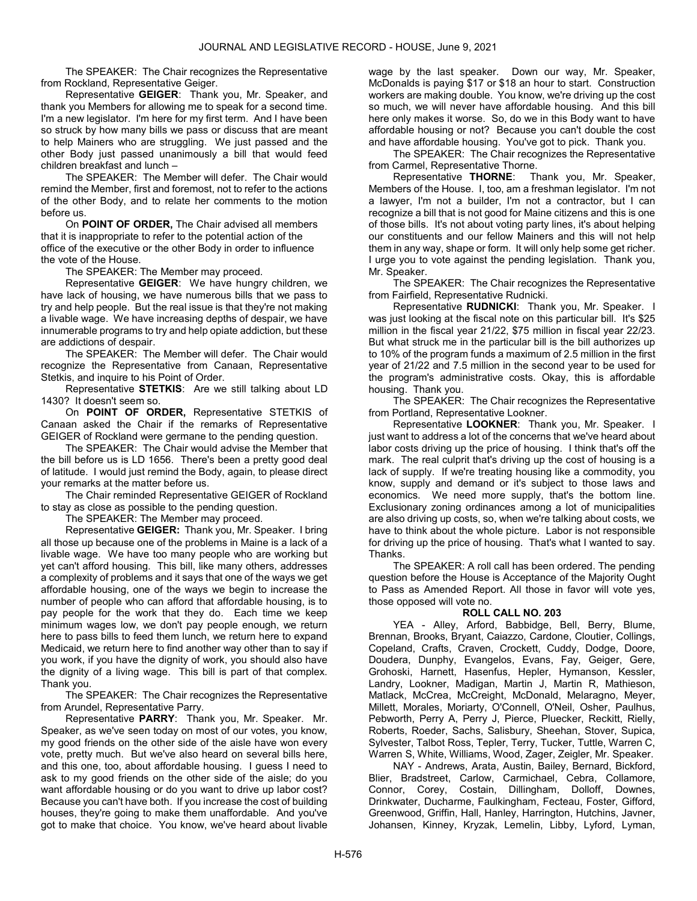The SPEAKER: The Chair recognizes the Representative from Rockland, Representative Geiger.

Representative GEIGER: Thank you, Mr. Speaker, and thank you Members for allowing me to speak for a second time. I'm a new legislator. I'm here for my first term. And I have been so struck by how many bills we pass or discuss that are meant to help Mainers who are struggling. We just passed and the other Body just passed unanimously a bill that would feed children breakfast and lunch –

 The SPEAKER: The Member will defer. The Chair would remind the Member, first and foremost, not to refer to the actions of the other Body, and to relate her comments to the motion before us.

 On POINT OF ORDER, The Chair advised all members that it is inappropriate to refer to the potential action of the office of the executive or the other Body in order to influence the vote of the House.

The SPEAKER: The Member may proceed.

 Representative GEIGER: We have hungry children, we have lack of housing, we have numerous bills that we pass to try and help people. But the real issue is that they're not making a livable wage. We have increasing depths of despair, we have innumerable programs to try and help opiate addiction, but these are addictions of despair.

 The SPEAKER: The Member will defer. The Chair would recognize the Representative from Canaan, Representative Stetkis, and inquire to his Point of Order.

 Representative STETKIS: Are we still talking about LD 1430? It doesn't seem so.

 On POINT OF ORDER, Representative STETKIS of Canaan asked the Chair if the remarks of Representative GEIGER of Rockland were germane to the pending question.

 The SPEAKER: The Chair would advise the Member that the bill before us is LD 1656. There's been a pretty good deal of latitude. I would just remind the Body, again, to please direct your remarks at the matter before us.

 The Chair reminded Representative GEIGER of Rockland to stay as close as possible to the pending question.

The SPEAKER: The Member may proceed.

 Representative GEIGER: Thank you, Mr. Speaker. I bring all those up because one of the problems in Maine is a lack of a livable wage. We have too many people who are working but yet can't afford housing. This bill, like many others, addresses a complexity of problems and it says that one of the ways we get affordable housing, one of the ways we begin to increase the number of people who can afford that affordable housing, is to pay people for the work that they do. Each time we keep minimum wages low, we don't pay people enough, we return here to pass bills to feed them lunch, we return here to expand Medicaid, we return here to find another way other than to say if you work, if you have the dignity of work, you should also have the dignity of a living wage. This bill is part of that complex. Thank you.

 The SPEAKER: The Chair recognizes the Representative from Arundel, Representative Parry.

 Representative PARRY: Thank you, Mr. Speaker. Mr. Speaker, as we've seen today on most of our votes, you know, my good friends on the other side of the aisle have won every vote, pretty much. But we've also heard on several bills here, and this one, too, about affordable housing. I guess I need to ask to my good friends on the other side of the aisle; do you want affordable housing or do you want to drive up labor cost? Because you can't have both. If you increase the cost of building houses, they're going to make them unaffordable. And you've got to make that choice. You know, we've heard about livable wage by the last speaker. Down our way, Mr. Speaker, McDonalds is paying \$17 or \$18 an hour to start. Construction workers are making double. You know, we're driving up the cost so much, we will never have affordable housing. And this bill here only makes it worse. So, do we in this Body want to have affordable housing or not? Because you can't double the cost and have affordable housing. You've got to pick. Thank you.

 The SPEAKER: The Chair recognizes the Representative from Carmel, Representative Thorne.

 Representative THORNE: Thank you, Mr. Speaker, Members of the House. I, too, am a freshman legislator. I'm not a lawyer, I'm not a builder, I'm not a contractor, but I can recognize a bill that is not good for Maine citizens and this is one of those bills. It's not about voting party lines, it's about helping our constituents and our fellow Mainers and this will not help them in any way, shape or form. It will only help some get richer. I urge you to vote against the pending legislation. Thank you, Mr. Speaker.

 The SPEAKER: The Chair recognizes the Representative from Fairfield, Representative Rudnicki.

Representative RUDNICKI: Thank you, Mr. Speaker. I was just looking at the fiscal note on this particular bill. It's \$25 million in the fiscal year 21/22, \$75 million in fiscal year 22/23. But what struck me in the particular bill is the bill authorizes up to 10% of the program funds a maximum of 2.5 million in the first year of 21/22 and 7.5 million in the second year to be used for the program's administrative costs. Okay, this is affordable housing. Thank you.

 The SPEAKER: The Chair recognizes the Representative from Portland, Representative Lookner.

Representative LOOKNER: Thank you, Mr. Speaker. I just want to address a lot of the concerns that we've heard about labor costs driving up the price of housing. I think that's off the mark. The real culprit that's driving up the cost of housing is a lack of supply. If we're treating housing like a commodity, you know, supply and demand or it's subject to those laws and economics. We need more supply, that's the bottom line. Exclusionary zoning ordinances among a lot of municipalities are also driving up costs, so, when we're talking about costs, we have to think about the whole picture. Labor is not responsible for driving up the price of housing. That's what I wanted to say. Thanks.

 The SPEAKER: A roll call has been ordered. The pending question before the House is Acceptance of the Majority Ought to Pass as Amended Report. All those in favor will vote yes, those opposed will vote no.

# ROLL CALL NO. 203

 YEA - Alley, Arford, Babbidge, Bell, Berry, Blume, Brennan, Brooks, Bryant, Caiazzo, Cardone, Cloutier, Collings, Copeland, Crafts, Craven, Crockett, Cuddy, Dodge, Doore, Doudera, Dunphy, Evangelos, Evans, Fay, Geiger, Gere, Grohoski, Harnett, Hasenfus, Hepler, Hymanson, Kessler, Landry, Lookner, Madigan, Martin J, Martin R, Mathieson, Matlack, McCrea, McCreight, McDonald, Melaragno, Meyer, Millett, Morales, Moriarty, O'Connell, O'Neil, Osher, Paulhus, Pebworth, Perry A, Perry J, Pierce, Pluecker, Reckitt, Rielly, Roberts, Roeder, Sachs, Salisbury, Sheehan, Stover, Supica, Sylvester, Talbot Ross, Tepler, Terry, Tucker, Tuttle, Warren C, Warren S, White, Williams, Wood, Zager, Zeigler, Mr. Speaker.

 NAY - Andrews, Arata, Austin, Bailey, Bernard, Bickford, Blier, Bradstreet, Carlow, Carmichael, Cebra, Collamore, Connor, Corey, Costain, Dillingham, Dolloff, Downes, Drinkwater, Ducharme, Faulkingham, Fecteau, Foster, Gifford, Greenwood, Griffin, Hall, Hanley, Harrington, Hutchins, Javner, Johansen, Kinney, Kryzak, Lemelin, Libby, Lyford, Lyman,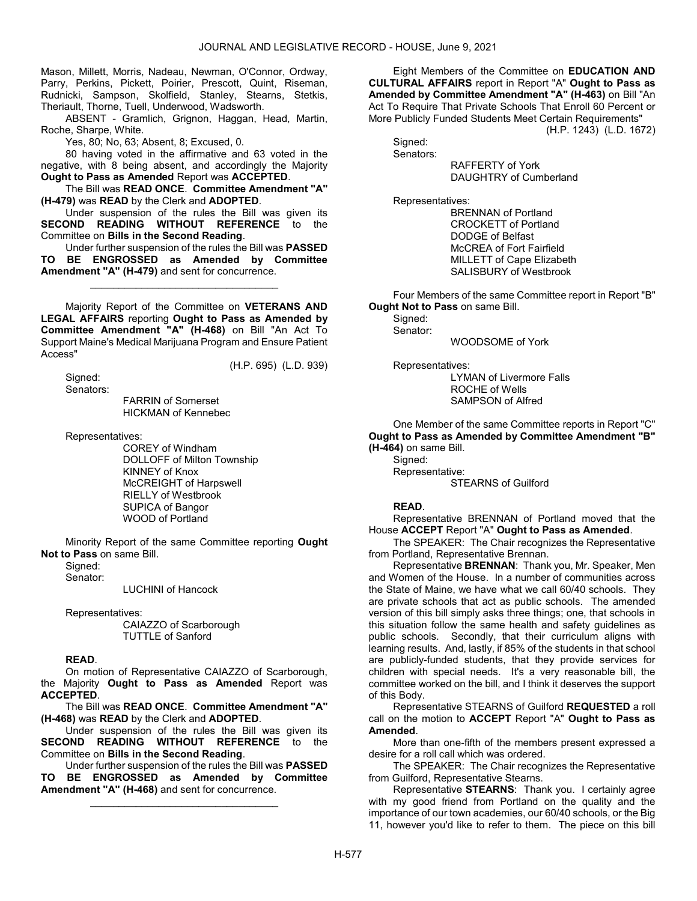Mason, Millett, Morris, Nadeau, Newman, O'Connor, Ordway, Parry, Perkins, Pickett, Poirier, Prescott, Quint, Riseman, Rudnicki, Sampson, Skolfield, Stanley, Stearns, Stetkis, Theriault, Thorne, Tuell, Underwood, Wadsworth.

 ABSENT - Gramlich, Grignon, Haggan, Head, Martin, Roche, Sharpe, White.

Yes, 80; No, 63; Absent, 8; Excused, 0.

 80 having voted in the affirmative and 63 voted in the negative, with 8 being absent, and accordingly the Majority Ought to Pass as Amended Report was ACCEPTED.

 The Bill was READ ONCE. Committee Amendment "A" (H-479) was READ by the Clerk and ADOPTED.

 Under suspension of the rules the Bill was given its SECOND READING WITHOUT REFERENCE to the Committee on Bills in the Second Reading.

 Under further suspension of the rules the Bill was PASSED TO BE ENGROSSED as Amended by Committee Amendment "A" (H-479) and sent for concurrence.

\_\_\_\_\_\_\_\_\_\_\_\_\_\_\_\_\_\_\_\_\_\_\_\_\_\_\_\_\_\_\_\_\_

 Majority Report of the Committee on VETERANS AND LEGAL AFFAIRS reporting Ought to Pass as Amended by Committee Amendment "A" (H-468) on Bill "An Act To Support Maine's Medical Marijuana Program and Ensure Patient Access"

(H.P. 695) (L.D. 939)

 Signed: Senators:

 FARRIN of Somerset HICKMAN of Kennebec

Representatives:

 COREY of Windham DOLLOFF of Milton Township KINNEY of Knox McCREIGHT of Harpswell RIELLY of Westbrook SUPICA of Bangor WOOD of Portland

 Minority Report of the same Committee reporting Ought Not to Pass on same Bill.

 Signed: Senator:

LUCHINI of Hancock

Representatives:

 CAIAZZO of Scarborough TUTTLE of Sanford

# READ.

 On motion of Representative CAIAZZO of Scarborough, the Majority Ought to Pass as Amended Report was ACCEPTED.

 The Bill was READ ONCE. Committee Amendment "A" (H-468) was READ by the Clerk and ADOPTED.

 Under suspension of the rules the Bill was given its SECOND READING WITHOUT REFERENCE to the Committee on Bills in the Second Reading.

 Under further suspension of the rules the Bill was PASSED TO BE ENGROSSED as Amended by Committee Amendment "A" (H-468) and sent for concurrence.

\_\_\_\_\_\_\_\_\_\_\_\_\_\_\_\_\_\_\_\_\_\_\_\_\_\_\_\_\_\_\_\_\_

 Eight Members of the Committee on EDUCATION AND CULTURAL AFFAIRS report in Report "A" Ought to Pass as Amended by Committee Amendment "A" (H-463) on Bill "An Act To Require That Private Schools That Enroll 60 Percent or More Publicly Funded Students Meet Certain Requirements"

(H.P. 1243) (L.D. 1672)

 Signed: Senators:

 RAFFERTY of York DAUGHTRY of Cumberland

Representatives:

 BRENNAN of Portland CROCKETT of Portland DODGE of Belfast McCREA of Fort Fairfield MILLETT of Cape Elizabeth SALISBURY of Westbrook

 Four Members of the same Committee report in Report "B" Ought Not to Pass on same Bill.

 Signed: Senator:

WOODSOME of York

Representatives:

 LYMAN of Livermore Falls ROCHE of Wells SAMPSON of Alfred

 One Member of the same Committee reports in Report "C" Ought to Pass as Amended by Committee Amendment "B" (H-464) on same Bill.

Signed: Representative: STEARNS of Guilford

# READ.

 Representative BRENNAN of Portland moved that the House ACCEPT Report "A" Ought to Pass as Amended.

 The SPEAKER: The Chair recognizes the Representative from Portland, Representative Brennan.

 Representative BRENNAN: Thank you, Mr. Speaker, Men and Women of the House. In a number of communities across the State of Maine, we have what we call 60/40 schools. They are private schools that act as public schools. The amended version of this bill simply asks three things; one, that schools in this situation follow the same health and safety guidelines as public schools. Secondly, that their curriculum aligns with learning results. And, lastly, if 85% of the students in that school are publicly-funded students, that they provide services for children with special needs. It's a very reasonable bill, the committee worked on the bill, and I think it deserves the support of this Body.

 Representative STEARNS of Guilford REQUESTED a roll call on the motion to ACCEPT Report "A" Ought to Pass as Amended.

 More than one-fifth of the members present expressed a desire for a roll call which was ordered.

 The SPEAKER: The Chair recognizes the Representative from Guilford, Representative Stearns.

 Representative STEARNS: Thank you. I certainly agree with my good friend from Portland on the quality and the importance of our town academies, our 60/40 schools, or the Big 11, however you'd like to refer to them. The piece on this bill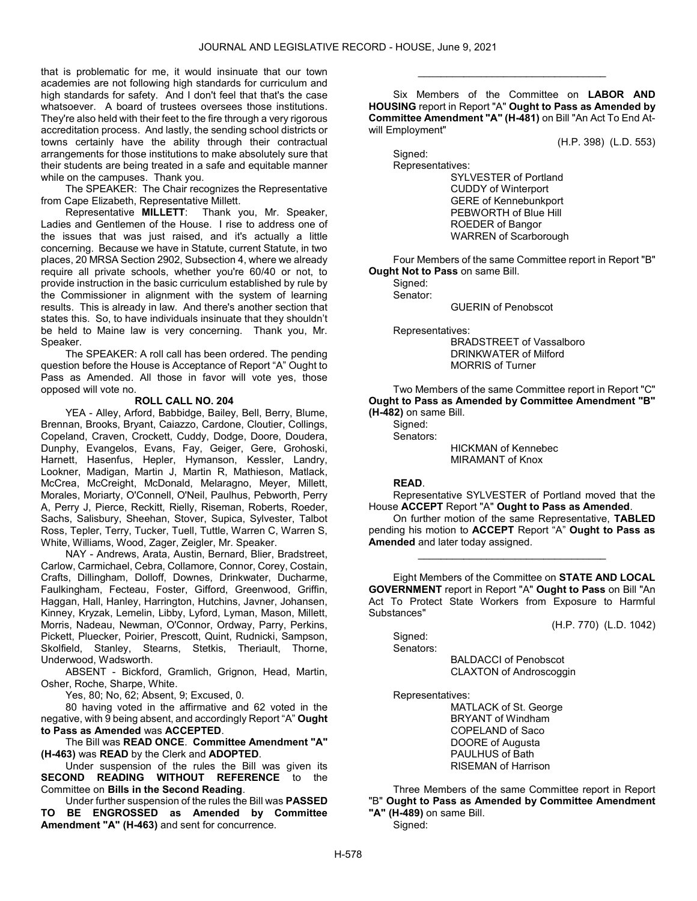that is problematic for me, it would insinuate that our town academies are not following high standards for curriculum and high standards for safety. And I don't feel that that's the case whatsoever. A board of trustees oversees those institutions. They're also held with their feet to the fire through a very rigorous accreditation process. And lastly, the sending school districts or towns certainly have the ability through their contractual arrangements for those institutions to make absolutely sure that their students are being treated in a safe and equitable manner while on the campuses. Thank you.

 The SPEAKER: The Chair recognizes the Representative from Cape Elizabeth, Representative Millett.

 Representative MILLETT: Thank you, Mr. Speaker, Ladies and Gentlemen of the House. I rise to address one of the issues that was just raised, and it's actually a little concerning. Because we have in Statute, current Statute, in two places, 20 MRSA Section 2902, Subsection 4, where we already require all private schools, whether you're 60/40 or not, to provide instruction in the basic curriculum established by rule by the Commissioner in alignment with the system of learning results. This is already in law. And there's another section that states this. So, to have individuals insinuate that they shouldn't be held to Maine law is very concerning. Thank you, Mr. Speaker.

 The SPEAKER: A roll call has been ordered. The pending question before the House is Acceptance of Report "A" Ought to Pass as Amended. All those in favor will vote yes, those opposed will vote no.

# ROLL CALL NO. 204

 YEA - Alley, Arford, Babbidge, Bailey, Bell, Berry, Blume, Brennan, Brooks, Bryant, Caiazzo, Cardone, Cloutier, Collings, Copeland, Craven, Crockett, Cuddy, Dodge, Doore, Doudera, Dunphy, Evangelos, Evans, Fay, Geiger, Gere, Grohoski, Harnett, Hasenfus, Hepler, Hymanson, Kessler, Landry, Lookner, Madigan, Martin J, Martin R, Mathieson, Matlack, McCrea, McCreight, McDonald, Melaragno, Meyer, Millett, Morales, Moriarty, O'Connell, O'Neil, Paulhus, Pebworth, Perry A, Perry J, Pierce, Reckitt, Rielly, Riseman, Roberts, Roeder, Sachs, Salisbury, Sheehan, Stover, Supica, Sylvester, Talbot Ross, Tepler, Terry, Tucker, Tuell, Tuttle, Warren C, Warren S, White, Williams, Wood, Zager, Zeigler, Mr. Speaker.

 NAY - Andrews, Arata, Austin, Bernard, Blier, Bradstreet, Carlow, Carmichael, Cebra, Collamore, Connor, Corey, Costain, Crafts, Dillingham, Dolloff, Downes, Drinkwater, Ducharme, Faulkingham, Fecteau, Foster, Gifford, Greenwood, Griffin, Haggan, Hall, Hanley, Harrington, Hutchins, Javner, Johansen, Kinney, Kryzak, Lemelin, Libby, Lyford, Lyman, Mason, Millett, Morris, Nadeau, Newman, O'Connor, Ordway, Parry, Perkins, Pickett, Pluecker, Poirier, Prescott, Quint, Rudnicki, Sampson, Skolfield, Stanley, Stearns, Stetkis, Theriault, Thorne, Underwood, Wadsworth.

 ABSENT - Bickford, Gramlich, Grignon, Head, Martin, Osher, Roche, Sharpe, White.

Yes, 80; No, 62; Absent, 9; Excused, 0.

 80 having voted in the affirmative and 62 voted in the negative, with 9 being absent, and accordingly Report "A" Ought to Pass as Amended was ACCEPTED.

 The Bill was READ ONCE. Committee Amendment "A" (H-463) was READ by the Clerk and ADOPTED.

 Under suspension of the rules the Bill was given its SECOND READING WITHOUT REFERENCE to the Committee on Bills in the Second Reading.

 Under further suspension of the rules the Bill was PASSED TO BE ENGROSSED as Amended by Committee Amendment "A" (H-463) and sent for concurrence.

 Six Members of the Committee on LABOR AND HOUSING report in Report "A" Ought to Pass as Amended by Committee Amendment "A" (H-481) on Bill "An Act To End Atwill Employment"

\_\_\_\_\_\_\_\_\_\_\_\_\_\_\_\_\_\_\_\_\_\_\_\_\_\_\_\_\_\_\_\_\_

(H.P. 398) (L.D. 553)

 Signed: Representatives:

 SYLVESTER of Portland CUDDY of Winterport GERE of Kennebunkport PEBWORTH of Blue Hill ROEDER of Bangor WARREN of Scarborough

 Four Members of the same Committee report in Report "B" **Ought Not to Pass on same Bill.** 

 Signed: Senator:

GUERIN of Penobscot

Representatives:

 BRADSTREET of Vassalboro DRINKWATER of Milford MORRIS of Turner

 Two Members of the same Committee report in Report "C" Ought to Pass as Amended by Committee Amendment "B" (H-482) on same Bill.

 Signed: Senators:

> HICKMAN of Kennebec MIRAMANT of Knox

# READ.

 Representative SYLVESTER of Portland moved that the House ACCEPT Report "A" Ought to Pass as Amended.

 On further motion of the same Representative, TABLED pending his motion to ACCEPT Report "A" Ought to Pass as Amended and later today assigned.

\_\_\_\_\_\_\_\_\_\_\_\_\_\_\_\_\_\_\_\_\_\_\_\_\_\_\_\_\_\_\_\_\_

 Eight Members of the Committee on STATE AND LOCAL GOVERNMENT report in Report "A" Ought to Pass on Bill "An Act To Protect State Workers from Exposure to Harmful Substances"

(H.P. 770) (L.D. 1042)

 Signed: Senators:

 BALDACCI of Penobscot CLAXTON of Androscoggin

Representatives:

 MATLACK of St. George BRYANT of Windham COPELAND of Saco DOORE of Augusta PAULHUS of Bath RISEMAN of Harrison

 Three Members of the same Committee report in Report "B" Ought to Pass as Amended by Committee Amendment "A" (H-489) on same Bill. Signed: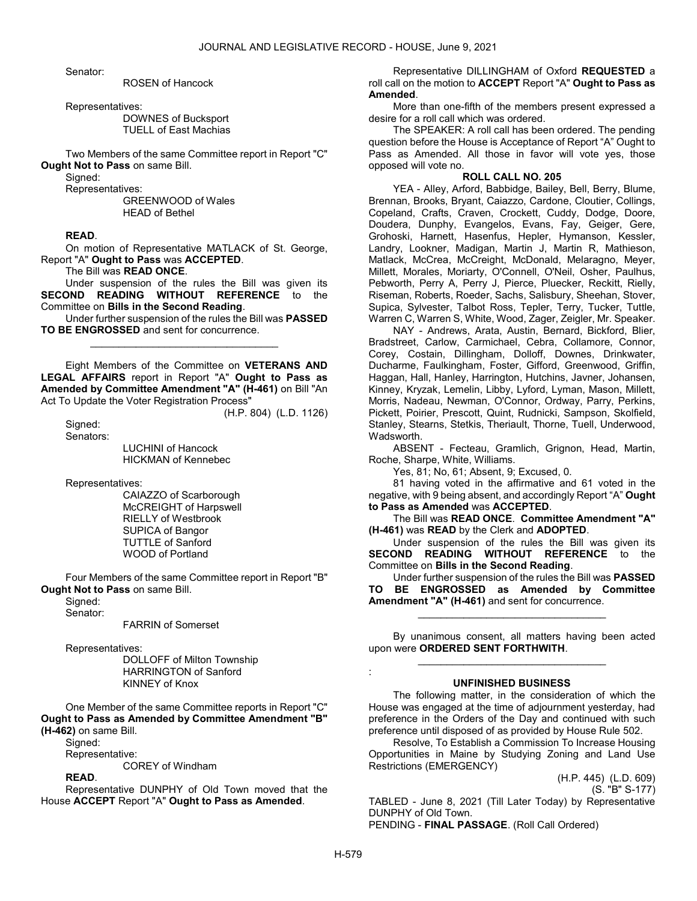Senator:

### ROSEN of Hancock

Representatives:

 DOWNES of Bucksport TUELL of East Machias

 Two Members of the same Committee report in Report "C" Ought Not to Pass on same Bill.

Sianed:

Representatives:

 GREENWOOD of Wales HEAD of Bethel

### READ.

 On motion of Representative MATLACK of St. George, Report "A" Ought to Pass was ACCEPTED.

The Bill was READ ONCE.

 Under suspension of the rules the Bill was given its SECOND READING WITHOUT REFERENCE to the Committee on Bills in the Second Reading.

 Under further suspension of the rules the Bill was PASSED TO BE ENGROSSED and sent for concurrence. \_\_\_\_\_\_\_\_\_\_\_\_\_\_\_\_\_\_\_\_\_\_\_\_\_\_\_\_\_\_\_\_\_

 Eight Members of the Committee on VETERANS AND LEGAL AFFAIRS report in Report "A" Ought to Pass as Amended by Committee Amendment "A" (H-461) on Bill "An Act To Update the Voter Registration Process"

Sianed: Senators: (H.P. 804) (L.D. 1126)

 LUCHINI of Hancock HICKMAN of Kennebec

Representatives:

 CAIAZZO of Scarborough McCREIGHT of Harpswell RIELLY of Westbrook SUPICA of Bangor TUTTLE of Sanford WOOD of Portland

 Four Members of the same Committee report in Report "B" Ought Not to Pass on same Bill.

Signed:

Senator:

FARRIN of Somerset

Representatives:

 DOLLOFF of Milton Township HARRINGTON of Sanford KINNEY of Knox

 One Member of the same Committee reports in Report "C" Ought to Pass as Amended by Committee Amendment "B" (H-462) on same Bill.

Signed:

Representative:

COREY of Windham

# READ.

 Representative DUNPHY of Old Town moved that the House ACCEPT Report "A" Ought to Pass as Amended.

 Representative DILLINGHAM of Oxford REQUESTED a roll call on the motion to **ACCEPT** Report "A" Ought to Pass as Amended.

 More than one-fifth of the members present expressed a desire for a roll call which was ordered.

 The SPEAKER: A roll call has been ordered. The pending question before the House is Acceptance of Report "A" Ought to Pass as Amended. All those in favor will vote yes, those opposed will vote no.

# ROLL CALL NO. 205

 YEA - Alley, Arford, Babbidge, Bailey, Bell, Berry, Blume, Brennan, Brooks, Bryant, Caiazzo, Cardone, Cloutier, Collings, Copeland, Crafts, Craven, Crockett, Cuddy, Dodge, Doore, Doudera, Dunphy, Evangelos, Evans, Fay, Geiger, Gere, Grohoski, Harnett, Hasenfus, Hepler, Hymanson, Kessler, Landry, Lookner, Madigan, Martin J, Martin R, Mathieson, Matlack, McCrea, McCreight, McDonald, Melaragno, Meyer, Millett, Morales, Moriarty, O'Connell, O'Neil, Osher, Paulhus, Pebworth, Perry A, Perry J, Pierce, Pluecker, Reckitt, Rielly, Riseman, Roberts, Roeder, Sachs, Salisbury, Sheehan, Stover, Supica, Sylvester, Talbot Ross, Tepler, Terry, Tucker, Tuttle, Warren C, Warren S, White, Wood, Zager, Zeigler, Mr. Speaker.

 NAY - Andrews, Arata, Austin, Bernard, Bickford, Blier, Bradstreet, Carlow, Carmichael, Cebra, Collamore, Connor, Corey, Costain, Dillingham, Dolloff, Downes, Drinkwater, Ducharme, Faulkingham, Foster, Gifford, Greenwood, Griffin, Haggan, Hall, Hanley, Harrington, Hutchins, Javner, Johansen, Kinney, Kryzak, Lemelin, Libby, Lyford, Lyman, Mason, Millett, Morris, Nadeau, Newman, O'Connor, Ordway, Parry, Perkins, Pickett, Poirier, Prescott, Quint, Rudnicki, Sampson, Skolfield, Stanley, Stearns, Stetkis, Theriault, Thorne, Tuell, Underwood, Wadsworth.

 ABSENT - Fecteau, Gramlich, Grignon, Head, Martin, Roche, Sharpe, White, Williams.

Yes, 81; No, 61; Absent, 9; Excused, 0.

 81 having voted in the affirmative and 61 voted in the negative, with 9 being absent, and accordingly Report "A" Ought to Pass as Amended was ACCEPTED.

 The Bill was READ ONCE. Committee Amendment "A" (H-461) was READ by the Clerk and ADOPTED.

 Under suspension of the rules the Bill was given its SECOND READING WITHOUT REFERENCE to the Committee on Bills in the Second Reading.

 Under further suspension of the rules the Bill was PASSED TO BE ENGROSSED as Amended by Committee Amendment "A" (H-461) and sent for concurrence.

\_\_\_\_\_\_\_\_\_\_\_\_\_\_\_\_\_\_\_\_\_\_\_\_\_\_\_\_\_\_\_\_\_

 By unanimous consent, all matters having been acted upon were ORDERED SENT FORTHWITH. \_\_\_\_\_\_\_\_\_\_\_\_\_\_\_\_\_\_\_\_\_\_\_\_\_\_\_\_\_\_\_\_\_

# UNFINISHED BUSINESS

 The following matter, in the consideration of which the House was engaged at the time of adjournment yesterday, had preference in the Orders of the Day and continued with such preference until disposed of as provided by House Rule 502.

 Resolve, To Establish a Commission To Increase Housing Opportunities in Maine by Studying Zoning and Land Use Restrictions (EMERGENCY)

> (H.P. 445) (L.D. 609) (S. "B" S-177)

TABLED - June 8, 2021 (Till Later Today) by Representative DUNPHY of Old Town. PENDING - FINAL PASSAGE. (Roll Call Ordered)

: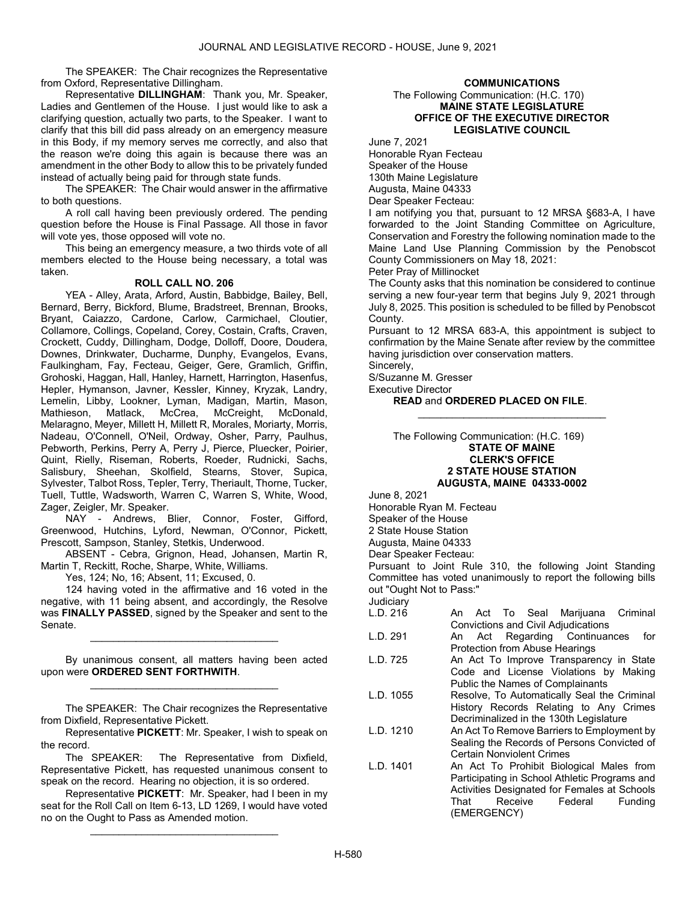The SPEAKER: The Chair recognizes the Representative from Oxford, Representative Dillingham.

 Representative DILLINGHAM: Thank you, Mr. Speaker, Ladies and Gentlemen of the House. I just would like to ask a clarifying question, actually two parts, to the Speaker. I want to clarify that this bill did pass already on an emergency measure in this Body, if my memory serves me correctly, and also that the reason we're doing this again is because there was an amendment in the other Body to allow this to be privately funded instead of actually being paid for through state funds.

 The SPEAKER: The Chair would answer in the affirmative to both questions.

 A roll call having been previously ordered. The pending question before the House is Final Passage. All those in favor will vote yes, those opposed will vote no.

 This being an emergency measure, a two thirds vote of all members elected to the House being necessary, a total was taken.

## ROLL CALL NO. 206

 YEA - Alley, Arata, Arford, Austin, Babbidge, Bailey, Bell, Bernard, Berry, Bickford, Blume, Bradstreet, Brennan, Brooks, Bryant, Caiazzo, Cardone, Carlow, Carmichael, Cloutier, Collamore, Collings, Copeland, Corey, Costain, Crafts, Craven, Crockett, Cuddy, Dillingham, Dodge, Dolloff, Doore, Doudera, Downes, Drinkwater, Ducharme, Dunphy, Evangelos, Evans, Faulkingham, Fay, Fecteau, Geiger, Gere, Gramlich, Griffin, Grohoski, Haggan, Hall, Hanley, Harnett, Harrington, Hasenfus, Hepler, Hymanson, Javner, Kessler, Kinney, Kryzak, Landry, Lemelin, Libby, Lookner, Lyman, Madigan, Martin, Mason,<br>Mathieson, Matlack, McCrea, McCreight, McDonald, Mathieson, Matlack, McCrea, McCreight, McDonald, Melaragno, Meyer, Millett H, Millett R, Morales, Moriarty, Morris, Nadeau, O'Connell, O'Neil, Ordway, Osher, Parry, Paulhus, Pebworth, Perkins, Perry A, Perry J, Pierce, Pluecker, Poirier, Quint, Rielly, Riseman, Roberts, Roeder, Rudnicki, Sachs, Salisbury, Sheehan, Skolfield, Stearns, Stover, Supica, Sylvester, Talbot Ross, Tepler, Terry, Theriault, Thorne, Tucker, Tuell, Tuttle, Wadsworth, Warren C, Warren S, White, Wood, Zager, Zeigler, Mr. Speaker.

 NAY - Andrews, Blier, Connor, Foster, Gifford, Greenwood, Hutchins, Lyford, Newman, O'Connor, Pickett, Prescott, Sampson, Stanley, Stetkis, Underwood.

 ABSENT - Cebra, Grignon, Head, Johansen, Martin R, Martin T, Reckitt, Roche, Sharpe, White, Williams.

Yes, 124; No, 16; Absent, 11; Excused, 0.

 124 having voted in the affirmative and 16 voted in the negative, with 11 being absent, and accordingly, the Resolve was FINALLY PASSED, signed by the Speaker and sent to the Senate.

 By unanimous consent, all matters having been acted upon were ORDERED SENT FORTHWITH. \_\_\_\_\_\_\_\_\_\_\_\_\_\_\_\_\_\_\_\_\_\_\_\_\_\_\_\_\_\_\_\_\_

\_\_\_\_\_\_\_\_\_\_\_\_\_\_\_\_\_\_\_\_\_\_\_\_\_\_\_\_\_\_\_\_\_

 The SPEAKER: The Chair recognizes the Representative from Dixfield, Representative Pickett.

 Representative PICKETT: Mr. Speaker, I wish to speak on the record.

 The SPEAKER: The Representative from Dixfield, Representative Pickett, has requested unanimous consent to speak on the record. Hearing no objection, it is so ordered.

 Representative PICKETT: Mr. Speaker, had I been in my seat for the Roll Call on Item 6-13, LD 1269, I would have voted no on the Ought to Pass as Amended motion.

\_\_\_\_\_\_\_\_\_\_\_\_\_\_\_\_\_\_\_\_\_\_\_\_\_\_\_\_\_\_\_\_\_

# COMMUNICATIONS

### The Following Communication: (H.C. 170) MAINE STATE LEGISLATURE OFFICE OF THE EXECUTIVE DIRECTOR LEGISLATIVE COUNCIL

June 7, 2021

Honorable Ryan Fecteau Speaker of the House 130th Maine Legislature Augusta, Maine 04333 Dear Speaker Fecteau:

I am notifying you that, pursuant to 12 MRSA §683-A, I have forwarded to the Joint Standing Committee on Agriculture, Conservation and Forestry the following nomination made to the Maine Land Use Planning Commission by the Penobscot County Commissioners on May 18, 2021:

Peter Pray of Millinocket

The County asks that this nomination be considered to continue serving a new four-year term that begins July 9, 2021 through July 8, 2025. This position is scheduled to be filled by Penobscot County.

Pursuant to 12 MRSA 683-A, this appointment is subject to confirmation by the Maine Senate after review by the committee having jurisdiction over conservation matters.

\_\_\_\_\_\_\_\_\_\_\_\_\_\_\_\_\_\_\_\_\_\_\_\_\_\_\_\_\_\_\_\_\_

Sincerely,

S/Suzanne M. Gresser

Executive Director

READ and ORDERED PLACED ON FILE.

 The Following Communication: (H.C. 169) STATE OF MAINE CLERK'S OFFICE 2 STATE HOUSE STATION AUGUSTA, MAINE 04333-0002

June 8, 2021

Honorable Ryan M. Fecteau Speaker of the House 2 State House Station Augusta, Maine 04333

Dear Speaker Fecteau:

Pursuant to Joint Rule 310, the following Joint Standing Committee has voted unanimously to report the following bills out "Ought Not to Pass:"

Judiciary<br>L.D. 216

- An Act To Seal Marijuana Criminal Convictions and Civil Adjudications
- L.D. 291 An Act Regarding Continuances for Protection from Abuse Hearings
- L.D. 725 An Act To Improve Transparency in State Code and License Violations by Making Public the Names of Complainants
- L.D. 1055 Resolve, To Automatically Seal the Criminal History Records Relating to Any Crimes Decriminalized in the 130th Legislature
- L.D. 1210 An Act To Remove Barriers to Employment by Sealing the Records of Persons Convicted of Certain Nonviolent Crimes
- L.D. 1401 An Act To Prohibit Biological Males from Participating in School Athletic Programs and Activities Designated for Females at Schools That Receive Federal Funding (EMERGENCY)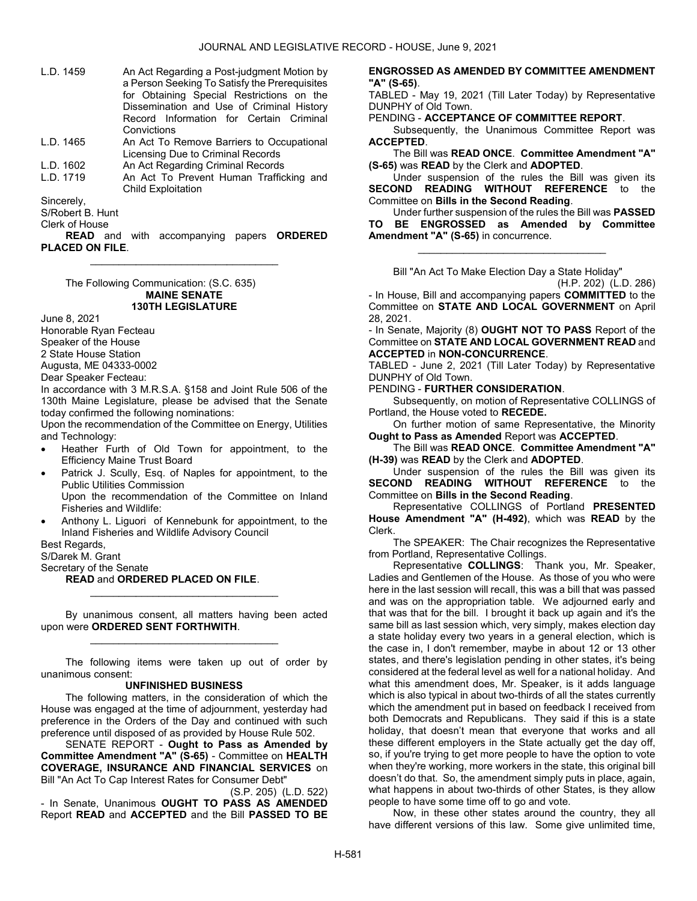- L.D. 1459 An Act Regarding a Post-judgment Motion by a Person Seeking To Satisfy the Prerequisites for Obtaining Special Restrictions on the Dissemination and Use of Criminal History Record Information for Certain Criminal Convictions
- L.D. 1465 An Act To Remove Barriers to Occupational Licensing Due to Criminal Records L.D. 1602 An Act Regarding Criminal Records
- 
- L.D. 1719 An Act To Prevent Human Trafficking and Child Exploitation

Sincerely,

S/Robert B. Hunt

Clerk of House

**READ** and with accompanying papers ORDERED PLACED ON FILE. \_\_\_\_\_\_\_\_\_\_\_\_\_\_\_\_\_\_\_\_\_\_\_\_\_\_\_\_\_\_\_\_\_

 The Following Communication: (S.C. 635) MAINE SENATE 130TH LEGISLATURE

June 8, 2021 Honorable Ryan Fecteau Speaker of the House 2 State House Station

Augusta, ME 04333-0002

Dear Speaker Fecteau:

In accordance with 3 M.R.S.A. §158 and Joint Rule 506 of the 130th Maine Legislature, please be advised that the Senate today confirmed the following nominations:

Upon the recommendation of the Committee on Energy, Utilities and Technology:

- Heather Furth of Old Town for appointment, to the Efficiency Maine Trust Board
- Patrick J. Scully, Esq. of Naples for appointment, to the Public Utilities Commission Upon the recommendation of the Committee on Inland Fisheries and Wildlife:
- Anthony L. Liguori of Kennebunk for appointment, to the Inland Fisheries and Wildlife Advisory Council

Best Regards,

S/Darek M. Grant

Secretary of the Senate

### READ and ORDERED PLACED ON FILE.

 By unanimous consent, all matters having been acted upon were ORDERED SENT FORTHWITH. \_\_\_\_\_\_\_\_\_\_\_\_\_\_\_\_\_\_\_\_\_\_\_\_\_\_\_\_\_\_\_\_\_

\_\_\_\_\_\_\_\_\_\_\_\_\_\_\_\_\_\_\_\_\_\_\_\_\_\_\_\_\_\_\_\_\_

 The following items were taken up out of order by unanimous consent:

### UNFINISHED BUSINESS

 The following matters, in the consideration of which the House was engaged at the time of adjournment, yesterday had preference in the Orders of the Day and continued with such preference until disposed of as provided by House Rule 502.

 SENATE REPORT - Ought to Pass as Amended by Committee Amendment "A" (S-65) - Committee on HEALTH COVERAGE, INSURANCE AND FINANCIAL SERVICES on Bill "An Act To Cap Interest Rates for Consumer Debt"

(S.P. 205) (L.D. 522) - In Senate, Unanimous OUGHT TO PASS AS AMENDED Report READ and ACCEPTED and the Bill PASSED TO BE

### ENGROSSED AS AMENDED BY COMMITTEE AMENDMENT "A" (S-65).

TABLED - May 19, 2021 (Till Later Today) by Representative DUNPHY of Old Town.

PENDING - ACCEPTANCE OF COMMITTEE REPORT.

Subsequently, the Unanimous Committee Report was ACCEPTED.

 The Bill was READ ONCE. Committee Amendment "A" (S-65) was READ by the Clerk and ADOPTED.

 Under suspension of the rules the Bill was given its SECOND READING WITHOUT REFERENCE to the Committee on Bills in the Second Reading.

 Under further suspension of the rules the Bill was PASSED TO BE ENGROSSED as Amended by Committee Amendment "A" (S-65) in concurrence.

\_\_\_\_\_\_\_\_\_\_\_\_\_\_\_\_\_\_\_\_\_\_\_\_\_\_\_\_\_\_\_\_\_

Bill "An Act To Make Election Day a State Holiday"

(H.P. 202) (L.D. 286)

- In House, Bill and accompanying papers COMMITTED to the Committee on STATE AND LOCAL GOVERNMENT on April 28, 2021.

- In Senate, Majority (8) OUGHT NOT TO PASS Report of the Committee on STATE AND LOCAL GOVERNMENT READ and ACCEPTED in NON-CONCURRENCE.

TABLED - June 2, 2021 (Till Later Today) by Representative DUNPHY of Old Town.

PENDING - FURTHER CONSIDERATION.

 Subsequently, on motion of Representative COLLINGS of Portland, the House voted to RECEDE.

 On further motion of same Representative, the Minority Ought to Pass as Amended Report was ACCEPTED.

 The Bill was READ ONCE. Committee Amendment "A" (H-39) was READ by the Clerk and ADOPTED.

 Under suspension of the rules the Bill was given its SECOND READING WITHOUT REFERENCE to the Committee on Bills in the Second Reading.

 Representative COLLINGS of Portland PRESENTED House Amendment "A" (H-492), which was READ by the Clerk.

 The SPEAKER: The Chair recognizes the Representative from Portland, Representative Collings.

 Representative COLLINGS: Thank you, Mr. Speaker, Ladies and Gentlemen of the House. As those of you who were here in the last session will recall, this was a bill that was passed and was on the appropriation table. We adjourned early and that was that for the bill. I brought it back up again and it's the same bill as last session which, very simply, makes election day a state holiday every two years in a general election, which is the case in, I don't remember, maybe in about 12 or 13 other states, and there's legislation pending in other states, it's being considered at the federal level as well for a national holiday. And what this amendment does, Mr. Speaker, is it adds language which is also typical in about two-thirds of all the states currently which the amendment put in based on feedback I received from both Democrats and Republicans. They said if this is a state holiday, that doesn't mean that everyone that works and all these different employers in the State actually get the day off, so, if you're trying to get more people to have the option to vote when they're working, more workers in the state, this original bill doesn't do that. So, the amendment simply puts in place, again, what happens in about two-thirds of other States, is they allow people to have some time off to go and vote.

 Now, in these other states around the country, they all have different versions of this law. Some give unlimited time,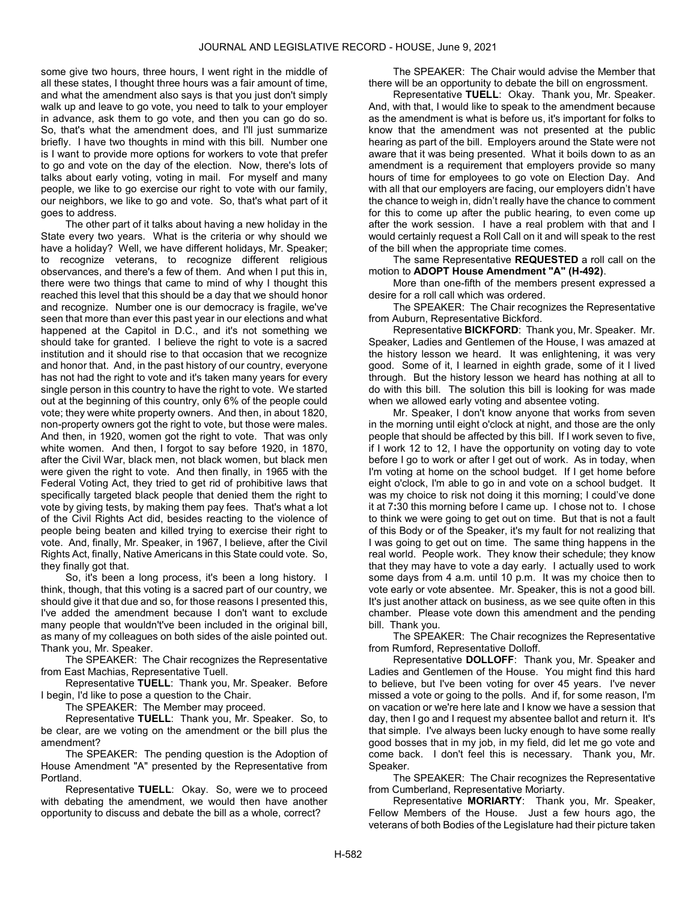some give two hours, three hours, I went right in the middle of all these states, I thought three hours was a fair amount of time, and what the amendment also says is that you just don't simply walk up and leave to go vote, you need to talk to your employer in advance, ask them to go vote, and then you can go do so. So, that's what the amendment does, and I'll just summarize briefly. I have two thoughts in mind with this bill. Number one is I want to provide more options for workers to vote that prefer to go and vote on the day of the election. Now, there's lots of talks about early voting, voting in mail. For myself and many people, we like to go exercise our right to vote with our family, our neighbors, we like to go and vote. So, that's what part of it goes to address.

 The other part of it talks about having a new holiday in the State every two years. What is the criteria or why should we have a holiday? Well, we have different holidays, Mr. Speaker; to recognize veterans, to recognize different religious observances, and there's a few of them. And when I put this in, there were two things that came to mind of why I thought this reached this level that this should be a day that we should honor and recognize. Number one is our democracy is fragile, we've seen that more than ever this past year in our elections and what happened at the Capitol in D.C., and it's not something we should take for granted. I believe the right to vote is a sacred institution and it should rise to that occasion that we recognize and honor that. And, in the past history of our country, everyone has not had the right to vote and it's taken many years for every single person in this country to have the right to vote. We started out at the beginning of this country, only 6% of the people could vote; they were white property owners. And then, in about 1820, non-property owners got the right to vote, but those were males. And then, in 1920, women got the right to vote. That was only white women. And then, I forgot to say before 1920, in 1870, after the Civil War, black men, not black women, but black men were given the right to vote. And then finally, in 1965 with the Federal Voting Act, they tried to get rid of prohibitive laws that specifically targeted black people that denied them the right to vote by giving tests, by making them pay fees. That's what a lot of the Civil Rights Act did, besides reacting to the violence of people being beaten and killed trying to exercise their right to vote. And, finally, Mr. Speaker, in 1967, I believe, after the Civil Rights Act, finally, Native Americans in this State could vote. So, they finally got that.

 So, it's been a long process, it's been a long history. I think, though, that this voting is a sacred part of our country, we should give it that due and so, for those reasons I presented this, I've added the amendment because I don't want to exclude many people that wouldn't've been included in the original bill, as many of my colleagues on both sides of the aisle pointed out. Thank you, Mr. Speaker.

 The SPEAKER: The Chair recognizes the Representative from East Machias, Representative Tuell.

 Representative TUELL: Thank you, Mr. Speaker. Before I begin, I'd like to pose a question to the Chair.

The SPEAKER: The Member may proceed.

 Representative TUELL: Thank you, Mr. Speaker. So, to be clear, are we voting on the amendment or the bill plus the amendment?

 The SPEAKER: The pending question is the Adoption of House Amendment "A" presented by the Representative from Portland.

 Representative TUELL: Okay. So, were we to proceed with debating the amendment, we would then have another opportunity to discuss and debate the bill as a whole, correct?

 The SPEAKER: The Chair would advise the Member that there will be an opportunity to debate the bill on engrossment.

Representative TUELL: Okay. Thank you, Mr. Speaker. And, with that, I would like to speak to the amendment because as the amendment is what is before us, it's important for folks to know that the amendment was not presented at the public hearing as part of the bill. Employers around the State were not aware that it was being presented. What it boils down to as an amendment is a requirement that employers provide so many hours of time for employees to go vote on Election Day. And with all that our employers are facing, our employers didn't have the chance to weigh in, didn't really have the chance to comment for this to come up after the public hearing, to even come up after the work session. I have a real problem with that and I would certainly request a Roll Call on it and will speak to the rest of the bill when the appropriate time comes.

 The same Representative REQUESTED a roll call on the motion to ADOPT House Amendment "A" (H-492).

 More than one-fifth of the members present expressed a desire for a roll call which was ordered.

 The SPEAKER: The Chair recognizes the Representative from Auburn, Representative Bickford.

 Representative BICKFORD: Thank you, Mr. Speaker. Mr. Speaker, Ladies and Gentlemen of the House, I was amazed at the history lesson we heard. It was enlightening, it was very good. Some of it, I learned in eighth grade, some of it I lived through. But the history lesson we heard has nothing at all to do with this bill. The solution this bill is looking for was made when we allowed early voting and absentee voting.

 Mr. Speaker, I don't know anyone that works from seven in the morning until eight o'clock at night, and those are the only people that should be affected by this bill. If I work seven to five, if I work 12 to 12, I have the opportunity on voting day to vote before I go to work or after I get out of work. As in today, when I'm voting at home on the school budget. If I get home before eight o'clock, I'm able to go in and vote on a school budget. It was my choice to risk not doing it this morning; I could've done it at 7:30 this morning before I came up. I chose not to. I chose to think we were going to get out on time. But that is not a fault of this Body or of the Speaker, it's my fault for not realizing that I was going to get out on time. The same thing happens in the real world. People work. They know their schedule; they know that they may have to vote a day early. I actually used to work some days from 4 a.m. until 10 p.m. It was my choice then to vote early or vote absentee. Mr. Speaker, this is not a good bill. It's just another attack on business, as we see quite often in this chamber. Please vote down this amendment and the pending bill. Thank you.

 The SPEAKER: The Chair recognizes the Representative from Rumford, Representative Dolloff.

 Representative DOLLOFF: Thank you, Mr. Speaker and Ladies and Gentlemen of the House. You might find this hard to believe, but I've been voting for over 45 years. I've never missed a vote or going to the polls. And if, for some reason, I'm on vacation or we're here late and I know we have a session that day, then I go and I request my absentee ballot and return it. It's that simple. I've always been lucky enough to have some really good bosses that in my job, in my field, did let me go vote and come back. I don't feel this is necessary. Thank you, Mr. Speaker.

 The SPEAKER: The Chair recognizes the Representative from Cumberland, Representative Moriarty.

 Representative MORIARTY: Thank you, Mr. Speaker, Fellow Members of the House. Just a few hours ago, the veterans of both Bodies of the Legislature had their picture taken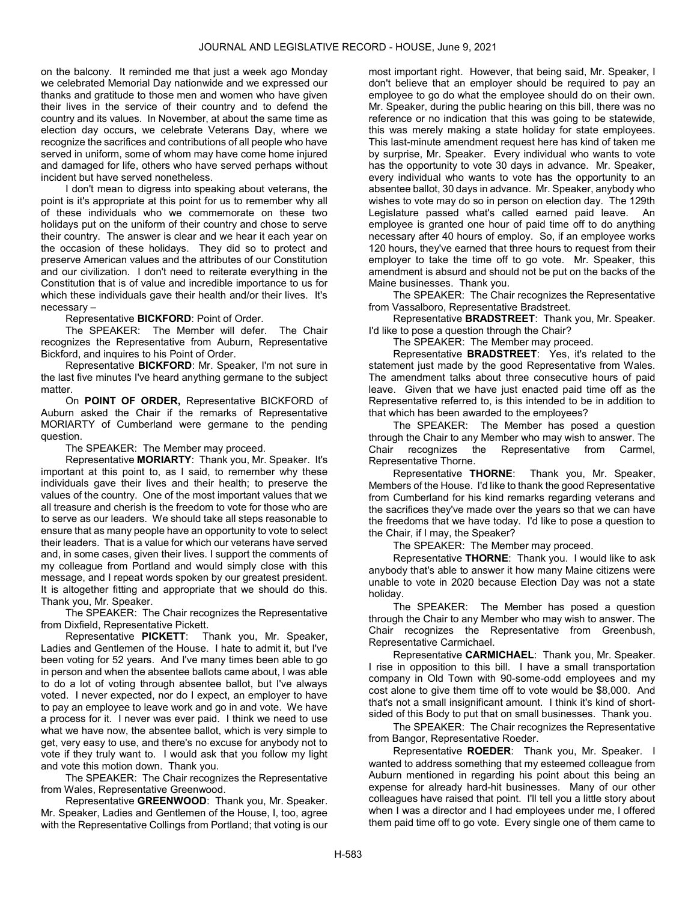on the balcony. It reminded me that just a week ago Monday we celebrated Memorial Day nationwide and we expressed our thanks and gratitude to those men and women who have given their lives in the service of their country and to defend the country and its values. In November, at about the same time as election day occurs, we celebrate Veterans Day, where we recognize the sacrifices and contributions of all people who have served in uniform, some of whom may have come home injured and damaged for life, others who have served perhaps without incident but have served nonetheless.

 I don't mean to digress into speaking about veterans, the point is it's appropriate at this point for us to remember why all of these individuals who we commemorate on these two holidays put on the uniform of their country and chose to serve their country. The answer is clear and we hear it each year on the occasion of these holidays. They did so to protect and preserve American values and the attributes of our Constitution and our civilization. I don't need to reiterate everything in the Constitution that is of value and incredible importance to us for which these individuals gave their health and/or their lives. It's necessary –

Representative BICKFORD: Point of Order.

 The SPEAKER: The Member will defer. The Chair recognizes the Representative from Auburn, Representative Bickford, and inquires to his Point of Order.

 Representative BICKFORD: Mr. Speaker, I'm not sure in the last five minutes I've heard anything germane to the subject matter.

 On POINT OF ORDER, Representative BICKFORD of Auburn asked the Chair if the remarks of Representative MORIARTY of Cumberland were germane to the pending question.

The SPEAKER: The Member may proceed.

 Representative MORIARTY: Thank you, Mr. Speaker. It's important at this point to, as I said, to remember why these individuals gave their lives and their health; to preserve the values of the country. One of the most important values that we all treasure and cherish is the freedom to vote for those who are to serve as our leaders. We should take all steps reasonable to ensure that as many people have an opportunity to vote to select their leaders. That is a value for which our veterans have served and, in some cases, given their lives. I support the comments of my colleague from Portland and would simply close with this message, and I repeat words spoken by our greatest president. It is altogether fitting and appropriate that we should do this. Thank you, Mr. Speaker.

 The SPEAKER: The Chair recognizes the Representative from Dixfield, Representative Pickett.

 Representative PICKETT: Thank you, Mr. Speaker, Ladies and Gentlemen of the House. I hate to admit it, but I've been voting for 52 years. And I've many times been able to go in person and when the absentee ballots came about, I was able to do a lot of voting through absentee ballot, but I've always voted. I never expected, nor do I expect, an employer to have to pay an employee to leave work and go in and vote. We have a process for it. I never was ever paid. I think we need to use what we have now, the absentee ballot, which is very simple to get, very easy to use, and there's no excuse for anybody not to vote if they truly want to. I would ask that you follow my light and vote this motion down. Thank you.

 The SPEAKER: The Chair recognizes the Representative from Wales, Representative Greenwood.

 Representative GREENWOOD: Thank you, Mr. Speaker. Mr. Speaker, Ladies and Gentlemen of the House, I, too, agree with the Representative Collings from Portland; that voting is our most important right. However, that being said, Mr. Speaker, I don't believe that an employer should be required to pay an employee to go do what the employee should do on their own. Mr. Speaker, during the public hearing on this bill, there was no reference or no indication that this was going to be statewide, this was merely making a state holiday for state employees. This last-minute amendment request here has kind of taken me by surprise, Mr. Speaker. Every individual who wants to vote has the opportunity to vote 30 days in advance. Mr. Speaker, every individual who wants to vote has the opportunity to an absentee ballot, 30 days in advance. Mr. Speaker, anybody who wishes to vote may do so in person on election day. The 129th Legislature passed what's called earned paid leave. An employee is granted one hour of paid time off to do anything necessary after 40 hours of employ. So, if an employee works 120 hours, they've earned that three hours to request from their employer to take the time off to go vote. Mr. Speaker, this amendment is absurd and should not be put on the backs of the Maine businesses. Thank you.

 The SPEAKER: The Chair recognizes the Representative from Vassalboro, Representative Bradstreet.

 Representative BRADSTREET: Thank you, Mr. Speaker. I'd like to pose a question through the Chair?

The SPEAKER: The Member may proceed.

 Representative BRADSTREET: Yes, it's related to the statement just made by the good Representative from Wales. The amendment talks about three consecutive hours of paid leave. Given that we have just enacted paid time off as the Representative referred to, is this intended to be in addition to that which has been awarded to the employees?

 The SPEAKER: The Member has posed a question through the Chair to any Member who may wish to answer. The Chair recognizes the Representative from Carmel, Representative Thorne.

 Representative THORNE: Thank you, Mr. Speaker, Members of the House. I'd like to thank the good Representative from Cumberland for his kind remarks regarding veterans and the sacrifices they've made over the years so that we can have the freedoms that we have today. I'd like to pose a question to the Chair, if I may, the Speaker?

The SPEAKER: The Member may proceed.

 Representative THORNE: Thank you. I would like to ask anybody that's able to answer it how many Maine citizens were unable to vote in 2020 because Election Day was not a state holiday.

 The SPEAKER: The Member has posed a question through the Chair to any Member who may wish to answer. The Chair recognizes the Representative from Greenbush, Representative Carmichael.

 Representative CARMICHAEL: Thank you, Mr. Speaker. I rise in opposition to this bill. I have a small transportation company in Old Town with 90-some-odd employees and my cost alone to give them time off to vote would be \$8,000. And that's not a small insignificant amount. I think it's kind of shortsided of this Body to put that on small businesses. Thank you.

 The SPEAKER: The Chair recognizes the Representative from Bangor, Representative Roeder.

Representative ROEDER: Thank you, Mr. Speaker. I wanted to address something that my esteemed colleague from Auburn mentioned in regarding his point about this being an expense for already hard-hit businesses. Many of our other colleagues have raised that point. I'll tell you a little story about when I was a director and I had employees under me, I offered them paid time off to go vote. Every single one of them came to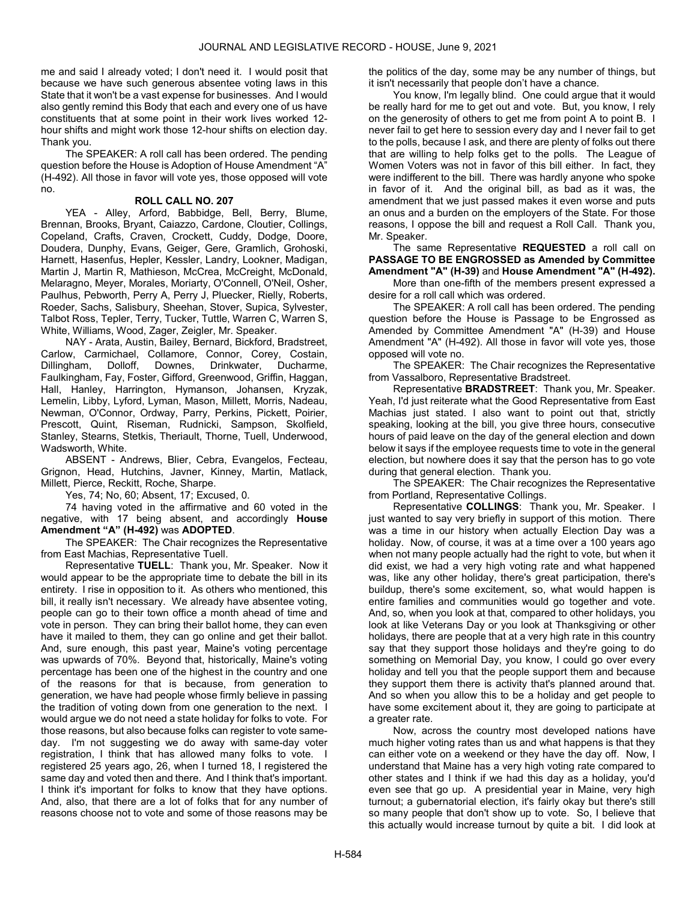me and said I already voted; I don't need it. I would posit that because we have such generous absentee voting laws in this State that it won't be a vast expense for businesses. And I would also gently remind this Body that each and every one of us have constituents that at some point in their work lives worked 12 hour shifts and might work those 12-hour shifts on election day. Thank you.

 The SPEAKER: A roll call has been ordered. The pending question before the House is Adoption of House Amendment "A" (H-492). All those in favor will vote yes, those opposed will vote no.

# ROLL CALL NO. 207

 YEA - Alley, Arford, Babbidge, Bell, Berry, Blume, Brennan, Brooks, Bryant, Caiazzo, Cardone, Cloutier, Collings, Copeland, Crafts, Craven, Crockett, Cuddy, Dodge, Doore, Doudera, Dunphy, Evans, Geiger, Gere, Gramlich, Grohoski, Harnett, Hasenfus, Hepler, Kessler, Landry, Lookner, Madigan, Martin J, Martin R, Mathieson, McCrea, McCreight, McDonald, Melaragno, Meyer, Morales, Moriarty, O'Connell, O'Neil, Osher, Paulhus, Pebworth, Perry A, Perry J, Pluecker, Rielly, Roberts, Roeder, Sachs, Salisbury, Sheehan, Stover, Supica, Sylvester, Talbot Ross, Tepler, Terry, Tucker, Tuttle, Warren C, Warren S, White, Williams, Wood, Zager, Zeigler, Mr. Speaker.

 NAY - Arata, Austin, Bailey, Bernard, Bickford, Bradstreet, Carlow, Carmichael, Collamore, Connor, Corey, Costain, Dillingham, Dolloff, Downes, Drinkwater, Ducharme, Faulkingham, Fay, Foster, Gifford, Greenwood, Griffin, Haggan, Hall, Hanley, Harrington, Hymanson, Johansen, Kryzak, Lemelin, Libby, Lyford, Lyman, Mason, Millett, Morris, Nadeau, Newman, O'Connor, Ordway, Parry, Perkins, Pickett, Poirier, Prescott, Quint, Riseman, Rudnicki, Sampson, Skolfield, Stanley, Stearns, Stetkis, Theriault, Thorne, Tuell, Underwood, Wadsworth, White.

 ABSENT - Andrews, Blier, Cebra, Evangelos, Fecteau, Grignon, Head, Hutchins, Javner, Kinney, Martin, Matlack, Millett, Pierce, Reckitt, Roche, Sharpe.

Yes, 74; No, 60; Absent, 17; Excused, 0.

 74 having voted in the affirmative and 60 voted in the negative, with 17 being absent, and accordingly House Amendment "A" (H-492) was ADOPTED.

 The SPEAKER: The Chair recognizes the Representative from East Machias, Representative Tuell.

 Representative TUELL: Thank you, Mr. Speaker. Now it would appear to be the appropriate time to debate the bill in its entirety. I rise in opposition to it. As others who mentioned, this bill, it really isn't necessary. We already have absentee voting, people can go to their town office a month ahead of time and vote in person. They can bring their ballot home, they can even have it mailed to them, they can go online and get their ballot. And, sure enough, this past year, Maine's voting percentage was upwards of 70%. Beyond that, historically, Maine's voting percentage has been one of the highest in the country and one of the reasons for that is because, from generation to generation, we have had people whose firmly believe in passing the tradition of voting down from one generation to the next. I would argue we do not need a state holiday for folks to vote. For those reasons, but also because folks can register to vote sameday. I'm not suggesting we do away with same-day voter registration, I think that has allowed many folks to vote. I registered 25 years ago, 26, when I turned 18, I registered the same day and voted then and there. And I think that's important. I think it's important for folks to know that they have options. And, also, that there are a lot of folks that for any number of reasons choose not to vote and some of those reasons may be

the politics of the day, some may be any number of things, but it isn't necessarily that people don't have a chance.

 You know, I'm legally blind. One could argue that it would be really hard for me to get out and vote. But, you know, I rely on the generosity of others to get me from point A to point B. I never fail to get here to session every day and I never fail to get to the polls, because I ask, and there are plenty of folks out there that are willing to help folks get to the polls. The League of Women Voters was not in favor of this bill either. In fact, they were indifferent to the bill. There was hardly anyone who spoke in favor of it. And the original bill, as bad as it was, the amendment that we just passed makes it even worse and puts an onus and a burden on the employers of the State. For those reasons, I oppose the bill and request a Roll Call. Thank you, Mr. Speaker.

The same Representative REQUESTED a roll call on PASSAGE TO BE ENGROSSED as Amended by Committee Amendment "A" (H-39) and House Amendment "A" (H-492).

 More than one-fifth of the members present expressed a desire for a roll call which was ordered.

 The SPEAKER: A roll call has been ordered. The pending question before the House is Passage to be Engrossed as Amended by Committee Amendment "A" (H-39) and House Amendment "A" (H-492). All those in favor will vote yes, those opposed will vote no.

 The SPEAKER: The Chair recognizes the Representative from Vassalboro, Representative Bradstreet.

 Representative BRADSTREET: Thank you, Mr. Speaker. Yeah, I'd just reiterate what the Good Representative from East Machias just stated. I also want to point out that, strictly speaking, looking at the bill, you give three hours, consecutive hours of paid leave on the day of the general election and down below it says if the employee requests time to vote in the general election, but nowhere does it say that the person has to go vote during that general election. Thank you.

 The SPEAKER: The Chair recognizes the Representative from Portland, Representative Collings.

 Representative COLLINGS: Thank you, Mr. Speaker. I just wanted to say very briefly in support of this motion. There was a time in our history when actually Election Day was a holiday. Now, of course, it was at a time over a 100 years ago when not many people actually had the right to vote, but when it did exist, we had a very high voting rate and what happened was, like any other holiday, there's great participation, there's buildup, there's some excitement, so, what would happen is entire families and communities would go together and vote. And, so, when you look at that, compared to other holidays, you look at like Veterans Day or you look at Thanksgiving or other holidays, there are people that at a very high rate in this country say that they support those holidays and they're going to do something on Memorial Day, you know, I could go over every holiday and tell you that the people support them and because they support them there is activity that's planned around that. And so when you allow this to be a holiday and get people to have some excitement about it, they are going to participate at a greater rate.

 Now, across the country most developed nations have much higher voting rates than us and what happens is that they can either vote on a weekend or they have the day off. Now, I understand that Maine has a very high voting rate compared to other states and I think if we had this day as a holiday, you'd even see that go up. A presidential year in Maine, very high turnout; a gubernatorial election, it's fairly okay but there's still so many people that don't show up to vote. So, I believe that this actually would increase turnout by quite a bit. I did look at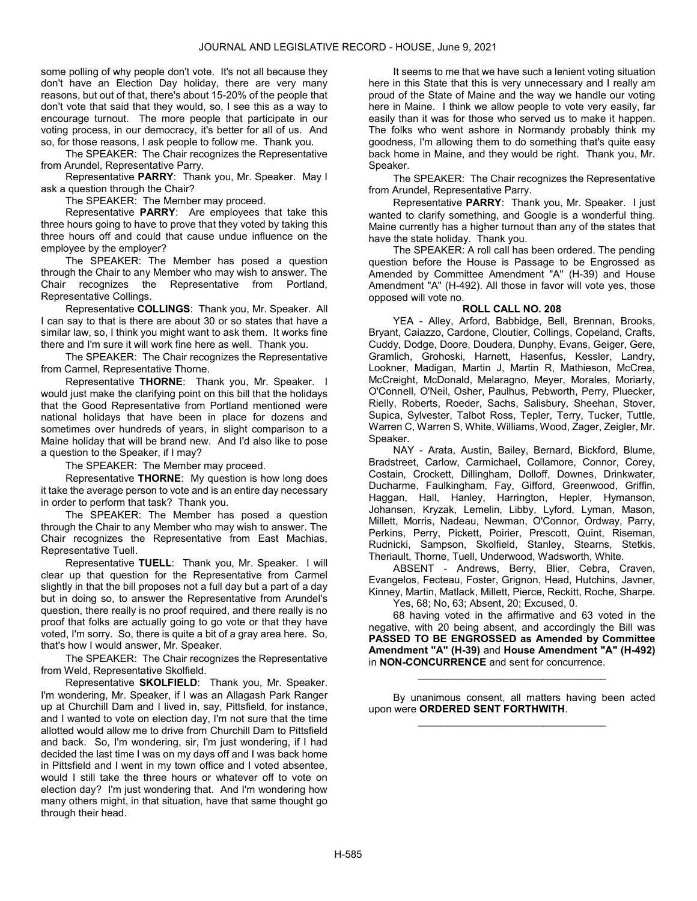some polling of why people don't vote. It's not all because they don't have an Election Day holiday, there are very many reasons, but out of that, there's about 15-20% of the people that don't vote that said that they would, so, I see this as a way to encourage turnout. The more people that participate in our voting process, in our democracy, it's better for all of us. And so, for those reasons, I ask people to follow me. Thank you.

 The SPEAKER: The Chair recognizes the Representative from Arundel, Representative Parry.

 Representative PARRY: Thank you, Mr. Speaker. May I ask a question through the Chair?

The SPEAKER: The Member may proceed.

 Representative PARRY: Are employees that take this three hours going to have to prove that they voted by taking this three hours off and could that cause undue influence on the employee by the employer?

 The SPEAKER: The Member has posed a question through the Chair to any Member who may wish to answer. The Chair recognizes the Representative from Portland, Representative Collings.

 Representative COLLINGS: Thank you, Mr. Speaker. All I can say to that is there are about 30 or so states that have a similar law, so, I think you might want to ask them. It works fine there and I'm sure it will work fine here as well. Thank you.

 The SPEAKER: The Chair recognizes the Representative from Carmel, Representative Thorne.

Representative THORNE: Thank you, Mr. Speaker. I would just make the clarifying point on this bill that the holidays that the Good Representative from Portland mentioned were national holidays that have been in place for dozens and sometimes over hundreds of years, in slight comparison to a Maine holiday that will be brand new. And I'd also like to pose a question to the Speaker, if I may?

The SPEAKER: The Member may proceed.

 Representative THORNE: My question is how long does it take the average person to vote and is an entire day necessary in order to perform that task? Thank you.

 The SPEAKER: The Member has posed a question through the Chair to any Member who may wish to answer. The Chair recognizes the Representative from East Machias, Representative Tuell.

Representative TUELL: Thank you, Mr. Speaker. I will clear up that question for the Representative from Carmel slightly in that the bill proposes not a full day but a part of a day but in doing so, to answer the Representative from Arundel's question, there really is no proof required, and there really is no proof that folks are actually going to go vote or that they have voted, I'm sorry. So, there is quite a bit of a gray area here. So, that's how I would answer, Mr. Speaker.

 The SPEAKER: The Chair recognizes the Representative from Weld, Representative Skolfield.

 Representative SKOLFIELD: Thank you, Mr. Speaker. I'm wondering, Mr. Speaker, if I was an Allagash Park Ranger up at Churchill Dam and I lived in, say, Pittsfield, for instance, and I wanted to vote on election day, I'm not sure that the time allotted would allow me to drive from Churchill Dam to Pittsfield and back. So, I'm wondering, sir, I'm just wondering, if I had decided the last time I was on my days off and I was back home in Pittsfield and I went in my town office and I voted absentee, would I still take the three hours or whatever off to vote on election day? I'm just wondering that. And I'm wondering how many others might, in that situation, have that same thought go through their head.

 It seems to me that we have such a lenient voting situation here in this State that this is very unnecessary and I really am proud of the State of Maine and the way we handle our voting here in Maine. I think we allow people to vote very easily, far easily than it was for those who served us to make it happen. The folks who went ashore in Normandy probably think my goodness, I'm allowing them to do something that's quite easy back home in Maine, and they would be right. Thank you, Mr. Speaker.

 The SPEAKER: The Chair recognizes the Representative from Arundel, Representative Parry.

 Representative PARRY: Thank you, Mr. Speaker. I just wanted to clarify something, and Google is a wonderful thing. Maine currently has a higher turnout than any of the states that have the state holiday. Thank you.

 The SPEAKER: A roll call has been ordered. The pending question before the House is Passage to be Engrossed as Amended by Committee Amendment "A" (H-39) and House Amendment "A" (H-492). All those in favor will vote yes, those opposed will vote no.

# ROLL CALL NO. 208

 YEA - Alley, Arford, Babbidge, Bell, Brennan, Brooks, Bryant, Caiazzo, Cardone, Cloutier, Collings, Copeland, Crafts, Cuddy, Dodge, Doore, Doudera, Dunphy, Evans, Geiger, Gere, Gramlich, Grohoski, Harnett, Hasenfus, Kessler, Landry, Lookner, Madigan, Martin J, Martin R, Mathieson, McCrea, McCreight, McDonald, Melaragno, Meyer, Morales, Moriarty, O'Connell, O'Neil, Osher, Paulhus, Pebworth, Perry, Pluecker, Rielly, Roberts, Roeder, Sachs, Salisbury, Sheehan, Stover, Supica, Sylvester, Talbot Ross, Tepler, Terry, Tucker, Tuttle, Warren C, Warren S, White, Williams, Wood, Zager, Zeigler, Mr. Speaker.

 NAY - Arata, Austin, Bailey, Bernard, Bickford, Blume, Bradstreet, Carlow, Carmichael, Collamore, Connor, Corey, Costain, Crockett, Dillingham, Dolloff, Downes, Drinkwater, Ducharme, Faulkingham, Fay, Gifford, Greenwood, Griffin, Haggan, Hall, Hanley, Harrington, Hepler, Hymanson, Johansen, Kryzak, Lemelin, Libby, Lyford, Lyman, Mason, Millett, Morris, Nadeau, Newman, O'Connor, Ordway, Parry, Perkins, Perry, Pickett, Poirier, Prescott, Quint, Riseman, Rudnicki, Sampson, Skolfield, Stanley, Stearns, Stetkis, Theriault, Thorne, Tuell, Underwood, Wadsworth, White.

 ABSENT - Andrews, Berry, Blier, Cebra, Craven, Evangelos, Fecteau, Foster, Grignon, Head, Hutchins, Javner, Kinney, Martin, Matlack, Millett, Pierce, Reckitt, Roche, Sharpe.

Yes, 68; No, 63; Absent, 20; Excused, 0.

 68 having voted in the affirmative and 63 voted in the negative, with 20 being absent, and accordingly the Bill was PASSED TO BE ENGROSSED as Amended by Committee Amendment "A" (H-39) and House Amendment "A" (H-492) in NON-CONCURRENCE and sent for concurrence.

 By unanimous consent, all matters having been acted upon were ORDERED SENT FORTHWITH. \_\_\_\_\_\_\_\_\_\_\_\_\_\_\_\_\_\_\_\_\_\_\_\_\_\_\_\_\_\_\_\_\_

\_\_\_\_\_\_\_\_\_\_\_\_\_\_\_\_\_\_\_\_\_\_\_\_\_\_\_\_\_\_\_\_\_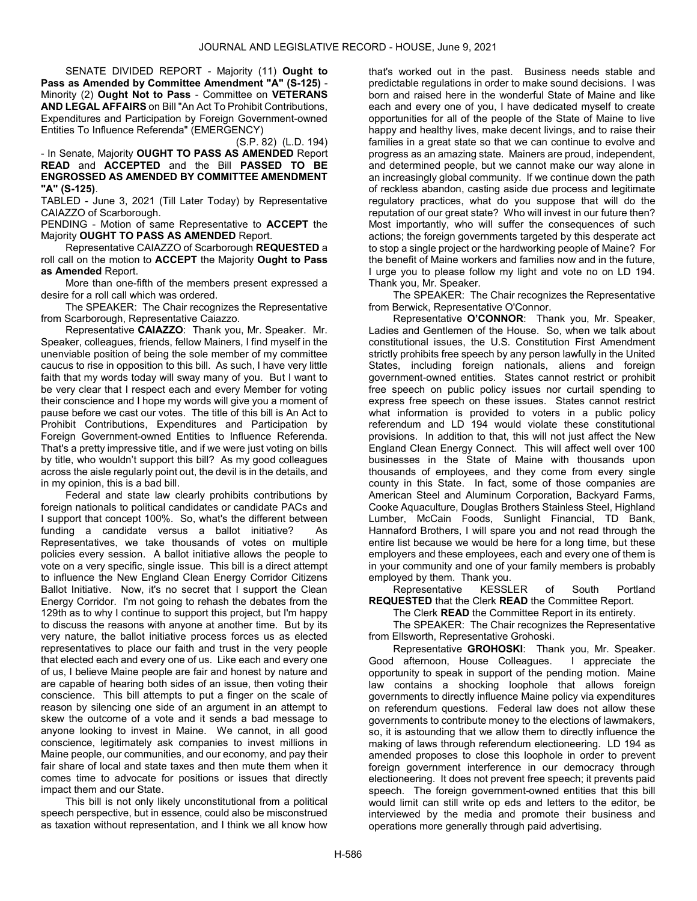SENATE DIVIDED REPORT - Majority (11) Ought to Pass as Amended by Committee Amendment "A" (S-125) - Minority (2) Ought Not to Pass - Committee on VETERANS AND LEGAL AFFAIRS on Bill "An Act To Prohibit Contributions, Expenditures and Participation by Foreign Government-owned Entities To Influence Referenda" (EMERGENCY)

(S.P. 82) (L.D. 194) - In Senate, Majority **OUGHT TO PASS AS AMENDED** Report READ and ACCEPTED and the Bill PASSED TO BE ENGROSSED AS AMENDED BY COMMITTEE AMENDMENT "A" (S-125).

TABLED - June 3, 2021 (Till Later Today) by Representative CAIAZZO of Scarborough.

PENDING - Motion of same Representative to ACCEPT the Majority OUGHT TO PASS AS AMENDED Report.

 Representative CAIAZZO of Scarborough REQUESTED a roll call on the motion to ACCEPT the Majority Ought to Pass as Amended Report.

 More than one-fifth of the members present expressed a desire for a roll call which was ordered.

 The SPEAKER: The Chair recognizes the Representative from Scarborough, Representative Caiazzo.

 Representative CAIAZZO: Thank you, Mr. Speaker. Mr. Speaker, colleagues, friends, fellow Mainers, I find myself in the unenviable position of being the sole member of my committee caucus to rise in opposition to this bill. As such, I have very little faith that my words today will sway many of you. But I want to be very clear that I respect each and every Member for voting their conscience and I hope my words will give you a moment of pause before we cast our votes. The title of this bill is An Act to Prohibit Contributions, Expenditures and Participation by Foreign Government-owned Entities to Influence Referenda. That's a pretty impressive title, and if we were just voting on bills by title, who wouldn't support this bill? As my good colleagues across the aisle regularly point out, the devil is in the details, and in my opinion, this is a bad bill.

 Federal and state law clearly prohibits contributions by foreign nationals to political candidates or candidate PACs and I support that concept 100%. So, what's the different between funding a candidate versus a ballot initiative? As Representatives, we take thousands of votes on multiple policies every session. A ballot initiative allows the people to vote on a very specific, single issue. This bill is a direct attempt to influence the New England Clean Energy Corridor Citizens Ballot Initiative. Now, it's no secret that I support the Clean Energy Corridor. I'm not going to rehash the debates from the 129th as to why I continue to support this project, but I'm happy to discuss the reasons with anyone at another time. But by its very nature, the ballot initiative process forces us as elected representatives to place our faith and trust in the very people that elected each and every one of us. Like each and every one of us, I believe Maine people are fair and honest by nature and are capable of hearing both sides of an issue, then voting their conscience. This bill attempts to put a finger on the scale of reason by silencing one side of an argument in an attempt to skew the outcome of a vote and it sends a bad message to anyone looking to invest in Maine. We cannot, in all good conscience, legitimately ask companies to invest millions in Maine people, our communities, and our economy, and pay their fair share of local and state taxes and then mute them when it comes time to advocate for positions or issues that directly impact them and our State.

 This bill is not only likely unconstitutional from a political speech perspective, but in essence, could also be misconstrued as taxation without representation, and I think we all know how that's worked out in the past. Business needs stable and predictable regulations in order to make sound decisions. I was born and raised here in the wonderful State of Maine and like each and every one of you, I have dedicated myself to create opportunities for all of the people of the State of Maine to live happy and healthy lives, make decent livings, and to raise their families in a great state so that we can continue to evolve and progress as an amazing state. Mainers are proud, independent, and determined people, but we cannot make our way alone in an increasingly global community. If we continue down the path of reckless abandon, casting aside due process and legitimate regulatory practices, what do you suppose that will do the reputation of our great state? Who will invest in our future then? Most importantly, who will suffer the consequences of such actions; the foreign governments targeted by this desperate act to stop a single project or the hardworking people of Maine? For the benefit of Maine workers and families now and in the future, I urge you to please follow my light and vote no on LD 194. Thank you, Mr. Speaker.

 The SPEAKER: The Chair recognizes the Representative from Berwick, Representative O'Connor.

 Representative O'CONNOR: Thank you, Mr. Speaker, Ladies and Gentlemen of the House. So, when we talk about constitutional issues, the U.S. Constitution First Amendment strictly prohibits free speech by any person lawfully in the United States, including foreign nationals, aliens and foreign government-owned entities. States cannot restrict or prohibit free speech on public policy issues nor curtail spending to express free speech on these issues. States cannot restrict what information is provided to voters in a public policy referendum and LD 194 would violate these constitutional provisions. In addition to that, this will not just affect the New England Clean Energy Connect. This will affect well over 100 businesses in the State of Maine with thousands upon thousands of employees, and they come from every single county in this State. In fact, some of those companies are American Steel and Aluminum Corporation, Backyard Farms, Cooke Aquaculture, Douglas Brothers Stainless Steel, Highland Lumber, McCain Foods, Sunlight Financial, TD Bank, Hannaford Brothers, I will spare you and not read through the entire list because we would be here for a long time, but these employers and these employees, each and every one of them is in your community and one of your family members is probably employed by them. Thank you.

 Representative KESSLER of South Portland REQUESTED that the Clerk READ the Committee Report.

The Clerk READ the Committee Report in its entirety.

 The SPEAKER: The Chair recognizes the Representative from Ellsworth, Representative Grohoski.

Representative GROHOSKI: Thank you, Mr. Speaker. Good afternoon, House Colleagues. I appreciate the opportunity to speak in support of the pending motion. Maine law contains a shocking loophole that allows foreign governments to directly influence Maine policy via expenditures on referendum questions. Federal law does not allow these governments to contribute money to the elections of lawmakers, so, it is astounding that we allow them to directly influence the making of laws through referendum electioneering. LD 194 as amended proposes to close this loophole in order to prevent foreign government interference in our democracy through electioneering. It does not prevent free speech; it prevents paid speech. The foreign government-owned entities that this bill would limit can still write op eds and letters to the editor, be interviewed by the media and promote their business and operations more generally through paid advertising.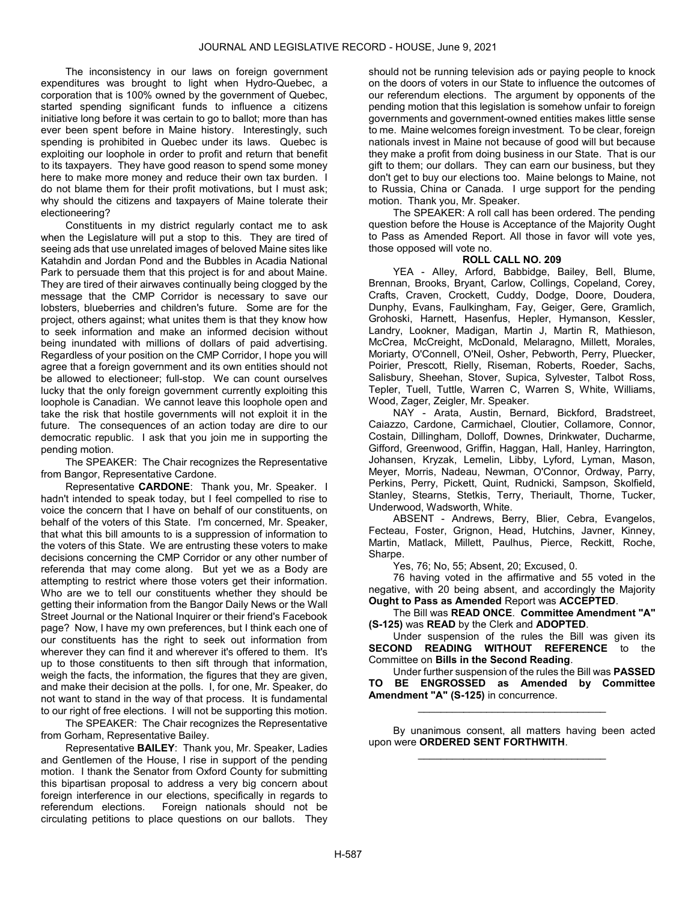The inconsistency in our laws on foreign government expenditures was brought to light when Hydro-Quebec, a corporation that is 100% owned by the government of Quebec, started spending significant funds to influence a citizens initiative long before it was certain to go to ballot; more than has ever been spent before in Maine history. Interestingly, such spending is prohibited in Quebec under its laws. Quebec is exploiting our loophole in order to profit and return that benefit to its taxpayers. They have good reason to spend some money here to make more money and reduce their own tax burden. I do not blame them for their profit motivations, but I must ask; why should the citizens and taxpayers of Maine tolerate their electioneering?

 Constituents in my district regularly contact me to ask when the Legislature will put a stop to this. They are tired of seeing ads that use unrelated images of beloved Maine sites like Katahdin and Jordan Pond and the Bubbles in Acadia National Park to persuade them that this project is for and about Maine. They are tired of their airwaves continually being clogged by the message that the CMP Corridor is necessary to save our lobsters, blueberries and children's future. Some are for the project, others against; what unites them is that they know how to seek information and make an informed decision without being inundated with millions of dollars of paid advertising. Regardless of your position on the CMP Corridor, I hope you will agree that a foreign government and its own entities should not be allowed to electioneer; full-stop. We can count ourselves lucky that the only foreign government currently exploiting this loophole is Canadian. We cannot leave this loophole open and take the risk that hostile governments will not exploit it in the future. The consequences of an action today are dire to our democratic republic. I ask that you join me in supporting the pending motion.

 The SPEAKER: The Chair recognizes the Representative from Bangor, Representative Cardone.

Representative CARDONE: Thank you, Mr. Speaker. I hadn't intended to speak today, but I feel compelled to rise to voice the concern that I have on behalf of our constituents, on behalf of the voters of this State. I'm concerned, Mr. Speaker, that what this bill amounts to is a suppression of information to the voters of this State. We are entrusting these voters to make decisions concerning the CMP Corridor or any other number of referenda that may come along. But yet we as a Body are attempting to restrict where those voters get their information. Who are we to tell our constituents whether they should be getting their information from the Bangor Daily News or the Wall Street Journal or the National Inquirer or their friend's Facebook page? Now, I have my own preferences, but I think each one of our constituents has the right to seek out information from wherever they can find it and wherever it's offered to them. It's up to those constituents to then sift through that information, weigh the facts, the information, the figures that they are given, and make their decision at the polls. I, for one, Mr. Speaker, do not want to stand in the way of that process. It is fundamental to our right of free elections. I will not be supporting this motion.

 The SPEAKER: The Chair recognizes the Representative from Gorham, Representative Bailey.

 Representative BAILEY: Thank you, Mr. Speaker, Ladies and Gentlemen of the House, I rise in support of the pending motion. I thank the Senator from Oxford County for submitting this bipartisan proposal to address a very big concern about foreign interference in our elections, specifically in regards to referendum elections. Foreign nationals should not be circulating petitions to place questions on our ballots. They

should not be running television ads or paying people to knock on the doors of voters in our State to influence the outcomes of our referendum elections. The argument by opponents of the pending motion that this legislation is somehow unfair to foreign governments and government-owned entities makes little sense to me. Maine welcomes foreign investment. To be clear, foreign nationals invest in Maine not because of good will but because they make a profit from doing business in our State. That is our gift to them; our dollars. They can earn our business, but they don't get to buy our elections too. Maine belongs to Maine, not to Russia, China or Canada. I urge support for the pending motion. Thank you, Mr. Speaker.

 The SPEAKER: A roll call has been ordered. The pending question before the House is Acceptance of the Majority Ought to Pass as Amended Report. All those in favor will vote yes, those opposed will vote no.

# ROLL CALL NO. 209

 YEA - Alley, Arford, Babbidge, Bailey, Bell, Blume, Brennan, Brooks, Bryant, Carlow, Collings, Copeland, Corey, Crafts, Craven, Crockett, Cuddy, Dodge, Doore, Doudera, Dunphy, Evans, Faulkingham, Fay, Geiger, Gere, Gramlich, Grohoski, Harnett, Hasenfus, Hepler, Hymanson, Kessler, Landry, Lookner, Madigan, Martin J, Martin R, Mathieson, McCrea, McCreight, McDonald, Melaragno, Millett, Morales, Moriarty, O'Connell, O'Neil, Osher, Pebworth, Perry, Pluecker, Poirier, Prescott, Rielly, Riseman, Roberts, Roeder, Sachs, Salisbury, Sheehan, Stover, Supica, Sylvester, Talbot Ross, Tepler, Tuell, Tuttle, Warren C, Warren S, White, Williams, Wood, Zager, Zeigler, Mr. Speaker.

 NAY - Arata, Austin, Bernard, Bickford, Bradstreet, Caiazzo, Cardone, Carmichael, Cloutier, Collamore, Connor, Costain, Dillingham, Dolloff, Downes, Drinkwater, Ducharme, Gifford, Greenwood, Griffin, Haggan, Hall, Hanley, Harrington, Johansen, Kryzak, Lemelin, Libby, Lyford, Lyman, Mason, Meyer, Morris, Nadeau, Newman, O'Connor, Ordway, Parry, Perkins, Perry, Pickett, Quint, Rudnicki, Sampson, Skolfield, Stanley, Stearns, Stetkis, Terry, Theriault, Thorne, Tucker, Underwood, Wadsworth, White.

 ABSENT - Andrews, Berry, Blier, Cebra, Evangelos, Fecteau, Foster, Grignon, Head, Hutchins, Javner, Kinney, Martin, Matlack, Millett, Paulhus, Pierce, Reckitt, Roche, Sharpe.

Yes, 76; No, 55; Absent, 20; Excused, 0.

 76 having voted in the affirmative and 55 voted in the negative, with 20 being absent, and accordingly the Majority Ought to Pass as Amended Report was ACCEPTED.

The Bill was READ ONCE. Committee Amendment "A" (S-125) was READ by the Clerk and ADOPTED.

 Under suspension of the rules the Bill was given its SECOND READING WITHOUT REFERENCE to the Committee on Bills in the Second Reading.

 Under further suspension of the rules the Bill was PASSED TO BE ENGROSSED as Amended by Committee Amendment "A" (S-125) in concurrence.

\_\_\_\_\_\_\_\_\_\_\_\_\_\_\_\_\_\_\_\_\_\_\_\_\_\_\_\_\_\_\_\_\_

 By unanimous consent, all matters having been acted upon were ORDERED SENT FORTHWITH. \_\_\_\_\_\_\_\_\_\_\_\_\_\_\_\_\_\_\_\_\_\_\_\_\_\_\_\_\_\_\_\_\_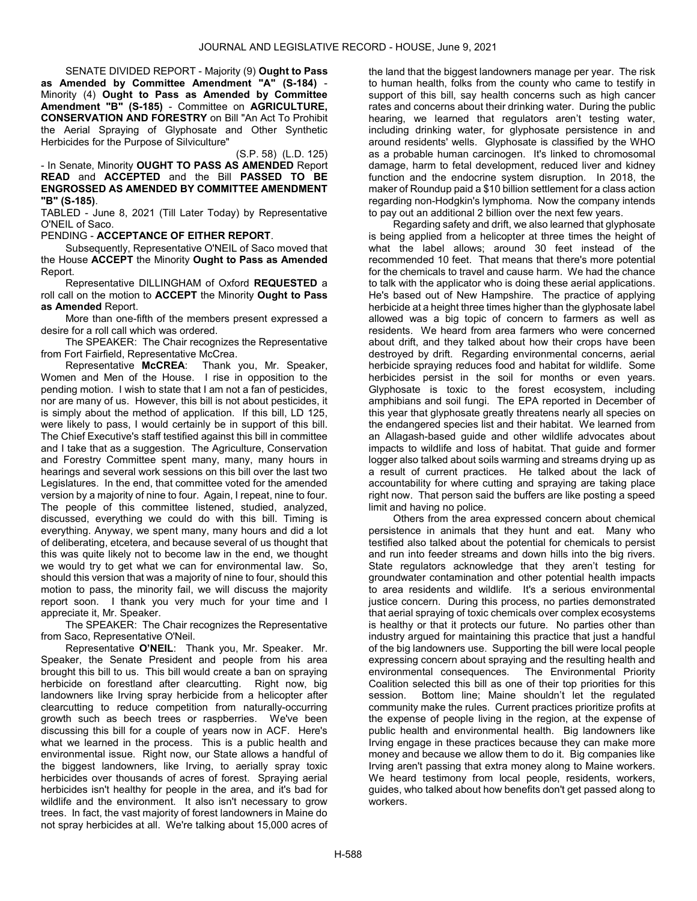SENATE DIVIDED REPORT - Majority (9) Ought to Pass as Amended by Committee Amendment "A" (S-184) - Minority (4) Ought to Pass as Amended by Committee Amendment "B" (S-185) - Committee on AGRICULTURE, CONSERVATION AND FORESTRY on Bill "An Act To Prohibit the Aerial Spraying of Glyphosate and Other Synthetic Herbicides for the Purpose of Silviculture"

(S.P. 58) (L.D. 125)

- In Senate, Minority OUGHT TO PASS AS AMENDED Report READ and ACCEPTED and the Bill PASSED TO BE ENGROSSED AS AMENDED BY COMMITTEE AMENDMENT "B" (S-185).

TABLED - June 8, 2021 (Till Later Today) by Representative O'NEIL of Saco.

PENDING - ACCEPTANCE OF EITHER REPORT.

 Subsequently, Representative O'NEIL of Saco moved that the House ACCEPT the Minority Ought to Pass as Amended Report.

 Representative DILLINGHAM of Oxford REQUESTED a roll call on the motion to ACCEPT the Minority Ought to Pass as Amended Report.

 More than one-fifth of the members present expressed a desire for a roll call which was ordered.

 The SPEAKER: The Chair recognizes the Representative from Fort Fairfield, Representative McCrea.

 Representative McCREA: Thank you, Mr. Speaker, Women and Men of the House. I rise in opposition to the pending motion. I wish to state that I am not a fan of pesticides, nor are many of us. However, this bill is not about pesticides, it is simply about the method of application. If this bill, LD 125, were likely to pass, I would certainly be in support of this bill. The Chief Executive's staff testified against this bill in committee and I take that as a suggestion. The Agriculture, Conservation and Forestry Committee spent many, many, many hours in hearings and several work sessions on this bill over the last two Legislatures. In the end, that committee voted for the amended version by a majority of nine to four. Again, I repeat, nine to four. The people of this committee listened, studied, analyzed, discussed, everything we could do with this bill. Timing is everything. Anyway, we spent many, many hours and did a lot of deliberating, etcetera, and because several of us thought that this was quite likely not to become law in the end, we thought we would try to get what we can for environmental law. So, should this version that was a majority of nine to four, should this motion to pass, the minority fail, we will discuss the majority report soon. I thank you very much for your time and I appreciate it, Mr. Speaker.

 The SPEAKER: The Chair recognizes the Representative from Saco, Representative O'Neil.

 Representative O'NEIL: Thank you, Mr. Speaker. Mr. Speaker, the Senate President and people from his area brought this bill to us. This bill would create a ban on spraying herbicide on forestland after clearcutting. Right now, big landowners like Irving spray herbicide from a helicopter after clearcutting to reduce competition from naturally-occurring growth such as beech trees or raspberries. We've been discussing this bill for a couple of years now in ACF. Here's what we learned in the process. This is a public health and environmental issue. Right now, our State allows a handful of the biggest landowners, like Irving, to aerially spray toxic herbicides over thousands of acres of forest. Spraying aerial herbicides isn't healthy for people in the area, and it's bad for wildlife and the environment. It also isn't necessary to grow trees. In fact, the vast majority of forest landowners in Maine do not spray herbicides at all. We're talking about 15,000 acres of the land that the biggest landowners manage per year. The risk to human health, folks from the county who came to testify in support of this bill, say health concerns such as high cancer rates and concerns about their drinking water. During the public hearing, we learned that regulators aren't testing water, including drinking water, for glyphosate persistence in and around residents' wells. Glyphosate is classified by the WHO as a probable human carcinogen. It's linked to chromosomal damage, harm to fetal development, reduced liver and kidney function and the endocrine system disruption. In 2018, the maker of Roundup paid a \$10 billion settlement for a class action regarding non-Hodgkin's lymphoma. Now the company intends to pay out an additional 2 billion over the next few years.

 Regarding safety and drift, we also learned that glyphosate is being applied from a helicopter at three times the height of what the label allows; around 30 feet instead of the recommended 10 feet. That means that there's more potential for the chemicals to travel and cause harm. We had the chance to talk with the applicator who is doing these aerial applications. He's based out of New Hampshire. The practice of applying herbicide at a height three times higher than the glyphosate label allowed was a big topic of concern to farmers as well as residents. We heard from area farmers who were concerned about drift, and they talked about how their crops have been destroyed by drift. Regarding environmental concerns, aerial herbicide spraying reduces food and habitat for wildlife. Some herbicides persist in the soil for months or even years. Glyphosate is toxic to the forest ecosystem, including amphibians and soil fungi. The EPA reported in December of this year that glyphosate greatly threatens nearly all species on the endangered species list and their habitat. We learned from an Allagash-based guide and other wildlife advocates about impacts to wildlife and loss of habitat. That guide and former logger also talked about soils warming and streams drying up as a result of current practices. He talked about the lack of accountability for where cutting and spraying are taking place right now. That person said the buffers are like posting a speed limit and having no police.

 Others from the area expressed concern about chemical persistence in animals that they hunt and eat. Many who testified also talked about the potential for chemicals to persist and run into feeder streams and down hills into the big rivers. State regulators acknowledge that they aren't testing for groundwater contamination and other potential health impacts to area residents and wildlife. It's a serious environmental justice concern. During this process, no parties demonstrated that aerial spraying of toxic chemicals over complex ecosystems is healthy or that it protects our future. No parties other than industry argued for maintaining this practice that just a handful of the big landowners use. Supporting the bill were local people expressing concern about spraying and the resulting health and environmental consequences. The Environmental Priority Coalition selected this bill as one of their top priorities for this session. Bottom line; Maine shouldn't let the regulated community make the rules. Current practices prioritize profits at the expense of people living in the region, at the expense of public health and environmental health. Big landowners like Irving engage in these practices because they can make more money and because we allow them to do it. Big companies like Irving aren't passing that extra money along to Maine workers. We heard testimony from local people, residents, workers, guides, who talked about how benefits don't get passed along to workers.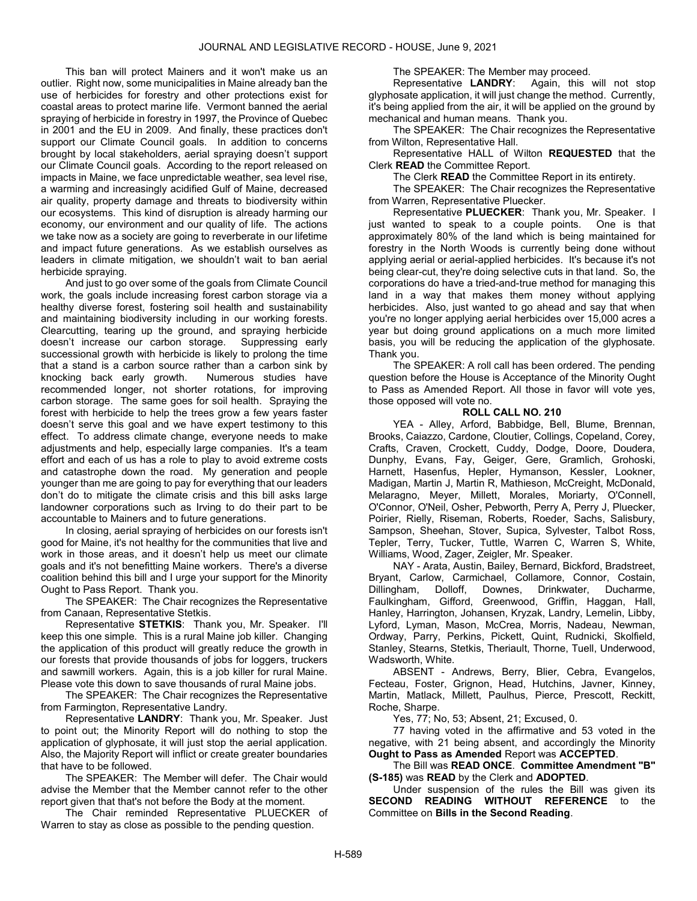This ban will protect Mainers and it won't make us an outlier. Right now, some municipalities in Maine already ban the use of herbicides for forestry and other protections exist for coastal areas to protect marine life. Vermont banned the aerial spraying of herbicide in forestry in 1997, the Province of Quebec in 2001 and the EU in 2009. And finally, these practices don't support our Climate Council goals. In addition to concerns brought by local stakeholders, aerial spraying doesn't support our Climate Council goals. According to the report released on impacts in Maine, we face unpredictable weather, sea level rise, a warming and increasingly acidified Gulf of Maine, decreased air quality, property damage and threats to biodiversity within our ecosystems. This kind of disruption is already harming our economy, our environment and our quality of life. The actions we take now as a society are going to reverberate in our lifetime and impact future generations. As we establish ourselves as leaders in climate mitigation, we shouldn't wait to ban aerial herbicide spraying.

 And just to go over some of the goals from Climate Council work, the goals include increasing forest carbon storage via a healthy diverse forest, fostering soil health and sustainability and maintaining biodiversity including in our working forests. Clearcutting, tearing up the ground, and spraying herbicide doesn't increase our carbon storage. Suppressing early successional growth with herbicide is likely to prolong the time that a stand is a carbon source rather than a carbon sink by knocking back early growth. Numerous studies have recommended longer, not shorter rotations, for improving carbon storage. The same goes for soil health. Spraying the forest with herbicide to help the trees grow a few years faster doesn't serve this goal and we have expert testimony to this effect. To address climate change, everyone needs to make adjustments and help, especially large companies. It's a team effort and each of us has a role to play to avoid extreme costs and catastrophe down the road. My generation and people younger than me are going to pay for everything that our leaders don't do to mitigate the climate crisis and this bill asks large landowner corporations such as Irving to do their part to be accountable to Mainers and to future generations.

 In closing, aerial spraying of herbicides on our forests isn't good for Maine, it's not healthy for the communities that live and work in those areas, and it doesn't help us meet our climate goals and it's not benefitting Maine workers. There's a diverse coalition behind this bill and I urge your support for the Minority Ought to Pass Report. Thank you.

 The SPEAKER: The Chair recognizes the Representative from Canaan, Representative Stetkis.

Representative **STETKIS:** Thank you, Mr. Speaker. I'll keep this one simple. This is a rural Maine job killer. Changing the application of this product will greatly reduce the growth in our forests that provide thousands of jobs for loggers, truckers and sawmill workers. Again, this is a job killer for rural Maine. Please vote this down to save thousands of rural Maine jobs.

 The SPEAKER: The Chair recognizes the Representative from Farmington, Representative Landry.

 Representative LANDRY: Thank you, Mr. Speaker. Just to point out; the Minority Report will do nothing to stop the application of glyphosate, it will just stop the aerial application. Also, the Majority Report will inflict or create greater boundaries that have to be followed.

 The SPEAKER: The Member will defer. The Chair would advise the Member that the Member cannot refer to the other report given that that's not before the Body at the moment.

 The Chair reminded Representative PLUECKER of Warren to stay as close as possible to the pending question.

The SPEAKER: The Member may proceed.

 Representative LANDRY: Again, this will not stop glyphosate application, it will just change the method. Currently, it's being applied from the air, it will be applied on the ground by mechanical and human means. Thank you.

 The SPEAKER: The Chair recognizes the Representative from Wilton, Representative Hall.

 Representative HALL of Wilton REQUESTED that the Clerk READ the Committee Report.

The Clerk **READ** the Committee Report in its entirety.

 The SPEAKER: The Chair recognizes the Representative from Warren, Representative Pluecker.

Representative PLUECKER: Thank you, Mr. Speaker. I just wanted to speak to a couple points. One is that approximately 80% of the land which is being maintained for forestry in the North Woods is currently being done without applying aerial or aerial-applied herbicides. It's because it's not being clear-cut, they're doing selective cuts in that land. So, the corporations do have a tried-and-true method for managing this land in a way that makes them money without applying herbicides. Also, just wanted to go ahead and say that when you're no longer applying aerial herbicides over 15,000 acres a year but doing ground applications on a much more limited basis, you will be reducing the application of the glyphosate. Thank you.

 The SPEAKER: A roll call has been ordered. The pending question before the House is Acceptance of the Minority Ought to Pass as Amended Report. All those in favor will vote yes, those opposed will vote no.

## ROLL CALL NO. 210

 YEA - Alley, Arford, Babbidge, Bell, Blume, Brennan, Brooks, Caiazzo, Cardone, Cloutier, Collings, Copeland, Corey, Crafts, Craven, Crockett, Cuddy, Dodge, Doore, Doudera, Dunphy, Evans, Fay, Geiger, Gere, Gramlich, Grohoski, Harnett, Hasenfus, Hepler, Hymanson, Kessler, Lookner, Madigan, Martin J, Martin R, Mathieson, McCreight, McDonald, Melaragno, Meyer, Millett, Morales, Moriarty, O'Connell, O'Connor, O'Neil, Osher, Pebworth, Perry A, Perry J, Pluecker, Poirier, Rielly, Riseman, Roberts, Roeder, Sachs, Salisbury, Sampson, Sheehan, Stover, Supica, Sylvester, Talbot Ross, Tepler, Terry, Tucker, Tuttle, Warren C, Warren S, White, Williams, Wood, Zager, Zeigler, Mr. Speaker.

 NAY - Arata, Austin, Bailey, Bernard, Bickford, Bradstreet, Bryant, Carlow, Carmichael, Collamore, Connor, Costain, Dillingham, Dolloff, Downes, Drinkwater, Ducharme, Faulkingham, Gifford, Greenwood, Griffin, Haggan, Hall, Hanley, Harrington, Johansen, Kryzak, Landry, Lemelin, Libby, Lyford, Lyman, Mason, McCrea, Morris, Nadeau, Newman, Ordway, Parry, Perkins, Pickett, Quint, Rudnicki, Skolfield, Stanley, Stearns, Stetkis, Theriault, Thorne, Tuell, Underwood, Wadsworth, White.

 ABSENT - Andrews, Berry, Blier, Cebra, Evangelos, Fecteau, Foster, Grignon, Head, Hutchins, Javner, Kinney, Martin, Matlack, Millett, Paulhus, Pierce, Prescott, Reckitt, Roche, Sharpe.

Yes, 77; No, 53; Absent, 21; Excused, 0.

 77 having voted in the affirmative and 53 voted in the negative, with 21 being absent, and accordingly the Minority Ought to Pass as Amended Report was ACCEPTED.

 The Bill was READ ONCE. Committee Amendment "B" (S-185) was READ by the Clerk and ADOPTED.

 Under suspension of the rules the Bill was given its SECOND READING WITHOUT REFERENCE to the Committee on Bills in the Second Reading.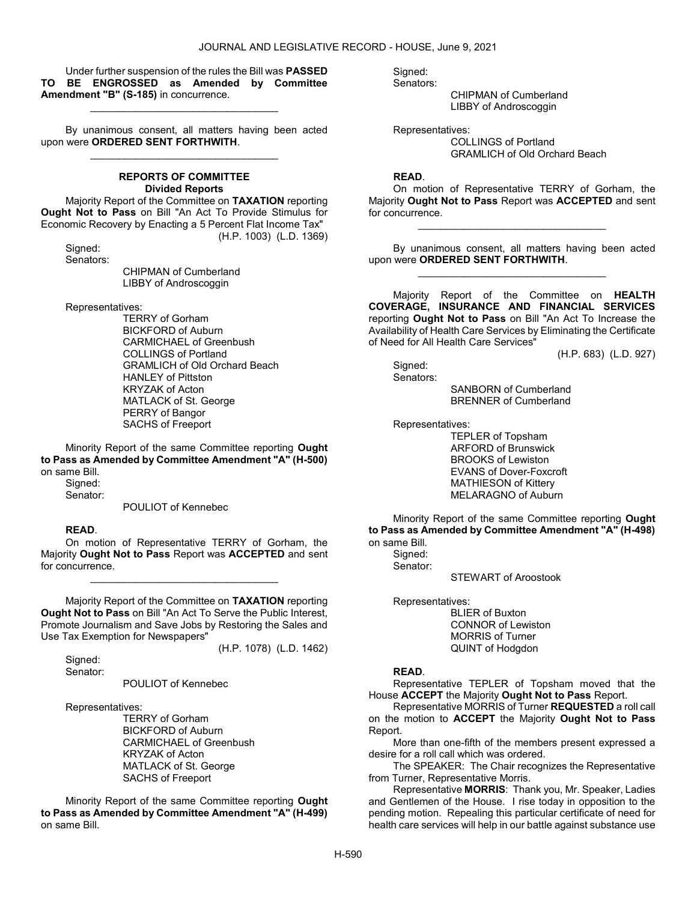Under further suspension of the rules the Bill was PASSED TO BE ENGROSSED as Amended by Committee Amendment "B" (S-185) in concurrence.

\_\_\_\_\_\_\_\_\_\_\_\_\_\_\_\_\_\_\_\_\_\_\_\_\_\_\_\_\_\_\_\_\_

 By unanimous consent, all matters having been acted upon were ORDERED SENT FORTHWITH. \_\_\_\_\_\_\_\_\_\_\_\_\_\_\_\_\_\_\_\_\_\_\_\_\_\_\_\_\_\_\_\_\_

# REPORTS OF COMMITTEE Divided Reports

 Majority Report of the Committee on TAXATION reporting Ought Not to Pass on Bill "An Act To Provide Stimulus for Economic Recovery by Enacting a 5 Percent Flat Income Tax" (H.P. 1003) (L.D. 1369)

 Signed: Senators:

 CHIPMAN of Cumberland LIBBY of Androscoggin

Representatives:

 TERRY of Gorham BICKFORD of Auburn CARMICHAEL of Greenbush COLLINGS of Portland GRAMLICH of Old Orchard Beach HANLEY of Pittston KRYZAK of Acton MATLACK of St. George PERRY of Bangor SACHS of Freeport

 Minority Report of the same Committee reporting Ought to Pass as Amended by Committee Amendment "A" (H-500) on same Bill.

 Signed: Senator:

POULIOT of Kennebec

# READ.

 On motion of Representative TERRY of Gorham, the Majority Ought Not to Pass Report was ACCEPTED and sent for concurrence.

\_\_\_\_\_\_\_\_\_\_\_\_\_\_\_\_\_\_\_\_\_\_\_\_\_\_\_\_\_\_\_\_\_

 Majority Report of the Committee on TAXATION reporting Ought Not to Pass on Bill "An Act To Serve the Public Interest, Promote Journalism and Save Jobs by Restoring the Sales and Use Tax Exemption for Newspapers"

(H.P. 1078) (L.D. 1462)

Signed: Senator:

POULIOT of Kennebec

Representatives:

 TERRY of Gorham BICKFORD of Auburn CARMICHAEL of Greenbush KRYZAK of Acton MATLACK of St. George SACHS of Freeport

 Minority Report of the same Committee reporting Ought to Pass as Amended by Committee Amendment "A" (H-499) on same Bill.

 Signed: Senators:

> CHIPMAN of Cumberland LIBBY of Androscoggin

 Representatives: COLLINGS of Portland GRAMLICH of Old Orchard Beach

## READ.

 On motion of Representative TERRY of Gorham, the Majority Ought Not to Pass Report was ACCEPTED and sent for concurrence.

\_\_\_\_\_\_\_\_\_\_\_\_\_\_\_\_\_\_\_\_\_\_\_\_\_\_\_\_\_\_\_\_\_

 By unanimous consent, all matters having been acted upon were ORDERED SENT FORTHWITH. \_\_\_\_\_\_\_\_\_\_\_\_\_\_\_\_\_\_\_\_\_\_\_\_\_\_\_\_\_\_\_\_\_

 Majority Report of the Committee on HEALTH COVERAGE, INSURANCE AND FINANCIAL SERVICES reporting Ought Not to Pass on Bill "An Act To Increase the Availability of Health Care Services by Eliminating the Certificate of Need for All Health Care Services"

(H.P. 683) (L.D. 927)

 Signed: Senators:

 SANBORN of Cumberland BRENNER of Cumberland

Representatives:

 TEPLER of Topsham ARFORD of Brunswick BROOKS of Lewiston EVANS of Dover-Foxcroft MATHIESON of Kittery MELARAGNO of Auburn

 Minority Report of the same Committee reporting Ought to Pass as Amended by Committee Amendment "A" (H-498) on same Bill.

 Signed: Senator:

STEWART of Aroostook

Representatives:

 BLIER of Buxton CONNOR of Lewiston MORRIS of Turner QUINT of Hodgdon

# READ.

 Representative TEPLER of Topsham moved that the House ACCEPT the Majority Ought Not to Pass Report.

 Representative MORRIS of Turner REQUESTED a roll call on the motion to ACCEPT the Majority Ought Not to Pass Report.

 More than one-fifth of the members present expressed a desire for a roll call which was ordered.

 The SPEAKER: The Chair recognizes the Representative from Turner, Representative Morris.

 Representative MORRIS: Thank you, Mr. Speaker, Ladies and Gentlemen of the House. I rise today in opposition to the pending motion. Repealing this particular certificate of need for health care services will help in our battle against substance use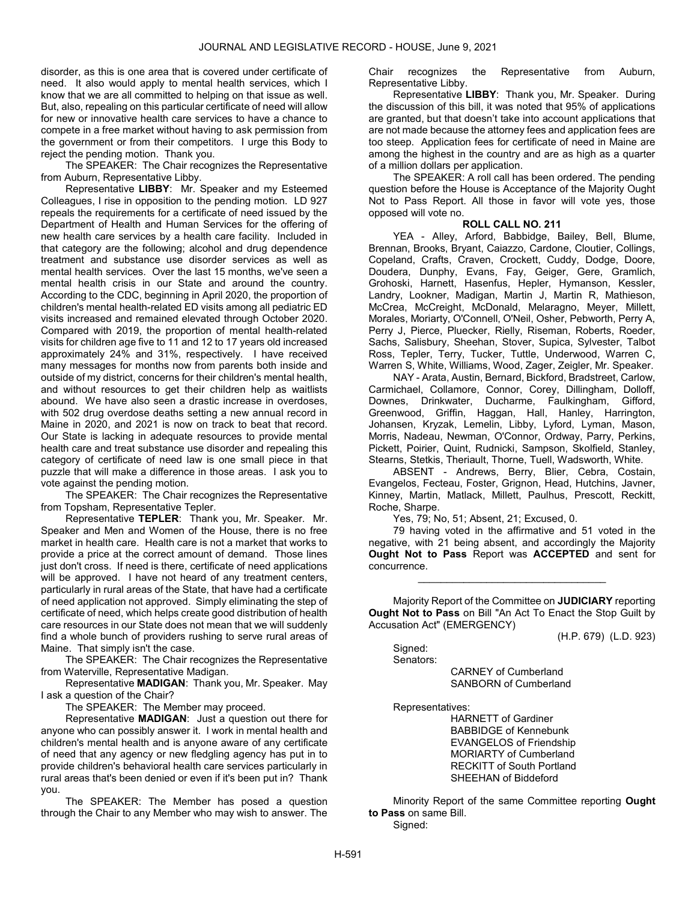disorder, as this is one area that is covered under certificate of need. It also would apply to mental health services, which I know that we are all committed to helping on that issue as well. But, also, repealing on this particular certificate of need will allow for new or innovative health care services to have a chance to compete in a free market without having to ask permission from the government or from their competitors. I urge this Body to reject the pending motion. Thank you.

 The SPEAKER: The Chair recognizes the Representative from Auburn, Representative Libby.

 Representative LIBBY: Mr. Speaker and my Esteemed Colleagues, I rise in opposition to the pending motion. LD 927 repeals the requirements for a certificate of need issued by the Department of Health and Human Services for the offering of new health care services by a health care facility. Included in that category are the following; alcohol and drug dependence treatment and substance use disorder services as well as mental health services. Over the last 15 months, we've seen a mental health crisis in our State and around the country. According to the CDC, beginning in April 2020, the proportion of children's mental health-related ED visits among all pediatric ED visits increased and remained elevated through October 2020. Compared with 2019, the proportion of mental health-related visits for children age five to 11 and 12 to 17 years old increased approximately 24% and 31%, respectively. I have received many messages for months now from parents both inside and outside of my district, concerns for their children's mental health, and without resources to get their children help as waitlists abound. We have also seen a drastic increase in overdoses, with 502 drug overdose deaths setting a new annual record in Maine in 2020, and 2021 is now on track to beat that record. Our State is lacking in adequate resources to provide mental health care and treat substance use disorder and repealing this category of certificate of need law is one small piece in that puzzle that will make a difference in those areas. I ask you to vote against the pending motion.

 The SPEAKER: The Chair recognizes the Representative from Topsham, Representative Tepler.

 Representative TEPLER: Thank you, Mr. Speaker. Mr. Speaker and Men and Women of the House, there is no free market in health care. Health care is not a market that works to provide a price at the correct amount of demand. Those lines just don't cross. If need is there, certificate of need applications will be approved. I have not heard of any treatment centers, particularly in rural areas of the State, that have had a certificate of need application not approved. Simply eliminating the step of certificate of need, which helps create good distribution of health care resources in our State does not mean that we will suddenly find a whole bunch of providers rushing to serve rural areas of Maine. That simply isn't the case.

 The SPEAKER: The Chair recognizes the Representative from Waterville, Representative Madigan.

 Representative MADIGAN: Thank you, Mr. Speaker. May I ask a question of the Chair?

The SPEAKER: The Member may proceed.

 Representative MADIGAN: Just a question out there for anyone who can possibly answer it. I work in mental health and children's mental health and is anyone aware of any certificate of need that any agency or new fledgling agency has put in to provide children's behavioral health care services particularly in rural areas that's been denied or even if it's been put in? Thank you.

 The SPEAKER: The Member has posed a question through the Chair to any Member who may wish to answer. The Chair recognizes the Representative from Auburn, Representative Libby.

 Representative LIBBY: Thank you, Mr. Speaker. During the discussion of this bill, it was noted that 95% of applications are granted, but that doesn't take into account applications that are not made because the attorney fees and application fees are too steep. Application fees for certificate of need in Maine are among the highest in the country and are as high as a quarter of a million dollars per application.

 The SPEAKER: A roll call has been ordered. The pending question before the House is Acceptance of the Majority Ought Not to Pass Report. All those in favor will vote yes, those opposed will vote no.

### ROLL CALL NO. 211

 YEA - Alley, Arford, Babbidge, Bailey, Bell, Blume, Brennan, Brooks, Bryant, Caiazzo, Cardone, Cloutier, Collings, Copeland, Crafts, Craven, Crockett, Cuddy, Dodge, Doore, Doudera, Dunphy, Evans, Fay, Geiger, Gere, Gramlich, Grohoski, Harnett, Hasenfus, Hepler, Hymanson, Kessler, Landry, Lookner, Madigan, Martin J, Martin R, Mathieson, McCrea, McCreight, McDonald, Melaragno, Meyer, Millett, Morales, Moriarty, O'Connell, O'Neil, Osher, Pebworth, Perry A, Perry J, Pierce, Pluecker, Rielly, Riseman, Roberts, Roeder, Sachs, Salisbury, Sheehan, Stover, Supica, Sylvester, Talbot Ross, Tepler, Terry, Tucker, Tuttle, Underwood, Warren C, Warren S, White, Williams, Wood, Zager, Zeigler, Mr. Speaker.

 NAY - Arata, Austin, Bernard, Bickford, Bradstreet, Carlow, Carmichael, Collamore, Connor, Corey, Dillingham, Dolloff, Downes, Drinkwater, Ducharme, Faulkingham, Gifford, Greenwood, Griffin, Haggan, Hall, Hanley, Harrington, Johansen, Kryzak, Lemelin, Libby, Lyford, Lyman, Mason, Morris, Nadeau, Newman, O'Connor, Ordway, Parry, Perkins, Pickett, Poirier, Quint, Rudnicki, Sampson, Skolfield, Stanley, Stearns, Stetkis, Theriault, Thorne, Tuell, Wadsworth, White.

 ABSENT - Andrews, Berry, Blier, Cebra, Costain, Evangelos, Fecteau, Foster, Grignon, Head, Hutchins, Javner, Kinney, Martin, Matlack, Millett, Paulhus, Prescott, Reckitt, Roche, Sharpe.

Yes, 79; No, 51; Absent, 21; Excused, 0.

 79 having voted in the affirmative and 51 voted in the negative, with 21 being absent, and accordingly the Majority Ought Not to Pass Report was ACCEPTED and sent for concurrence.

\_\_\_\_\_\_\_\_\_\_\_\_\_\_\_\_\_\_\_\_\_\_\_\_\_\_\_\_\_\_\_\_\_

 Majority Report of the Committee on JUDICIARY reporting Ought Not to Pass on Bill "An Act To Enact the Stop Guilt by Accusation Act" (EMERGENCY)

(H.P. 679) (L.D. 923)

 Signed: Senators:

 CARNEY of Cumberland SANBORN of Cumberland

Representatives:

 HARNETT of Gardiner BABBIDGE of Kennebunk EVANGELOS of Friendship MORIARTY of Cumberland RECKITT of South Portland SHEEHAN of Biddeford

 Minority Report of the same Committee reporting Ought to Pass on same Bill.

Signed: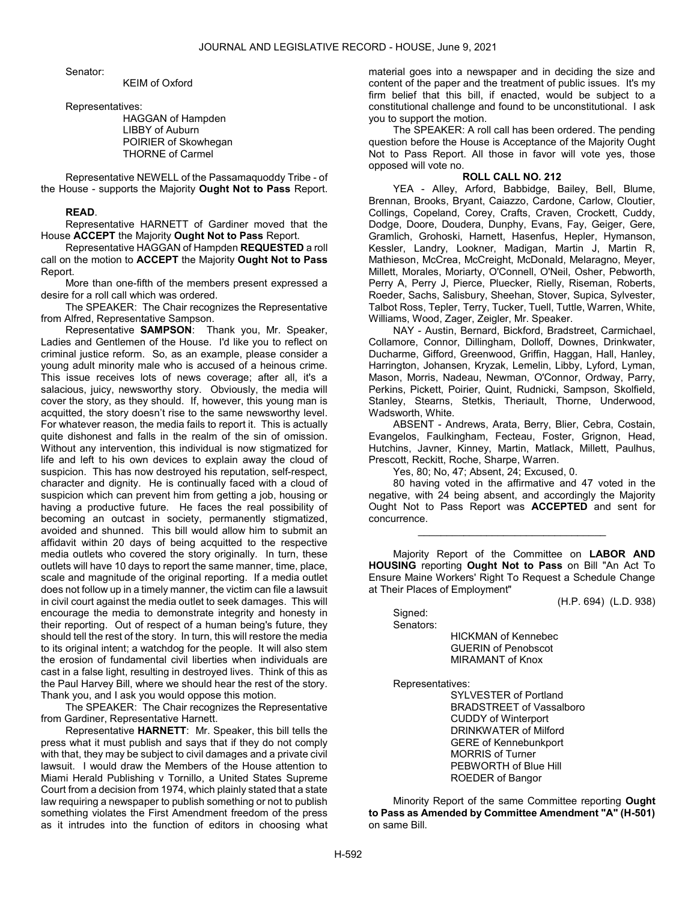Senator:

KEIM of Oxford

Representatives:

 HAGGAN of Hampden LIBBY of Auburn POIRIER of Skowhegan THORNE of Carmel

 Representative NEWELL of the Passamaquoddy Tribe - of the House - supports the Majority Ought Not to Pass Report.

#### READ.

 Representative HARNETT of Gardiner moved that the House ACCEPT the Majority Ought Not to Pass Report.

 Representative HAGGAN of Hampden REQUESTED a roll call on the motion to ACCEPT the Majority Ought Not to Pass Report.

 More than one-fifth of the members present expressed a desire for a roll call which was ordered.

 The SPEAKER: The Chair recognizes the Representative from Alfred, Representative Sampson.

 Representative SAMPSON: Thank you, Mr. Speaker, Ladies and Gentlemen of the House. I'd like you to reflect on criminal justice reform. So, as an example, please consider a young adult minority male who is accused of a heinous crime. This issue receives lots of news coverage; after all, it's a salacious, juicy, newsworthy story. Obviously, the media will cover the story, as they should. If, however, this young man is acquitted, the story doesn't rise to the same newsworthy level. For whatever reason, the media fails to report it. This is actually quite dishonest and falls in the realm of the sin of omission. Without any intervention, this individual is now stigmatized for life and left to his own devices to explain away the cloud of suspicion. This has now destroyed his reputation, self-respect, character and dignity. He is continually faced with a cloud of suspicion which can prevent him from getting a job, housing or having a productive future. He faces the real possibility of becoming an outcast in society, permanently stigmatized, avoided and shunned. This bill would allow him to submit an affidavit within 20 days of being acquitted to the respective media outlets who covered the story originally. In turn, these outlets will have 10 days to report the same manner, time, place, scale and magnitude of the original reporting. If a media outlet does not follow up in a timely manner, the victim can file a lawsuit in civil court against the media outlet to seek damages. This will encourage the media to demonstrate integrity and honesty in their reporting. Out of respect of a human being's future, they should tell the rest of the story. In turn, this will restore the media to its original intent; a watchdog for the people. It will also stem the erosion of fundamental civil liberties when individuals are cast in a false light, resulting in destroyed lives. Think of this as the Paul Harvey Bill, where we should hear the rest of the story. Thank you, and I ask you would oppose this motion.

 The SPEAKER: The Chair recognizes the Representative from Gardiner, Representative Harnett.

 Representative HARNETT: Mr. Speaker, this bill tells the press what it must publish and says that if they do not comply with that, they may be subject to civil damages and a private civil lawsuit. I would draw the Members of the House attention to Miami Herald Publishing v Tornillo, a United States Supreme Court from a decision from 1974, which plainly stated that a state law requiring a newspaper to publish something or not to publish something violates the First Amendment freedom of the press as it intrudes into the function of editors in choosing what material goes into a newspaper and in deciding the size and content of the paper and the treatment of public issues. It's my firm belief that this bill, if enacted, would be subject to a constitutional challenge and found to be unconstitutional. I ask you to support the motion.

 The SPEAKER: A roll call has been ordered. The pending question before the House is Acceptance of the Majority Ought Not to Pass Report. All those in favor will vote yes, those opposed will vote no.

## ROLL CALL NO. 212

 YEA - Alley, Arford, Babbidge, Bailey, Bell, Blume, Brennan, Brooks, Bryant, Caiazzo, Cardone, Carlow, Cloutier, Collings, Copeland, Corey, Crafts, Craven, Crockett, Cuddy, Dodge, Doore, Doudera, Dunphy, Evans, Fay, Geiger, Gere, Gramlich, Grohoski, Harnett, Hasenfus, Hepler, Hymanson, Kessler, Landry, Lookner, Madigan, Martin J, Martin R, Mathieson, McCrea, McCreight, McDonald, Melaragno, Meyer, Millett, Morales, Moriarty, O'Connell, O'Neil, Osher, Pebworth, Perry A, Perry J, Pierce, Pluecker, Rielly, Riseman, Roberts, Roeder, Sachs, Salisbury, Sheehan, Stover, Supica, Sylvester, Talbot Ross, Tepler, Terry, Tucker, Tuell, Tuttle, Warren, White, Williams, Wood, Zager, Zeigler, Mr. Speaker.

 NAY - Austin, Bernard, Bickford, Bradstreet, Carmichael, Collamore, Connor, Dillingham, Dolloff, Downes, Drinkwater, Ducharme, Gifford, Greenwood, Griffin, Haggan, Hall, Hanley, Harrington, Johansen, Kryzak, Lemelin, Libby, Lyford, Lyman, Mason, Morris, Nadeau, Newman, O'Connor, Ordway, Parry, Perkins, Pickett, Poirier, Quint, Rudnicki, Sampson, Skolfield, Stanley, Stearns, Stetkis, Theriault, Thorne, Underwood, Wadsworth, White.

 ABSENT - Andrews, Arata, Berry, Blier, Cebra, Costain, Evangelos, Faulkingham, Fecteau, Foster, Grignon, Head, Hutchins, Javner, Kinney, Martin, Matlack, Millett, Paulhus, Prescott, Reckitt, Roche, Sharpe, Warren.

Yes, 80; No, 47; Absent, 24; Excused, 0.

 80 having voted in the affirmative and 47 voted in the negative, with 24 being absent, and accordingly the Majority Ought Not to Pass Report was ACCEPTED and sent for concurrence.

\_\_\_\_\_\_\_\_\_\_\_\_\_\_\_\_\_\_\_\_\_\_\_\_\_\_\_\_\_\_\_\_\_

 Majority Report of the Committee on LABOR AND HOUSING reporting Ought Not to Pass on Bill "An Act To Ensure Maine Workers' Right To Request a Schedule Change at Their Places of Employment"

(H.P. 694) (L.D. 938)

 Signed: Senators:

 HICKMAN of Kennebec GUERIN of Penobscot MIRAMANT of Knox

Representatives:

 SYLVESTER of Portland BRADSTREET of Vassalboro CUDDY of Winterport DRINKWATER of Milford GERE of Kennebunkport MORRIS of Turner PEBWORTH of Blue Hill ROEDER of Bangor

 Minority Report of the same Committee reporting Ought to Pass as Amended by Committee Amendment "A" (H-501) on same Bill.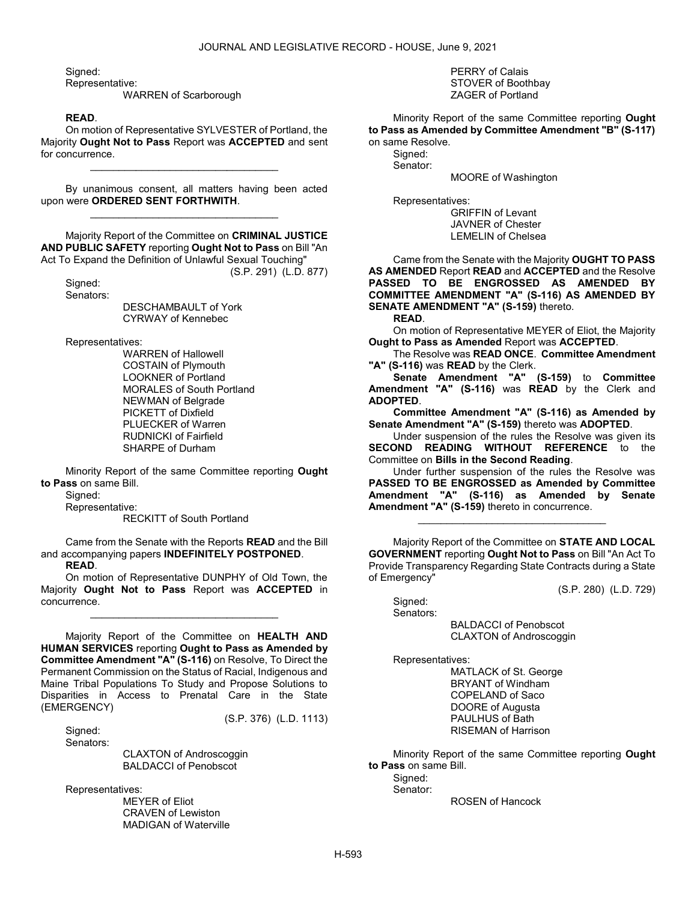Signed:

Representative:

WARREN of Scarborough

### READ.

 On motion of Representative SYLVESTER of Portland, the Majority Ought Not to Pass Report was ACCEPTED and sent for concurrence.

\_\_\_\_\_\_\_\_\_\_\_\_\_\_\_\_\_\_\_\_\_\_\_\_\_\_\_\_\_\_\_\_\_

 By unanimous consent, all matters having been acted upon were ORDERED SENT FORTHWITH. \_\_\_\_\_\_\_\_\_\_\_\_\_\_\_\_\_\_\_\_\_\_\_\_\_\_\_\_\_\_\_\_\_

 Majority Report of the Committee on CRIMINAL JUSTICE AND PUBLIC SAFETY reporting Ought Not to Pass on Bill "An Act To Expand the Definition of Unlawful Sexual Touching"

(S.P. 291) (L.D. 877)

 Signed: Senators:

> DESCHAMBAULT of York CYRWAY of Kennebec

Representatives:

 WARREN of Hallowell COSTAIN of Plymouth LOOKNER of Portland MORALES of South Portland NEWMAN of Belgrade PICKETT of Dixfield PLUECKER of Warren RUDNICKI of Fairfield SHARPE of Durham

 Minority Report of the same Committee reporting Ought to Pass on same Bill.

Signed:

Representative:

RECKITT of South Portland

 Came from the Senate with the Reports READ and the Bill and accompanying papers INDEFINITELY POSTPONED. READ.

 On motion of Representative DUNPHY of Old Town, the Majority Ought Not to Pass Report was ACCEPTED in concurrence.

\_\_\_\_\_\_\_\_\_\_\_\_\_\_\_\_\_\_\_\_\_\_\_\_\_\_\_\_\_\_\_\_\_

 Majority Report of the Committee on HEALTH AND HUMAN SERVICES reporting Ought to Pass as Amended by Committee Amendment "A" (S-116) on Resolve, To Direct the Permanent Commission on the Status of Racial, Indigenous and Maine Tribal Populations To Study and Propose Solutions to Disparities in Access to Prenatal Care in the State (EMERGENCY)

(S.P. 376) (L.D. 1113)

Sianed: Senators:

 CLAXTON of Androscoggin BALDACCI of Penobscot

Representatives:

 MEYER of Eliot CRAVEN of Lewiston MADIGAN of Waterville  PERRY of Calais STOVER of Boothbay ZAGER of Portland

 Minority Report of the same Committee reporting Ought to Pass as Amended by Committee Amendment "B" (S-117) on same Resolve.

 Signed: Senator:

MOORE of Washington

Representatives:

 GRIFFIN of Levant JAVNER of Chester LEMELIN of Chelsea

 Came from the Senate with the Majority OUGHT TO PASS AS AMENDED Report READ and ACCEPTED and the Resolve PASSED TO BE ENGROSSED AS AMENDED BY COMMITTEE AMENDMENT "A" (S-116) AS AMENDED BY SENATE AMENDMENT "A" (S-159) thereto.

READ.

 On motion of Representative MEYER of Eliot, the Majority Ought to Pass as Amended Report was ACCEPTED.

 The Resolve was READ ONCE. Committee Amendment "A" (S-116) was READ by the Clerk.

Senate Amendment "A" (S-159) to Committee Amendment "A" (S-116) was READ by the Clerk and ADOPTED.

Committee Amendment "A" (S-116) as Amended by Senate Amendment "A" (S-159) thereto was ADOPTED.

 Under suspension of the rules the Resolve was given its SECOND READING WITHOUT REFERENCE to the Committee on Bills in the Second Reading.

 Under further suspension of the rules the Resolve was PASSED TO BE ENGROSSED as Amended by Committee Amendment "A" (S-116) as Amended by Senate Amendment "A" (S-159) thereto in concurrence.

\_\_\_\_\_\_\_\_\_\_\_\_\_\_\_\_\_\_\_\_\_\_\_\_\_\_\_\_\_\_\_\_\_

 Majority Report of the Committee on STATE AND LOCAL GOVERNMENT reporting Ought Not to Pass on Bill "An Act To Provide Transparency Regarding State Contracts during a State of Emergency"

(S.P. 280) (L.D. 729)

 Signed: Senators:

 BALDACCI of Penobscot CLAXTON of Androscoggin

Representatives:

 MATLACK of St. George BRYANT of Windham COPELAND of Saco DOORE of Augusta PAULHUS of Bath RISEMAN of Harrison

 Minority Report of the same Committee reporting Ought to Pass on same Bill.

Sianed:

Senator:

ROSEN of Hancock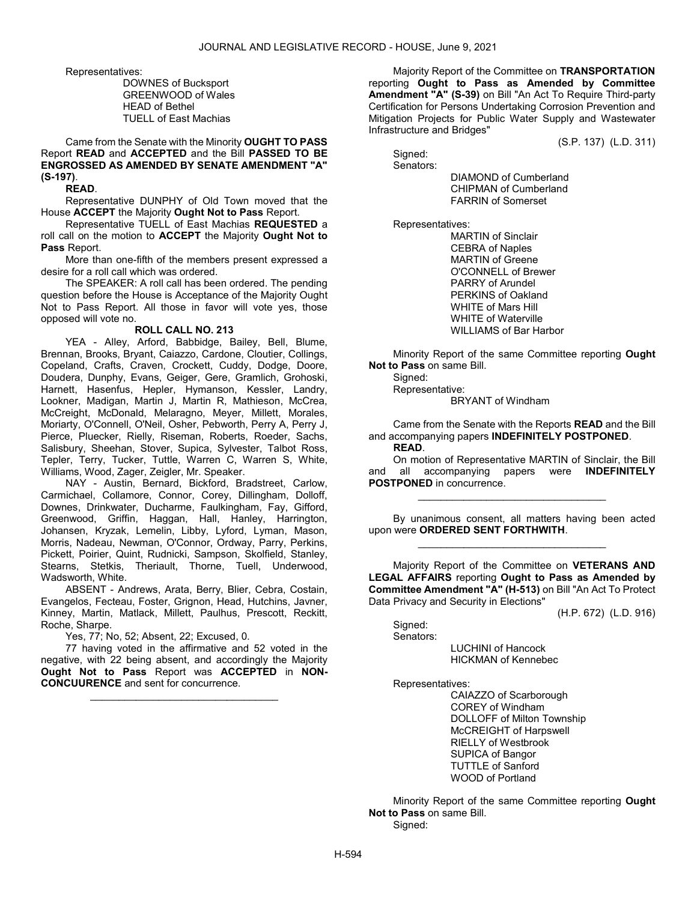Representatives:

 DOWNES of Bucksport GREENWOOD of Wales HEAD of Bethel TUELL of East Machias

 Came from the Senate with the Minority OUGHT TO PASS Report READ and ACCEPTED and the Bill PASSED TO BE ENGROSSED AS AMENDED BY SENATE AMENDMENT "A" (S-197).

READ.

 Representative DUNPHY of Old Town moved that the House ACCEPT the Majority Ought Not to Pass Report.

 Representative TUELL of East Machias REQUESTED a roll call on the motion to ACCEPT the Majority Ought Not to Pass Report.

 More than one-fifth of the members present expressed a desire for a roll call which was ordered.

 The SPEAKER: A roll call has been ordered. The pending question before the House is Acceptance of the Majority Ought Not to Pass Report. All those in favor will vote yes, those opposed will vote no.

### ROLL CALL NO. 213

 YEA - Alley, Arford, Babbidge, Bailey, Bell, Blume, Brennan, Brooks, Bryant, Caiazzo, Cardone, Cloutier, Collings, Copeland, Crafts, Craven, Crockett, Cuddy, Dodge, Doore, Doudera, Dunphy, Evans, Geiger, Gere, Gramlich, Grohoski, Harnett, Hasenfus, Hepler, Hymanson, Kessler, Landry, Lookner, Madigan, Martin J, Martin R, Mathieson, McCrea, McCreight, McDonald, Melaragno, Meyer, Millett, Morales, Moriarty, O'Connell, O'Neil, Osher, Pebworth, Perry A, Perry J, Pierce, Pluecker, Rielly, Riseman, Roberts, Roeder, Sachs, Salisbury, Sheehan, Stover, Supica, Sylvester, Talbot Ross, Tepler, Terry, Tucker, Tuttle, Warren C, Warren S, White, Williams, Wood, Zager, Zeigler, Mr. Speaker.

 NAY - Austin, Bernard, Bickford, Bradstreet, Carlow, Carmichael, Collamore, Connor, Corey, Dillingham, Dolloff, Downes, Drinkwater, Ducharme, Faulkingham, Fay, Gifford, Greenwood, Griffin, Haggan, Hall, Hanley, Harrington, Johansen, Kryzak, Lemelin, Libby, Lyford, Lyman, Mason, Morris, Nadeau, Newman, O'Connor, Ordway, Parry, Perkins, Pickett, Poirier, Quint, Rudnicki, Sampson, Skolfield, Stanley, Stearns, Stetkis, Theriault, Thorne, Tuell, Underwood, Wadsworth, White.

 ABSENT - Andrews, Arata, Berry, Blier, Cebra, Costain, Evangelos, Fecteau, Foster, Grignon, Head, Hutchins, Javner, Kinney, Martin, Matlack, Millett, Paulhus, Prescott, Reckitt, Roche, Sharpe.

Yes, 77; No, 52; Absent, 22; Excused, 0.

 77 having voted in the affirmative and 52 voted in the negative, with 22 being absent, and accordingly the Majority Ought Not to Pass Report was ACCEPTED in NON-CONCUURENCE and sent for concurrence.

\_\_\_\_\_\_\_\_\_\_\_\_\_\_\_\_\_\_\_\_\_\_\_\_\_\_\_\_\_\_\_\_\_

 Majority Report of the Committee on TRANSPORTATION reporting Ought to Pass as Amended by Committee Amendment "A" (S-39) on Bill "An Act To Require Third-party Certification for Persons Undertaking Corrosion Prevention and Mitigation Projects for Public Water Supply and Wastewater Infrastructure and Bridges"

(S.P. 137) (L.D. 311)

 Signed: Senators:

> DIAMOND of Cumberland CHIPMAN of Cumberland FARRIN of Somerset

Representatives:

 MARTIN of Sinclair CEBRA of Naples MARTIN of Greene O'CONNELL of Brewer PARRY of Arundel PERKINS of Oakland WHITE of Mars Hill WHITE of Waterville WILLIAMS of Bar Harbor

 Minority Report of the same Committee reporting Ought Not to Pass on same Bill.

Signed:

Representative:

BRYANT of Windham

 Came from the Senate with the Reports READ and the Bill and accompanying papers INDEFINITELY POSTPONED.

READ.

 On motion of Representative MARTIN of Sinclair, the Bill and all accompanying papers were **INDEFINITELY** POSTPONED in concurrence.

\_\_\_\_\_\_\_\_\_\_\_\_\_\_\_\_\_\_\_\_\_\_\_\_\_\_\_\_\_\_\_\_\_

 By unanimous consent, all matters having been acted upon were ORDERED SENT FORTHWITH. \_\_\_\_\_\_\_\_\_\_\_\_\_\_\_\_\_\_\_\_\_\_\_\_\_\_\_\_\_\_\_\_\_

 Majority Report of the Committee on VETERANS AND LEGAL AFFAIRS reporting Ought to Pass as Amended by Committee Amendment "A" (H-513) on Bill "An Act To Protect Data Privacy and Security in Elections"

(H.P. 672) (L.D. 916)

Signed:

Senators:

 LUCHINI of Hancock HICKMAN of Kennebec

Representatives:

 CAIAZZO of Scarborough COREY of Windham DOLLOFF of Milton Township McCREIGHT of Harpswell RIELLY of Westbrook SUPICA of Bangor TUTTLE of Sanford WOOD of Portland

 Minority Report of the same Committee reporting Ought Not to Pass on same Bill. Signed: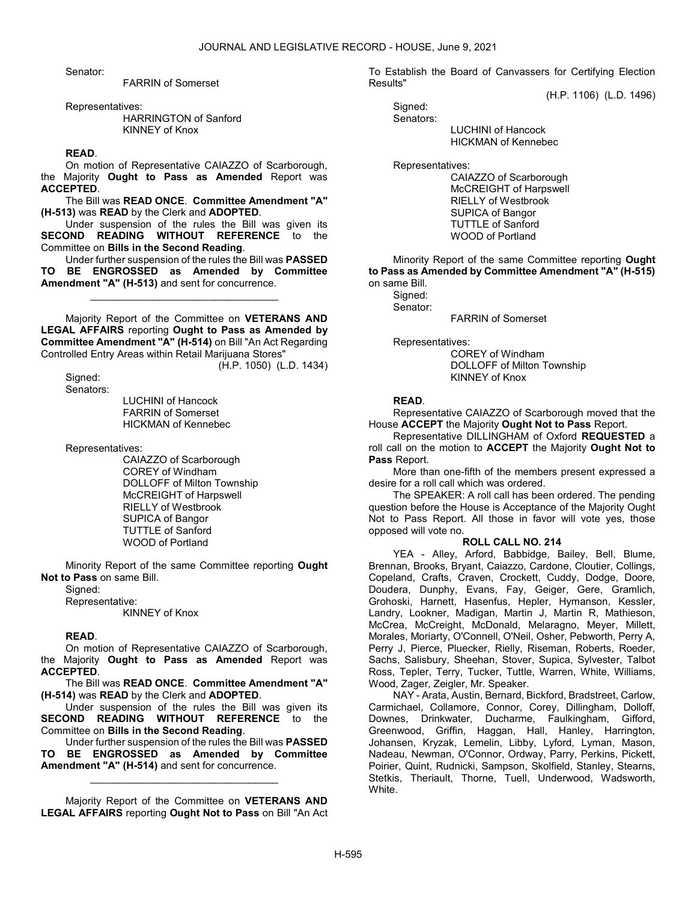Senator:

FARRIN of Somerset

Representatives:

 HARRINGTON of Sanford KINNEY of Knox

# READ.

 On motion of Representative CAIAZZO of Scarborough, the Majority Ought to Pass as Amended Report was ACCEPTED.

 The Bill was READ ONCE. Committee Amendment "A" (H-513) was READ by the Clerk and ADOPTED.

 Under suspension of the rules the Bill was given its SECOND READING WITHOUT REFERENCE to the Committee on Bills in the Second Reading.

 Under further suspension of the rules the Bill was PASSED BE ENGROSSED as Amended by Committee Amendment "A" (H-513) and sent for concurrence.

\_\_\_\_\_\_\_\_\_\_\_\_\_\_\_\_\_\_\_\_\_\_\_\_\_\_\_\_\_\_\_\_\_

 Majority Report of the Committee on VETERANS AND LEGAL AFFAIRS reporting Ought to Pass as Amended by Committee Amendment "A" (H-514) on Bill "An Act Regarding Controlled Entry Areas within Retail Marijuana Stores"

(H.P. 1050) (L.D. 1434)

 Signed: Senators:

 LUCHINI of Hancock FARRIN of Somerset HICKMAN of Kennebec

Representatives:

 CAIAZZO of Scarborough COREY of Windham DOLLOFF of Milton Township McCREIGHT of Harpswell RIELLY of Westbrook SUPICA of Bangor TUTTLE of Sanford WOOD of Portland

 Minority Report of the same Committee reporting Ought Not to Pass on same Bill.

Sianed:

Representative:

KINNEY of Knox

# READ.

 On motion of Representative CAIAZZO of Scarborough, the Majority Ought to Pass as Amended Report was **ACCEPTED.** 

 The Bill was READ ONCE. Committee Amendment "A" (H-514) was READ by the Clerk and ADOPTED.

 Under suspension of the rules the Bill was given its SECOND READING WITHOUT REFERENCE to the Committee on Bills in the Second Reading.

 Under further suspension of the rules the Bill was PASSED TO BE ENGROSSED as Amended by Committee Amendment "A" (H-514) and sent for concurrence.

\_\_\_\_\_\_\_\_\_\_\_\_\_\_\_\_\_\_\_\_\_\_\_\_\_\_\_\_\_\_\_\_\_

 Majority Report of the Committee on VETERANS AND LEGAL AFFAIRS reporting Ought Not to Pass on Bill "An Act To Establish the Board of Canvassers for Certifying Election Results"

(H.P. 1106) (L.D. 1496)

 Signed: Senators:

 LUCHINI of Hancock HICKMAN of Kennebec

Representatives:

 CAIAZZO of Scarborough McCREIGHT of Harpswell RIELLY of Westbrook SUPICA of Bangor TUTTLE of Sanford WOOD of Portland

 Minority Report of the same Committee reporting Ought to Pass as Amended by Committee Amendment "A" (H-515) on same Bill.

Signed: Senator:

FARRIN of Somerset

Representatives:

 COREY of Windham DOLLOFF of Milton Township KINNEY of Knox

# READ.

 Representative CAIAZZO of Scarborough moved that the House ACCEPT the Majority Ought Not to Pass Report.

 Representative DILLINGHAM of Oxford REQUESTED a roll call on the motion to ACCEPT the Majority Ought Not to Pass Report.

 More than one-fifth of the members present expressed a desire for a roll call which was ordered.

 The SPEAKER: A roll call has been ordered. The pending question before the House is Acceptance of the Majority Ought Not to Pass Report. All those in favor will vote yes, those opposed will vote no.

# ROLL CALL NO. 214

 YEA - Alley, Arford, Babbidge, Bailey, Bell, Blume, Brennan, Brooks, Bryant, Caiazzo, Cardone, Cloutier, Collings, Copeland, Crafts, Craven, Crockett, Cuddy, Dodge, Doore, Doudera, Dunphy, Evans, Fay, Geiger, Gere, Gramlich, Grohoski, Harnett, Hasenfus, Hepler, Hymanson, Kessler, Landry, Lookner, Madigan, Martin J, Martin R, Mathieson, McCrea, McCreight, McDonald, Melaragno, Meyer, Millett, Morales, Moriarty, O'Connell, O'Neil, Osher, Pebworth, Perry A, Perry J, Pierce, Pluecker, Rielly, Riseman, Roberts, Roeder, Sachs, Salisbury, Sheehan, Stover, Supica, Sylvester, Talbot Ross, Tepler, Terry, Tucker, Tuttle, Warren, White, Williams, Wood, Zager, Zeigler, Mr. Speaker.

 NAY - Arata, Austin, Bernard, Bickford, Bradstreet, Carlow, Carmichael, Collamore, Connor, Corey, Dillingham, Dolloff, Downes, Drinkwater, Ducharme, Faulkingham, Gifford, Greenwood, Griffin, Haggan, Hall, Hanley, Harrington, Johansen, Kryzak, Lemelin, Libby, Lyford, Lyman, Mason, Nadeau, Newman, O'Connor, Ordway, Parry, Perkins, Pickett, Poirier, Quint, Rudnicki, Sampson, Skolfield, Stanley, Stearns, Stetkis, Theriault, Thorne, Tuell, Underwood, Wadsworth, White.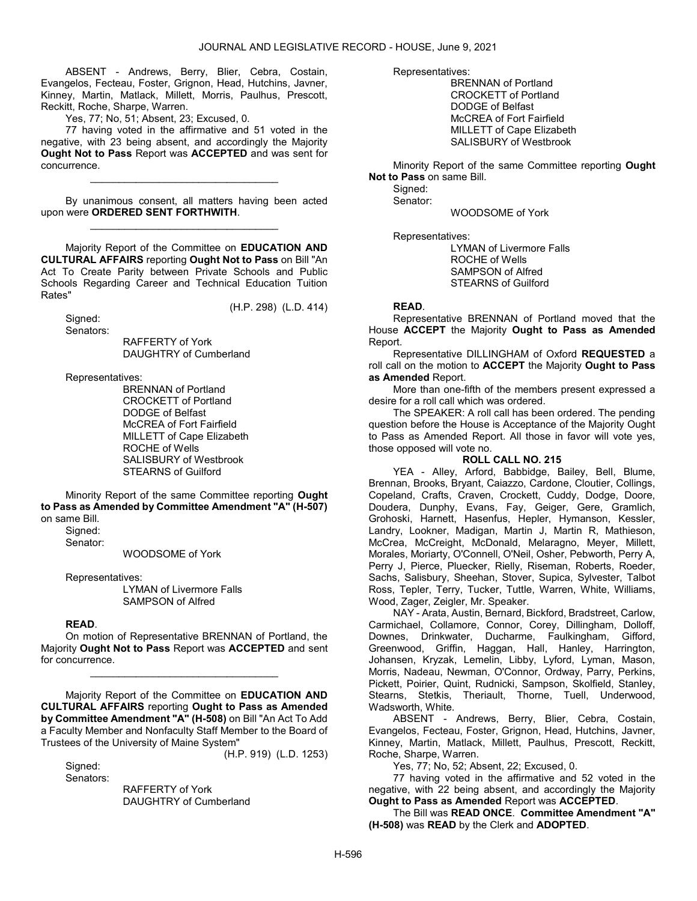ABSENT - Andrews, Berry, Blier, Cebra, Costain, Evangelos, Fecteau, Foster, Grignon, Head, Hutchins, Javner, Kinney, Martin, Matlack, Millett, Morris, Paulhus, Prescott, Reckitt, Roche, Sharpe, Warren.

Yes, 77; No, 51; Absent, 23; Excused, 0.

 77 having voted in the affirmative and 51 voted in the negative, with 23 being absent, and accordingly the Majority Ought Not to Pass Report was ACCEPTED and was sent for concurrence.

\_\_\_\_\_\_\_\_\_\_\_\_\_\_\_\_\_\_\_\_\_\_\_\_\_\_\_\_\_\_\_\_\_

 By unanimous consent, all matters having been acted upon were ORDERED SENT FORTHWITH. \_\_\_\_\_\_\_\_\_\_\_\_\_\_\_\_\_\_\_\_\_\_\_\_\_\_\_\_\_\_\_\_\_

 Majority Report of the Committee on EDUCATION AND CULTURAL AFFAIRS reporting Ought Not to Pass on Bill "An Act To Create Parity between Private Schools and Public Schools Regarding Career and Technical Education Tuition Rates"

(H.P. 298) (L.D. 414)

 Signed: Senators:

 RAFFERTY of York DAUGHTRY of Cumberland

Representatives:

 BRENNAN of Portland CROCKETT of Portland DODGE of Belfast McCREA of Fort Fairfield MILLETT of Cape Elizabeth ROCHE of Wells SALISBURY of Westbrook STEARNS of Guilford

 Minority Report of the same Committee reporting Ought to Pass as Amended by Committee Amendment "A" (H-507) on same Bill.

Signed:

Senator:

WOODSOME of York

Representatives:

 LYMAN of Livermore Falls SAMPSON of Alfred

# READ.

 On motion of Representative BRENNAN of Portland, the Majority Ought Not to Pass Report was ACCEPTED and sent for concurrence.

\_\_\_\_\_\_\_\_\_\_\_\_\_\_\_\_\_\_\_\_\_\_\_\_\_\_\_\_\_\_\_\_\_

 Majority Report of the Committee on EDUCATION AND CULTURAL AFFAIRS reporting Ought to Pass as Amended by Committee Amendment "A" (H-508) on Bill "An Act To Add a Faculty Member and Nonfaculty Staff Member to the Board of Trustees of the University of Maine System" (H.P. 919) (L.D. 1253)

Signed: Senators:

 RAFFERTY of York DAUGHTRY of Cumberland Representatives:

 BRENNAN of Portland CROCKETT of Portland DODGE of Belfast McCREA of Fort Fairfield MILLETT of Cape Elizabeth SALISBURY of Westbrook

 Minority Report of the same Committee reporting Ought Not to Pass on same Bill.

 Signed: Senator:

WOODSOME of York

Representatives:

 LYMAN of Livermore Falls ROCHE of Wells SAMPSON of Alfred STEARNS of Guilford

# READ.

 Representative BRENNAN of Portland moved that the House ACCEPT the Majority Ought to Pass as Amended Report.

 Representative DILLINGHAM of Oxford REQUESTED a roll call on the motion to ACCEPT the Majority Ought to Pass as Amended Report.

 More than one-fifth of the members present expressed a desire for a roll call which was ordered.

 The SPEAKER: A roll call has been ordered. The pending question before the House is Acceptance of the Majority Ought to Pass as Amended Report. All those in favor will vote yes, those opposed will vote no.

# ROLL CALL NO. 215

 YEA - Alley, Arford, Babbidge, Bailey, Bell, Blume, Brennan, Brooks, Bryant, Caiazzo, Cardone, Cloutier, Collings, Copeland, Crafts, Craven, Crockett, Cuddy, Dodge, Doore, Doudera, Dunphy, Evans, Fay, Geiger, Gere, Gramlich, Grohoski, Harnett, Hasenfus, Hepler, Hymanson, Kessler, Landry, Lookner, Madigan, Martin J, Martin R, Mathieson, McCrea, McCreight, McDonald, Melaragno, Meyer, Millett, Morales, Moriarty, O'Connell, O'Neil, Osher, Pebworth, Perry A, Perry J, Pierce, Pluecker, Rielly, Riseman, Roberts, Roeder, Sachs, Salisbury, Sheehan, Stover, Supica, Sylvester, Talbot Ross, Tepler, Terry, Tucker, Tuttle, Warren, White, Williams, Wood, Zager, Zeigler, Mr. Speaker.

 NAY - Arata, Austin, Bernard, Bickford, Bradstreet, Carlow, Carmichael, Collamore, Connor, Corey, Dillingham, Dolloff, Downes, Drinkwater, Ducharme, Faulkingham, Gifford, Greenwood, Griffin, Haggan, Hall, Hanley, Harrington, Johansen, Kryzak, Lemelin, Libby, Lyford, Lyman, Mason, Morris, Nadeau, Newman, O'Connor, Ordway, Parry, Perkins, Pickett, Poirier, Quint, Rudnicki, Sampson, Skolfield, Stanley, Stearns, Stetkis, Theriault, Thorne, Tuell, Underwood, Wadsworth, White.

 ABSENT - Andrews, Berry, Blier, Cebra, Costain, Evangelos, Fecteau, Foster, Grignon, Head, Hutchins, Javner, Kinney, Martin, Matlack, Millett, Paulhus, Prescott, Reckitt, Roche, Sharpe, Warren.

Yes, 77; No, 52; Absent, 22; Excused, 0.

 77 having voted in the affirmative and 52 voted in the negative, with 22 being absent, and accordingly the Majority Ought to Pass as Amended Report was ACCEPTED.

 The Bill was READ ONCE. Committee Amendment "A" (H-508) was READ by the Clerk and ADOPTED.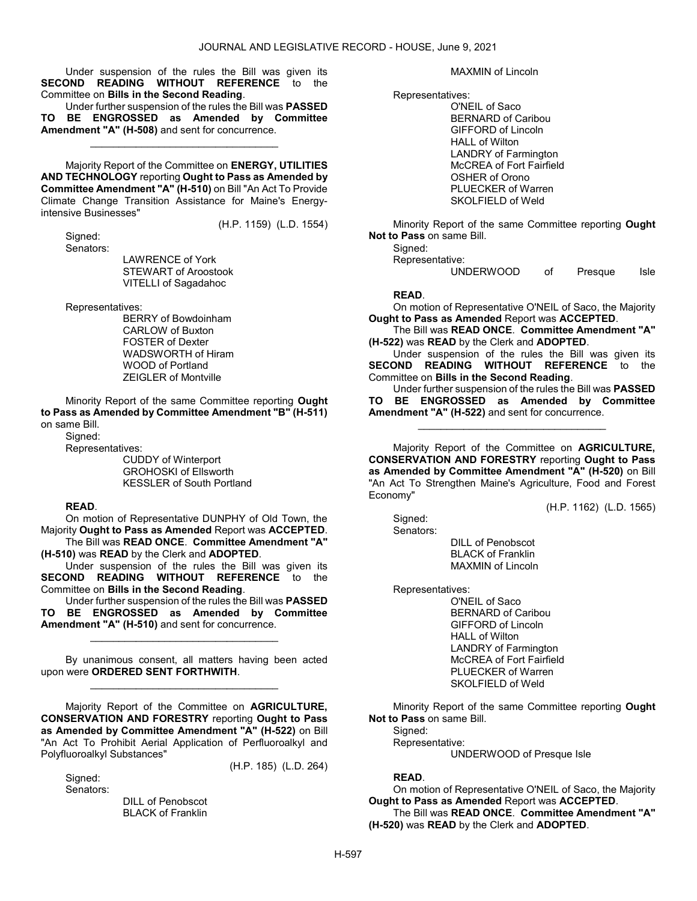Under suspension of the rules the Bill was given its SECOND READING WITHOUT REFERENCE to the Committee on Bills in the Second Reading.

 Under further suspension of the rules the Bill was PASSED TO BE ENGROSSED as Amended by Committee Amendment "A" (H-508) and sent for concurrence.

\_\_\_\_\_\_\_\_\_\_\_\_\_\_\_\_\_\_\_\_\_\_\_\_\_\_\_\_\_\_\_\_\_

 Majority Report of the Committee on ENERGY, UTILITIES AND TECHNOLOGY reporting Ought to Pass as Amended by Committee Amendment "A" (H-510) on Bill "An Act To Provide Climate Change Transition Assistance for Maine's Energyintensive Businesses" (H.P. 1159) (L.D. 1554)

 Signed: Senators:

 LAWRENCE of York STEWART of Aroostook VITELLI of Sagadahoc

Representatives:

 BERRY of Bowdoinham CARLOW of Buxton FOSTER of Dexter WADSWORTH of Hiram WOOD of Portland ZEIGLER of Montville

 Minority Report of the same Committee reporting Ought to Pass as Amended by Committee Amendment "B" (H-511) on same Bill.

Signed:

Representatives:

 CUDDY of Winterport GROHOSKI of Ellsworth KESSLER of South Portland

# READ.

 On motion of Representative DUNPHY of Old Town, the Majority Ought to Pass as Amended Report was ACCEPTED. The Bill was READ ONCE. Committee Amendment "A"

(H-510) was READ by the Clerk and ADOPTED.

 Under suspension of the rules the Bill was given its SECOND READING WITHOUT REFERENCE to the Committee on Bills in the Second Reading.

 Under further suspension of the rules the Bill was PASSED TO BE ENGROSSED as Amended by Committee Amendment "A" (H-510) and sent for concurrence.

\_\_\_\_\_\_\_\_\_\_\_\_\_\_\_\_\_\_\_\_\_\_\_\_\_\_\_\_\_\_\_\_\_

 By unanimous consent, all matters having been acted upon were ORDERED SENT FORTHWITH. \_\_\_\_\_\_\_\_\_\_\_\_\_\_\_\_\_\_\_\_\_\_\_\_\_\_\_\_\_\_\_\_\_

 Majority Report of the Committee on AGRICULTURE, CONSERVATION AND FORESTRY reporting Ought to Pass as Amended by Committee Amendment "A" (H-522) on Bill "An Act To Prohibit Aerial Application of Perfluoroalkyl and Polyfluoroalkyl Substances" (H.P. 185) (L.D. 264)

Sianed: Senators:

> DILL of Penobscot BLACK of Franklin

MAXMIN of Lincoln

Representatives:

 O'NEIL of Saco BERNARD of Caribou GIFFORD of Lincoln HALL of Wilton LANDRY of Farmington McCREA of Fort Fairfield OSHER of Orono PLUECKER of Warren SKOLFIELD of Weld

 Minority Report of the same Committee reporting Ought Not to Pass on same Bill.

Signed:

Representative:

UNDERWOOD of Presque Isle

# READ.

 On motion of Representative O'NEIL of Saco, the Majority Ought to Pass as Amended Report was ACCEPTED.

 The Bill was READ ONCE. Committee Amendment "A" (H-522) was READ by the Clerk and ADOPTED.

 Under suspension of the rules the Bill was given its SECOND READING WITHOUT REFERENCE to the Committee on Bills in the Second Reading.

 Under further suspension of the rules the Bill was PASSED TO BE ENGROSSED as Amended by Committee Amendment "A" (H-522) and sent for concurrence.

\_\_\_\_\_\_\_\_\_\_\_\_\_\_\_\_\_\_\_\_\_\_\_\_\_\_\_\_\_\_\_\_\_

Majority Report of the Committee on **AGRICULTURE**. CONSERVATION AND FORESTRY reporting Ought to Pass as Amended by Committee Amendment "A" (H-520) on Bill "An Act To Strengthen Maine's Agriculture, Food and Forest Economy"

(H.P. 1162) (L.D. 1565)

 Signed: Senators:

 DILL of Penobscot BLACK of Franklin MAXMIN of Lincoln

Representatives:

 O'NEIL of Saco BERNARD of Caribou GIFFORD of Lincoln HALL of Wilton LANDRY of Farmington McCREA of Fort Fairfield PLUECKER of Warren SKOLFIELD of Weld

 Minority Report of the same Committee reporting Ought Not to Pass on same Bill.

 Signed: Representative:

UNDERWOOD of Presque Isle

# READ.

 On motion of Representative O'NEIL of Saco, the Majority Ought to Pass as Amended Report was ACCEPTED. The Bill was READ ONCE. Committee Amendment "A" (H-520) was READ by the Clerk and ADOPTED.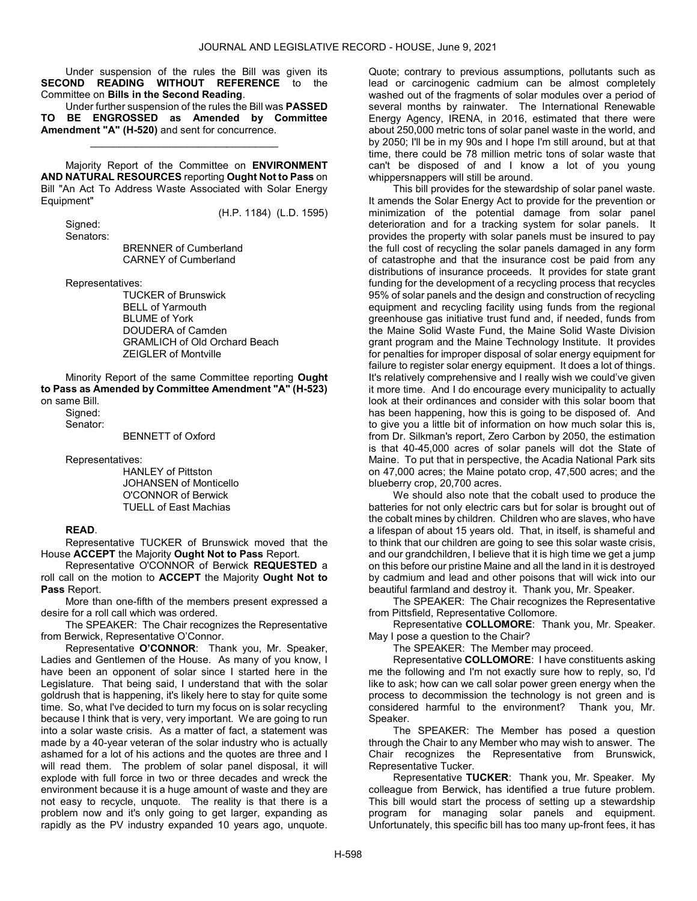Under suspension of the rules the Bill was given its SECOND READING WITHOUT REFERENCE to the Committee on Bills in the Second Reading.

 Under further suspension of the rules the Bill was PASSED TO BE ENGROSSED as Amended by Committee Amendment "A" (H-520) and sent for concurrence.

\_\_\_\_\_\_\_\_\_\_\_\_\_\_\_\_\_\_\_\_\_\_\_\_\_\_\_\_\_\_\_\_\_

 Majority Report of the Committee on ENVIRONMENT AND NATURAL RESOURCES reporting Ought Not to Pass on Bill "An Act To Address Waste Associated with Solar Energy Equipment"

(H.P. 1184) (L.D. 1595)

 Signed: Senators:

 BRENNER of Cumberland CARNEY of Cumberland

Representatives:

 TUCKER of Brunswick BELL of Yarmouth BLUME of York DOUDERA of Camden GRAMLICH of Old Orchard Beach ZEIGLER of Montville

 Minority Report of the same Committee reporting Ought to Pass as Amended by Committee Amendment "A" (H-523) on same Bill.

 Signed: Senator:

BENNETT of Oxford

Representatives:

 HANLEY of Pittston JOHANSEN of Monticello O'CONNOR of Berwick TUELL of East Machias

### READ.

 Representative TUCKER of Brunswick moved that the House ACCEPT the Majority Ought Not to Pass Report.

 Representative O'CONNOR of Berwick REQUESTED a roll call on the motion to ACCEPT the Majority Ought Not to Pass Report.

 More than one-fifth of the members present expressed a desire for a roll call which was ordered.

 The SPEAKER: The Chair recognizes the Representative from Berwick, Representative O'Connor.

 Representative O'CONNOR: Thank you, Mr. Speaker, Ladies and Gentlemen of the House. As many of you know, I have been an opponent of solar since I started here in the Legislature. That being said, I understand that with the solar goldrush that is happening, it's likely here to stay for quite some time. So, what I've decided to turn my focus on is solar recycling because I think that is very, very important. We are going to run into a solar waste crisis. As a matter of fact, a statement was made by a 40-year veteran of the solar industry who is actually ashamed for a lot of his actions and the quotes are three and I will read them. The problem of solar panel disposal, it will explode with full force in two or three decades and wreck the environment because it is a huge amount of waste and they are not easy to recycle, unquote. The reality is that there is a problem now and it's only going to get larger, expanding as rapidly as the PV industry expanded 10 years ago, unquote. Quote; contrary to previous assumptions, pollutants such as lead or carcinogenic cadmium can be almost completely washed out of the fragments of solar modules over a period of several months by rainwater. The International Renewable Energy Agency, IRENA, in 2016, estimated that there were about 250,000 metric tons of solar panel waste in the world, and by 2050; I'll be in my 90s and I hope I'm still around, but at that time, there could be 78 million metric tons of solar waste that can't be disposed of and I know a lot of you young whippersnappers will still be around.

 This bill provides for the stewardship of solar panel waste. It amends the Solar Energy Act to provide for the prevention or minimization of the potential damage from solar panel deterioration and for a tracking system for solar panels. It provides the property with solar panels must be insured to pay the full cost of recycling the solar panels damaged in any form of catastrophe and that the insurance cost be paid from any distributions of insurance proceeds. It provides for state grant funding for the development of a recycling process that recycles 95% of solar panels and the design and construction of recycling equipment and recycling facility using funds from the regional greenhouse gas initiative trust fund and, if needed, funds from the Maine Solid Waste Fund, the Maine Solid Waste Division grant program and the Maine Technology Institute. It provides for penalties for improper disposal of solar energy equipment for failure to register solar energy equipment. It does a lot of things. It's relatively comprehensive and I really wish we could've given it more time. And I do encourage every municipality to actually look at their ordinances and consider with this solar boom that has been happening, how this is going to be disposed of. And to give you a little bit of information on how much solar this is, from Dr. Silkman's report, Zero Carbon by 2050, the estimation is that 40-45,000 acres of solar panels will dot the State of Maine. To put that in perspective, the Acadia National Park sits on 47,000 acres; the Maine potato crop, 47,500 acres; and the blueberry crop, 20,700 acres.

 We should also note that the cobalt used to produce the batteries for not only electric cars but for solar is brought out of the cobalt mines by children. Children who are slaves, who have a lifespan of about 15 years old. That, in itself, is shameful and to think that our children are going to see this solar waste crisis, and our grandchildren, I believe that it is high time we get a jump on this before our pristine Maine and all the land in it is destroyed by cadmium and lead and other poisons that will wick into our beautiful farmland and destroy it. Thank you, Mr. Speaker.

 The SPEAKER: The Chair recognizes the Representative from Pittsfield, Representative Collomore.

 Representative COLLOMORE: Thank you, Mr. Speaker. May I pose a question to the Chair?

The SPEAKER: The Member may proceed.

 Representative COLLOMORE: I have constituents asking me the following and I'm not exactly sure how to reply, so, I'd like to ask; how can we call solar power green energy when the process to decommission the technology is not green and is considered harmful to the environment? Thank you, Mr. Speaker.

 The SPEAKER: The Member has posed a question through the Chair to any Member who may wish to answer. The Chair recognizes the Representative from Brunswick, Representative Tucker.

 Representative TUCKER: Thank you, Mr. Speaker. My colleague from Berwick, has identified a true future problem. This bill would start the process of setting up a stewardship program for managing solar panels and equipment. Unfortunately, this specific bill has too many up-front fees, it has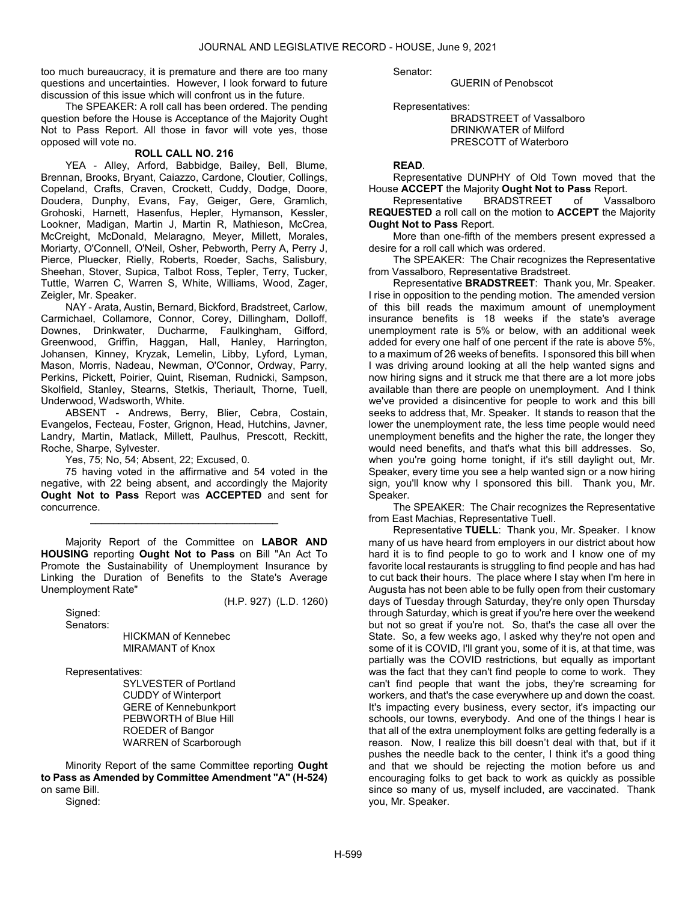too much bureaucracy, it is premature and there are too many questions and uncertainties. However, I look forward to future discussion of this issue which will confront us in the future.

 The SPEAKER: A roll call has been ordered. The pending question before the House is Acceptance of the Majority Ought Not to Pass Report. All those in favor will vote yes, those opposed will vote no.

## ROLL CALL NO. 216

 YEA - Alley, Arford, Babbidge, Bailey, Bell, Blume, Brennan, Brooks, Bryant, Caiazzo, Cardone, Cloutier, Collings, Copeland, Crafts, Craven, Crockett, Cuddy, Dodge, Doore, Doudera, Dunphy, Evans, Fay, Geiger, Gere, Gramlich, Grohoski, Harnett, Hasenfus, Hepler, Hymanson, Kessler, Lookner, Madigan, Martin J, Martin R, Mathieson, McCrea, McCreight, McDonald, Melaragno, Meyer, Millett, Morales, Moriarty, O'Connell, O'Neil, Osher, Pebworth, Perry A, Perry J, Pierce, Pluecker, Rielly, Roberts, Roeder, Sachs, Salisbury, Sheehan, Stover, Supica, Talbot Ross, Tepler, Terry, Tucker, Tuttle, Warren C, Warren S, White, Williams, Wood, Zager, Zeigler, Mr. Speaker.

 NAY - Arata, Austin, Bernard, Bickford, Bradstreet, Carlow, Carmichael, Collamore, Connor, Corey, Dillingham, Dolloff, Downes, Drinkwater, Ducharme, Faulkingham, Gifford, Greenwood, Griffin, Haggan, Hall, Hanley, Harrington, Johansen, Kinney, Kryzak, Lemelin, Libby, Lyford, Lyman, Mason, Morris, Nadeau, Newman, O'Connor, Ordway, Parry, Perkins, Pickett, Poirier, Quint, Riseman, Rudnicki, Sampson, Skolfield, Stanley, Stearns, Stetkis, Theriault, Thorne, Tuell, Underwood, Wadsworth, White.

 ABSENT - Andrews, Berry, Blier, Cebra, Costain, Evangelos, Fecteau, Foster, Grignon, Head, Hutchins, Javner, Landry, Martin, Matlack, Millett, Paulhus, Prescott, Reckitt, Roche, Sharpe, Sylvester.

Yes, 75; No, 54; Absent, 22; Excused, 0.

 75 having voted in the affirmative and 54 voted in the negative, with 22 being absent, and accordingly the Majority Ought Not to Pass Report was ACCEPTED and sent for concurrence.

\_\_\_\_\_\_\_\_\_\_\_\_\_\_\_\_\_\_\_\_\_\_\_\_\_\_\_\_\_\_\_\_\_

 Majority Report of the Committee on LABOR AND HOUSING reporting Ought Not to Pass on Bill "An Act To Promote the Sustainability of Unemployment Insurance by Linking the Duration of Benefits to the State's Average Unemployment Rate"

 Signed: Senators: (H.P. 927) (L.D. 1260)

 HICKMAN of Kennebec MIRAMANT of Knox

Representatives:

 SYLVESTER of Portland CUDDY of Winterport GERE of Kennebunkport PEBWORTH of Blue Hill ROEDER of Bangor WARREN of Scarborough

 Minority Report of the same Committee reporting Ought to Pass as Amended by Committee Amendment "A" (H-524) on same Bill.

Signed:

Senator:

GUERIN of Penobscot

Representatives:

 BRADSTREET of Vassalboro DRINKWATER of Milford PRESCOTT of Waterboro

# READ.

 Representative DUNPHY of Old Town moved that the House ACCEPT the Majority Ought Not to Pass Report.

 Representative BRADSTREET of Vassalboro REQUESTED a roll call on the motion to ACCEPT the Majority Ought Not to Pass Report.

 More than one-fifth of the members present expressed a desire for a roll call which was ordered.

 The SPEAKER: The Chair recognizes the Representative from Vassalboro, Representative Bradstreet.

 Representative BRADSTREET: Thank you, Mr. Speaker. I rise in opposition to the pending motion. The amended version of this bill reads the maximum amount of unemployment insurance benefits is 18 weeks if the state's average unemployment rate is 5% or below, with an additional week added for every one half of one percent if the rate is above 5%, to a maximum of 26 weeks of benefits. I sponsored this bill when I was driving around looking at all the help wanted signs and now hiring signs and it struck me that there are a lot more jobs available than there are people on unemployment. And I think we've provided a disincentive for people to work and this bill seeks to address that, Mr. Speaker. It stands to reason that the lower the unemployment rate, the less time people would need unemployment benefits and the higher the rate, the longer they would need benefits, and that's what this bill addresses. So, when you're going home tonight, if it's still daylight out, Mr. Speaker, every time you see a help wanted sign or a now hiring sign, you'll know why I sponsored this bill. Thank you, Mr. Speaker.

 The SPEAKER: The Chair recognizes the Representative from East Machias, Representative Tuell.

 Representative TUELL: Thank you, Mr. Speaker. I know many of us have heard from employers in our district about how hard it is to find people to go to work and I know one of my favorite local restaurants is struggling to find people and has had to cut back their hours. The place where I stay when I'm here in Augusta has not been able to be fully open from their customary days of Tuesday through Saturday, they're only open Thursday through Saturday, which is great if you're here over the weekend but not so great if you're not. So, that's the case all over the State. So, a few weeks ago, I asked why they're not open and some of it is COVID, I'll grant you, some of it is, at that time, was partially was the COVID restrictions, but equally as important was the fact that they can't find people to come to work. They can't find people that want the jobs, they're screaming for workers, and that's the case everywhere up and down the coast. It's impacting every business, every sector, it's impacting our schools, our towns, everybody. And one of the things I hear is that all of the extra unemployment folks are getting federally is a reason. Now, I realize this bill doesn't deal with that, but if it pushes the needle back to the center, I think it's a good thing and that we should be rejecting the motion before us and encouraging folks to get back to work as quickly as possible since so many of us, myself included, are vaccinated. Thank you, Mr. Speaker.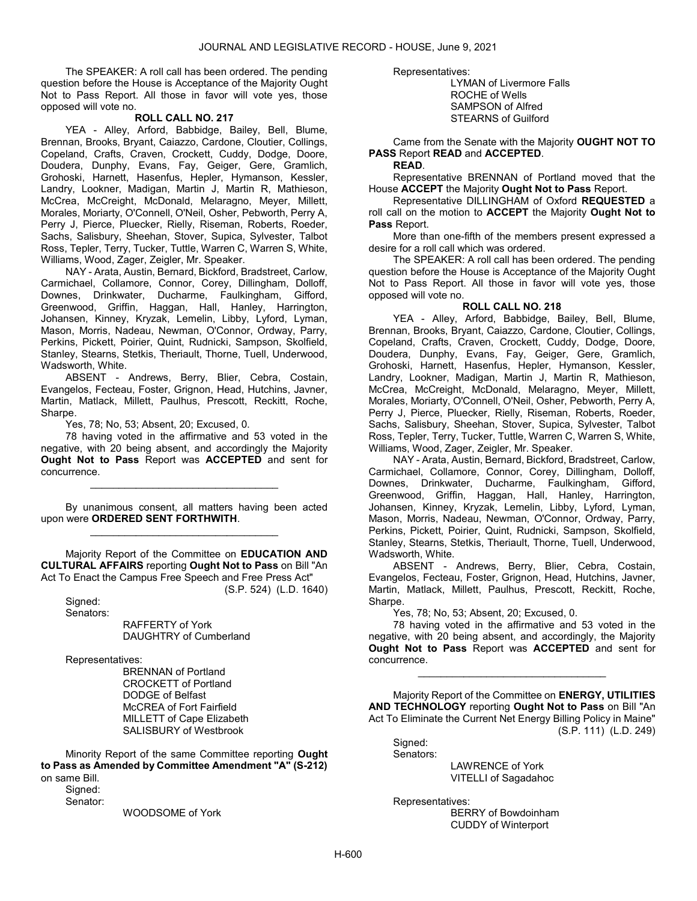The SPEAKER: A roll call has been ordered. The pending question before the House is Acceptance of the Majority Ought Not to Pass Report. All those in favor will vote yes, those opposed will vote no.

# ROLL CALL NO. 217

 YEA - Alley, Arford, Babbidge, Bailey, Bell, Blume, Brennan, Brooks, Bryant, Caiazzo, Cardone, Cloutier, Collings, Copeland, Crafts, Craven, Crockett, Cuddy, Dodge, Doore, Doudera, Dunphy, Evans, Fay, Geiger, Gere, Gramlich, Grohoski, Harnett, Hasenfus, Hepler, Hymanson, Kessler, Landry, Lookner, Madigan, Martin J, Martin R, Mathieson, McCrea, McCreight, McDonald, Melaragno, Meyer, Millett, Morales, Moriarty, O'Connell, O'Neil, Osher, Pebworth, Perry A, Perry J, Pierce, Pluecker, Rielly, Riseman, Roberts, Roeder, Sachs, Salisbury, Sheehan, Stover, Supica, Sylvester, Talbot Ross, Tepler, Terry, Tucker, Tuttle, Warren C, Warren S, White, Williams, Wood, Zager, Zeigler, Mr. Speaker.

 NAY - Arata, Austin, Bernard, Bickford, Bradstreet, Carlow, Carmichael, Collamore, Connor, Corey, Dillingham, Dolloff, Downes, Drinkwater, Ducharme, Faulkingham, Gifford, Greenwood, Griffin, Haggan, Hall, Hanley, Harrington, Johansen, Kinney, Kryzak, Lemelin, Libby, Lyford, Lyman, Mason, Morris, Nadeau, Newman, O'Connor, Ordway, Parry, Perkins, Pickett, Poirier, Quint, Rudnicki, Sampson, Skolfield, Stanley, Stearns, Stetkis, Theriault, Thorne, Tuell, Underwood, Wadsworth, White.

 ABSENT - Andrews, Berry, Blier, Cebra, Costain, Evangelos, Fecteau, Foster, Grignon, Head, Hutchins, Javner, Martin, Matlack, Millett, Paulhus, Prescott, Reckitt, Roche, Sharpe.

Yes, 78; No, 53; Absent, 20; Excused, 0.

 78 having voted in the affirmative and 53 voted in the negative, with 20 being absent, and accordingly the Majority Ought Not to Pass Report was ACCEPTED and sent for concurrence.

\_\_\_\_\_\_\_\_\_\_\_\_\_\_\_\_\_\_\_\_\_\_\_\_\_\_\_\_\_\_\_\_\_

 By unanimous consent, all matters having been acted upon were ORDERED SENT FORTHWITH. \_\_\_\_\_\_\_\_\_\_\_\_\_\_\_\_\_\_\_\_\_\_\_\_\_\_\_\_\_\_\_\_\_

 Majority Report of the Committee on EDUCATION AND CULTURAL AFFAIRS reporting Ought Not to Pass on Bill "An Act To Enact the Campus Free Speech and Free Press Act"

(S.P. 524) (L.D. 1640)

 Signed: Senators:

 RAFFERTY of York DAUGHTRY of Cumberland

Representatives:

 BRENNAN of Portland CROCKETT of Portland DODGE of Belfast McCREA of Fort Fairfield MILLETT of Cape Elizabeth SALISBURY of Westbrook

 Minority Report of the same Committee reporting Ought to Pass as Amended by Committee Amendment "A" (S-212) on same Bill.

Signed:

Senator:

WOODSOME of York

Representatives:

 LYMAN of Livermore Falls ROCHE of Wells SAMPSON of Alfred STEARNS of Guilford

 Came from the Senate with the Majority OUGHT NOT TO PASS Report READ and ACCEPTED.

#### READ.

 Representative BRENNAN of Portland moved that the House ACCEPT the Majority Ought Not to Pass Report.

 Representative DILLINGHAM of Oxford REQUESTED a roll call on the motion to ACCEPT the Majority Ought Not to Pass Report.

 More than one-fifth of the members present expressed a desire for a roll call which was ordered.

 The SPEAKER: A roll call has been ordered. The pending question before the House is Acceptance of the Majority Ought Not to Pass Report. All those in favor will vote yes, those opposed will vote no.

# ROLL CALL NO. 218

 YEA - Alley, Arford, Babbidge, Bailey, Bell, Blume, Brennan, Brooks, Bryant, Caiazzo, Cardone, Cloutier, Collings, Copeland, Crafts, Craven, Crockett, Cuddy, Dodge, Doore, Doudera, Dunphy, Evans, Fay, Geiger, Gere, Gramlich, Grohoski, Harnett, Hasenfus, Hepler, Hymanson, Kessler, Landry, Lookner, Madigan, Martin J, Martin R, Mathieson, McCrea, McCreight, McDonald, Melaragno, Meyer, Millett, Morales, Moriarty, O'Connell, O'Neil, Osher, Pebworth, Perry A, Perry J, Pierce, Pluecker, Rielly, Riseman, Roberts, Roeder, Sachs, Salisbury, Sheehan, Stover, Supica, Sylvester, Talbot Ross, Tepler, Terry, Tucker, Tuttle, Warren C, Warren S, White, Williams, Wood, Zager, Zeigler, Mr. Speaker.

 NAY - Arata, Austin, Bernard, Bickford, Bradstreet, Carlow, Carmichael, Collamore, Connor, Corey, Dillingham, Dolloff, Downes, Drinkwater, Ducharme, Faulkingham, Gifford, Greenwood, Griffin, Haggan, Hall, Hanley, Harrington, Johansen, Kinney, Kryzak, Lemelin, Libby, Lyford, Lyman, Mason, Morris, Nadeau, Newman, O'Connor, Ordway, Parry, Perkins, Pickett, Poirier, Quint, Rudnicki, Sampson, Skolfield, Stanley, Stearns, Stetkis, Theriault, Thorne, Tuell, Underwood, Wadsworth, White.

 ABSENT - Andrews, Berry, Blier, Cebra, Costain, Evangelos, Fecteau, Foster, Grignon, Head, Hutchins, Javner, Martin, Matlack, Millett, Paulhus, Prescott, Reckitt, Roche, Sharpe.

Yes, 78; No, 53; Absent, 20; Excused, 0.

 78 having voted in the affirmative and 53 voted in the negative, with 20 being absent, and accordingly, the Majority Ought Not to Pass Report was ACCEPTED and sent for concurrence.

\_\_\_\_\_\_\_\_\_\_\_\_\_\_\_\_\_\_\_\_\_\_\_\_\_\_\_\_\_\_\_\_\_

 Majority Report of the Committee on ENERGY, UTILITIES AND TECHNOLOGY reporting Ought Not to Pass on Bill "An Act To Eliminate the Current Net Energy Billing Policy in Maine" (S.P. 111) (L.D. 249)

 Signed: Senators:

> LAWRENCE of York VITELLI of Sagadahoc

Representatives:

 BERRY of Bowdoinham CUDDY of Winterport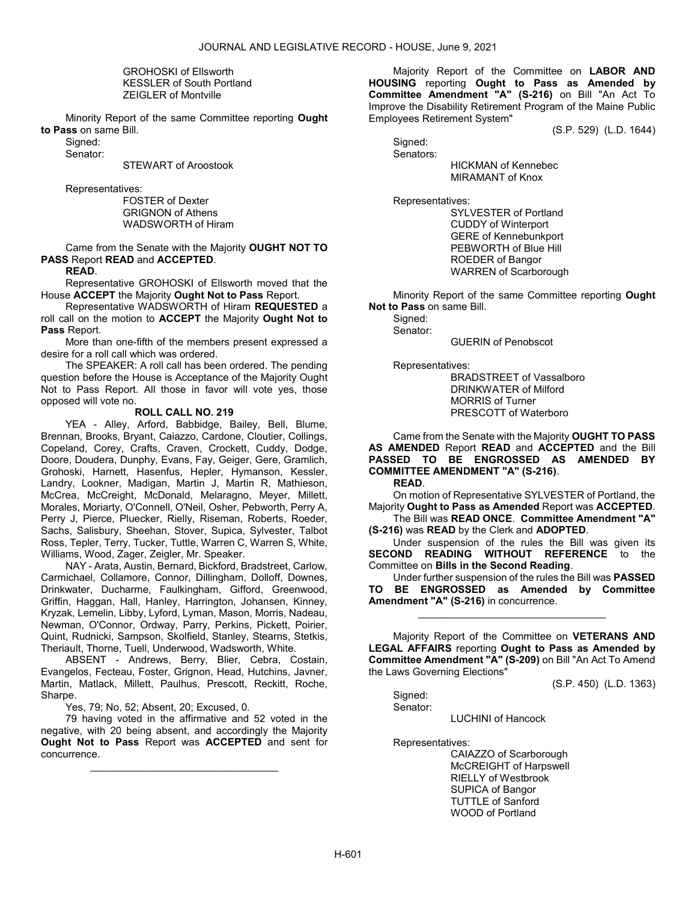GROHOSKI of Ellsworth KESSLER of South Portland ZEIGLER of Montville

 Minority Report of the same Committee reporting Ought to Pass on same Bill.

Signed:

Senator:

STEWART of Aroostook

Representatives:

 FOSTER of Dexter GRIGNON of Athens WADSWORTH of Hiram

 Came from the Senate with the Majority OUGHT NOT TO PASS Report READ and ACCEPTED.

READ.

 Representative GROHOSKI of Ellsworth moved that the House ACCEPT the Majority Ought Not to Pass Report.

 Representative WADSWORTH of Hiram REQUESTED a roll call on the motion to ACCEPT the Majority Ought Not to Pass Report.

 More than one-fifth of the members present expressed a desire for a roll call which was ordered.

 The SPEAKER: A roll call has been ordered. The pending question before the House is Acceptance of the Majority Ought Not to Pass Report. All those in favor will vote yes, those opposed will vote no.

# ROLL CALL NO. 219

 YEA - Alley, Arford, Babbidge, Bailey, Bell, Blume, Brennan, Brooks, Bryant, Caiazzo, Cardone, Cloutier, Collings, Copeland, Corey, Crafts, Craven, Crockett, Cuddy, Dodge, Doore, Doudera, Dunphy, Evans, Fay, Geiger, Gere, Gramlich, Grohoski, Harnett, Hasenfus, Hepler, Hymanson, Kessler, Landry, Lookner, Madigan, Martin J, Martin R, Mathieson, McCrea, McCreight, McDonald, Melaragno, Meyer, Millett, Morales, Moriarty, O'Connell, O'Neil, Osher, Pebworth, Perry A, Perry J, Pierce, Pluecker, Rielly, Riseman, Roberts, Roeder, Sachs, Salisbury, Sheehan, Stover, Supica, Sylvester, Talbot Ross, Tepler, Terry, Tucker, Tuttle, Warren C, Warren S, White, Williams, Wood, Zager, Zeigler, Mr. Speaker.

 NAY - Arata, Austin, Bernard, Bickford, Bradstreet, Carlow, Carmichael, Collamore, Connor, Dillingham, Dolloff, Downes, Drinkwater, Ducharme, Faulkingham, Gifford, Greenwood, Griffin, Haggan, Hall, Hanley, Harrington, Johansen, Kinney, Kryzak, Lemelin, Libby, Lyford, Lyman, Mason, Morris, Nadeau, Newman, O'Connor, Ordway, Parry, Perkins, Pickett, Poirier, Quint, Rudnicki, Sampson, Skolfield, Stanley, Stearns, Stetkis, Theriault, Thorne, Tuell, Underwood, Wadsworth, White.

 ABSENT - Andrews, Berry, Blier, Cebra, Costain, Evangelos, Fecteau, Foster, Grignon, Head, Hutchins, Javner, Martin, Matlack, Millett, Paulhus, Prescott, Reckitt, Roche, Sharpe.

Yes, 79; No, 52; Absent, 20; Excused, 0.

 79 having voted in the affirmative and 52 voted in the negative, with 20 being absent, and accordingly the Majority Ought Not to Pass Report was ACCEPTED and sent for concurrence.

\_\_\_\_\_\_\_\_\_\_\_\_\_\_\_\_\_\_\_\_\_\_\_\_\_\_\_\_\_\_\_\_\_

 Majority Report of the Committee on LABOR AND HOUSING reporting Ought to Pass as Amended by Committee Amendment "A" (S-216) on Bill "An Act To Improve the Disability Retirement Program of the Maine Public Employees Retirement System"

(S.P. 529) (L.D. 1644)

 Signed: Senators:

 HICKMAN of Kennebec MIRAMANT of Knox

Representatives:

 SYLVESTER of Portland CUDDY of Winterport GERE of Kennebunkport PEBWORTH of Blue Hill ROEDER of Bangor WARREN of Scarborough

 Minority Report of the same Committee reporting Ought Not to Pass on same Bill.

Signed: Senator:

GUERIN of Penobscot

Representatives:

 BRADSTREET of Vassalboro DRINKWATER of Milford MORRIS of Turner PRESCOTT of Waterboro

 Came from the Senate with the Majority OUGHT TO PASS AS AMENDED Report READ and ACCEPTED and the Bill PASSED TO BE ENGROSSED AS AMENDED BY COMMITTEE AMENDMENT "A" (S-216).

READ.

 On motion of Representative SYLVESTER of Portland, the Majority Ought to Pass as Amended Report was ACCEPTED.

 The Bill was READ ONCE. Committee Amendment "A" (S-216) was READ by the Clerk and ADOPTED.

 Under suspension of the rules the Bill was given its SECOND READING WITHOUT REFERENCE to the Committee on Bills in the Second Reading.

 Under further suspension of the rules the Bill was PASSED TO BE ENGROSSED as Amended by Committee Amendment "A" (S-216) in concurrence.

\_\_\_\_\_\_\_\_\_\_\_\_\_\_\_\_\_\_\_\_\_\_\_\_\_\_\_\_\_\_\_\_\_

 Majority Report of the Committee on VETERANS AND LEGAL AFFAIRS reporting Ought to Pass as Amended by Committee Amendment "A" (S-209) on Bill "An Act To Amend the Laws Governing Elections"

(S.P. 450) (L.D. 1363)

 Signed: Senator:

LUCHINI of Hancock

Representatives:

 CAIAZZO of Scarborough McCREIGHT of Harpswell RIELLY of Westbrook SUPICA of Bangor TUTTLE of Sanford WOOD of Portland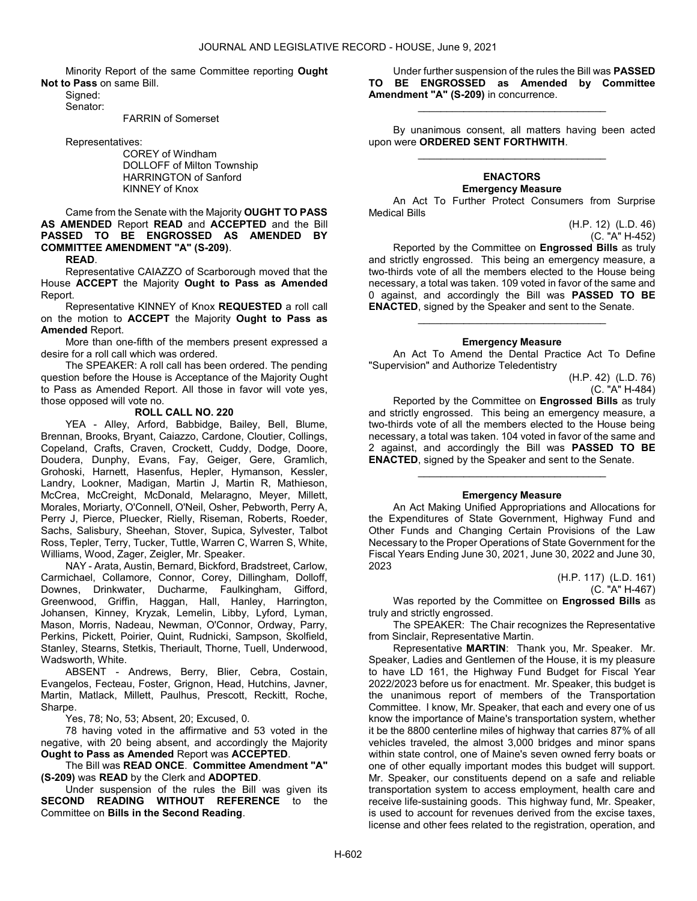Minority Report of the same Committee reporting Ought Not to Pass on same Bill.

 Signed: Senator:

FARRIN of Somerset

Representatives:

 COREY of Windham DOLLOFF of Milton Township HARRINGTON of Sanford KINNEY of Knox

# Came from the Senate with the Majority OUGHT TO PASS AS AMENDED Report READ and ACCEPTED and the Bill PASSED TO BE ENGROSSED AS AMENDED BY COMMITTEE AMENDMENT "A" (S-209).

READ.

 Representative CAIAZZO of Scarborough moved that the House ACCEPT the Majority Ought to Pass as Amended Report.

Representative KINNEY of Knox REQUESTED a roll call on the motion to ACCEPT the Majority Ought to Pass as Amended Report.

 More than one-fifth of the members present expressed a desire for a roll call which was ordered.

 The SPEAKER: A roll call has been ordered. The pending question before the House is Acceptance of the Majority Ought to Pass as Amended Report. All those in favor will vote yes, those opposed will vote no.

### ROLL CALL NO. 220

 YEA - Alley, Arford, Babbidge, Bailey, Bell, Blume, Brennan, Brooks, Bryant, Caiazzo, Cardone, Cloutier, Collings, Copeland, Crafts, Craven, Crockett, Cuddy, Dodge, Doore, Doudera, Dunphy, Evans, Fay, Geiger, Gere, Gramlich, Grohoski, Harnett, Hasenfus, Hepler, Hymanson, Kessler, Landry, Lookner, Madigan, Martin J, Martin R, Mathieson, McCrea, McCreight, McDonald, Melaragno, Meyer, Millett, Morales, Moriarty, O'Connell, O'Neil, Osher, Pebworth, Perry A, Perry J, Pierce, Pluecker, Rielly, Riseman, Roberts, Roeder, Sachs, Salisbury, Sheehan, Stover, Supica, Sylvester, Talbot Ross, Tepler, Terry, Tucker, Tuttle, Warren C, Warren S, White, Williams, Wood, Zager, Zeigler, Mr. Speaker.

 NAY - Arata, Austin, Bernard, Bickford, Bradstreet, Carlow, Carmichael, Collamore, Connor, Corey, Dillingham, Dolloff, Downes, Drinkwater, Ducharme, Faulkingham, Gifford, Greenwood, Griffin, Haggan, Hall, Hanley, Harrington, Johansen, Kinney, Kryzak, Lemelin, Libby, Lyford, Lyman, Mason, Morris, Nadeau, Newman, O'Connor, Ordway, Parry, Perkins, Pickett, Poirier, Quint, Rudnicki, Sampson, Skolfield, Stanley, Stearns, Stetkis, Theriault, Thorne, Tuell, Underwood, Wadsworth, White.

 ABSENT - Andrews, Berry, Blier, Cebra, Costain, Evangelos, Fecteau, Foster, Grignon, Head, Hutchins, Javner, Martin, Matlack, Millett, Paulhus, Prescott, Reckitt, Roche, Sharpe.

Yes, 78; No, 53; Absent, 20; Excused, 0.

 78 having voted in the affirmative and 53 voted in the negative, with 20 being absent, and accordingly the Majority Ought to Pass as Amended Report was ACCEPTED.

 The Bill was READ ONCE. Committee Amendment "A" (S-209) was READ by the Clerk and ADOPTED.

 Under suspension of the rules the Bill was given its SECOND READING WITHOUT REFERENCE to the Committee on Bills in the Second Reading.

 Under further suspension of the rules the Bill was PASSED TO BE ENGROSSED as Amended by Committee Amendment "A" (S-209) in concurrence.

\_\_\_\_\_\_\_\_\_\_\_\_\_\_\_\_\_\_\_\_\_\_\_\_\_\_\_\_\_\_\_\_\_

 By unanimous consent, all matters having been acted upon were ORDERED SENT FORTHWITH. \_\_\_\_\_\_\_\_\_\_\_\_\_\_\_\_\_\_\_\_\_\_\_\_\_\_\_\_\_\_\_\_\_

#### ENACTORS Emergency Measure

 An Act To Further Protect Consumers from Surprise Medical Bills

> (H.P. 12) (L.D. 46) (C. "A" H-452)

 Reported by the Committee on Engrossed Bills as truly and strictly engrossed. This being an emergency measure, a two-thirds vote of all the members elected to the House being necessary, a total was taken. 109 voted in favor of the same and 0 against, and accordingly the Bill was PASSED TO BE ENACTED, signed by the Speaker and sent to the Senate.

### Emergency Measure

\_\_\_\_\_\_\_\_\_\_\_\_\_\_\_\_\_\_\_\_\_\_\_\_\_\_\_\_\_\_\_\_\_

 An Act To Amend the Dental Practice Act To Define "Supervision" and Authorize Teledentistry

> (H.P. 42) (L.D. 76) (C. "A" H-484)

 Reported by the Committee on Engrossed Bills as truly and strictly engrossed. This being an emergency measure, a two-thirds vote of all the members elected to the House being necessary, a total was taken. 104 voted in favor of the same and 2 against, and accordingly the Bill was **PASSED TO BE** ENACTED, signed by the Speaker and sent to the Senate.

### Emergency Measure

\_\_\_\_\_\_\_\_\_\_\_\_\_\_\_\_\_\_\_\_\_\_\_\_\_\_\_\_\_\_\_\_\_

 An Act Making Unified Appropriations and Allocations for the Expenditures of State Government, Highway Fund and Other Funds and Changing Certain Provisions of the Law Necessary to the Proper Operations of State Government for the Fiscal Years Ending June 30, 2021, June 30, 2022 and June 30, 2023

> (H.P. 117) (L.D. 161) (C. "A" H-467)

Was reported by the Committee on Engrossed Bills as truly and strictly engrossed.

 The SPEAKER: The Chair recognizes the Representative from Sinclair, Representative Martin.

 Representative MARTIN: Thank you, Mr. Speaker. Mr. Speaker, Ladies and Gentlemen of the House, it is my pleasure to have LD 161, the Highway Fund Budget for Fiscal Year 2022/2023 before us for enactment. Mr. Speaker, this budget is the unanimous report of members of the Transportation Committee. I know, Mr. Speaker, that each and every one of us know the importance of Maine's transportation system, whether it be the 8800 centerline miles of highway that carries 87% of all vehicles traveled, the almost 3,000 bridges and minor spans within state control, one of Maine's seven owned ferry boats or one of other equally important modes this budget will support. Mr. Speaker, our constituents depend on a safe and reliable transportation system to access employment, health care and receive life-sustaining goods. This highway fund, Mr. Speaker, is used to account for revenues derived from the excise taxes, license and other fees related to the registration, operation, and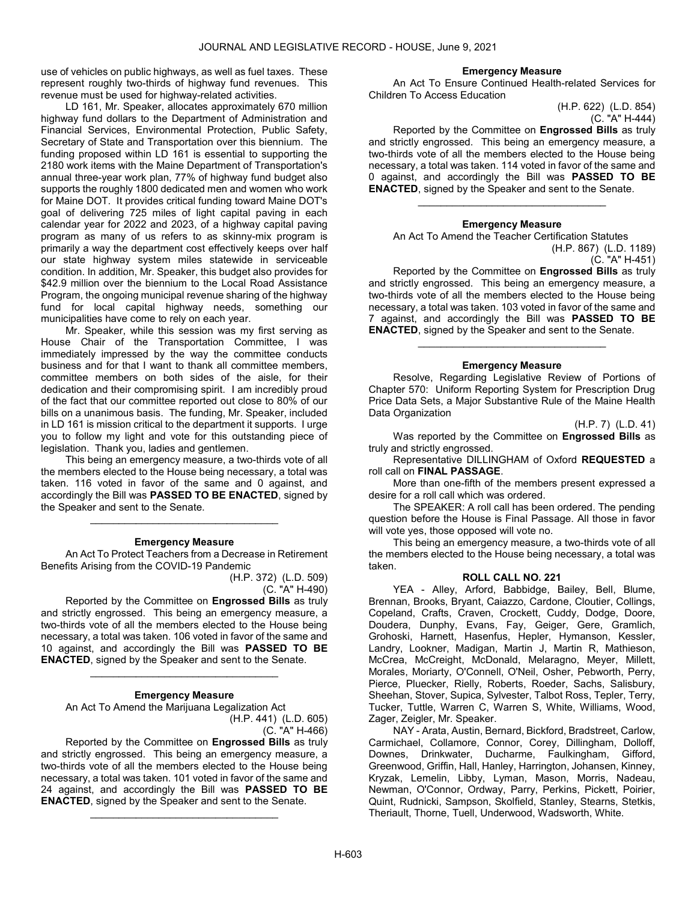use of vehicles on public highways, as well as fuel taxes. These represent roughly two-thirds of highway fund revenues. This revenue must be used for highway-related activities.

 LD 161, Mr. Speaker, allocates approximately 670 million highway fund dollars to the Department of Administration and Financial Services, Environmental Protection, Public Safety, Secretary of State and Transportation over this biennium. The funding proposed within LD 161 is essential to supporting the 2180 work items with the Maine Department of Transportation's annual three-year work plan, 77% of highway fund budget also supports the roughly 1800 dedicated men and women who work for Maine DOT. It provides critical funding toward Maine DOT's goal of delivering 725 miles of light capital paving in each calendar year for 2022 and 2023, of a highway capital paving program as many of us refers to as skinny-mix program is primarily a way the department cost effectively keeps over half our state highway system miles statewide in serviceable condition. In addition, Mr. Speaker, this budget also provides for \$42.9 million over the biennium to the Local Road Assistance Program, the ongoing municipal revenue sharing of the highway fund for local capital highway needs, something our municipalities have come to rely on each year.

 Mr. Speaker, while this session was my first serving as House Chair of the Transportation Committee, I was immediately impressed by the way the committee conducts business and for that I want to thank all committee members, committee members on both sides of the aisle, for their dedication and their compromising spirit. I am incredibly proud of the fact that our committee reported out close to 80% of our bills on a unanimous basis. The funding, Mr. Speaker, included in LD 161 is mission critical to the department it supports. I urge you to follow my light and vote for this outstanding piece of legislation. Thank you, ladies and gentlemen.

 This being an emergency measure, a two-thirds vote of all the members elected to the House being necessary, a total was taken. 116 voted in favor of the same and 0 against, and accordingly the Bill was PASSED TO BE ENACTED, signed by the Speaker and sent to the Senate.

#### Emergency Measure

\_\_\_\_\_\_\_\_\_\_\_\_\_\_\_\_\_\_\_\_\_\_\_\_\_\_\_\_\_\_\_\_\_

 An Act To Protect Teachers from a Decrease in Retirement Benefits Arising from the COVID-19 Pandemic

(H.P. 372) (L.D. 509) (C. "A" H-490)

 Reported by the Committee on Engrossed Bills as truly and strictly engrossed. This being an emergency measure, a two-thirds vote of all the members elected to the House being necessary, a total was taken. 106 voted in favor of the same and 10 against, and accordingly the Bill was **PASSED TO BE** ENACTED, signed by the Speaker and sent to the Senate.

### Emergency Measure

\_\_\_\_\_\_\_\_\_\_\_\_\_\_\_\_\_\_\_\_\_\_\_\_\_\_\_\_\_\_\_\_\_

 An Act To Amend the Marijuana Legalization Act (H.P. 441) (L.D. 605)

(C. "A" H-466)

 Reported by the Committee on Engrossed Bills as truly and strictly engrossed. This being an emergency measure, a two-thirds vote of all the members elected to the House being necessary, a total was taken. 101 voted in favor of the same and 24 against, and accordingly the Bill was PASSED TO BE ENACTED, signed by the Speaker and sent to the Senate.

\_\_\_\_\_\_\_\_\_\_\_\_\_\_\_\_\_\_\_\_\_\_\_\_\_\_\_\_\_\_\_\_\_

### Emergency Measure

 An Act To Ensure Continued Health-related Services for Children To Access Education

(H.P. 622) (L.D. 854) (C. "A" H-444)

 Reported by the Committee on Engrossed Bills as truly and strictly engrossed. This being an emergency measure, a two-thirds vote of all the members elected to the House being necessary, a total was taken. 114 voted in favor of the same and 0 against, and accordingly the Bill was PASSED TO BE ENACTED, signed by the Speaker and sent to the Senate.

### Emergency Measure

\_\_\_\_\_\_\_\_\_\_\_\_\_\_\_\_\_\_\_\_\_\_\_\_\_\_\_\_\_\_\_\_\_

 An Act To Amend the Teacher Certification Statutes (H.P. 867) (L.D. 1189)

(C. "A" H-451)

Reported by the Committee on Engrossed Bills as truly and strictly engrossed. This being an emergency measure, a two-thirds vote of all the members elected to the House being necessary, a total was taken. 103 voted in favor of the same and 7 against, and accordingly the Bill was PASSED TO BE ENACTED, signed by the Speaker and sent to the Senate.

#### Emergency Measure

\_\_\_\_\_\_\_\_\_\_\_\_\_\_\_\_\_\_\_\_\_\_\_\_\_\_\_\_\_\_\_\_\_

 Resolve, Regarding Legislative Review of Portions of Chapter 570: Uniform Reporting System for Prescription Drug Price Data Sets, a Major Substantive Rule of the Maine Health Data Organization

(H.P. 7) (L.D. 41)

Was reported by the Committee on Engrossed Bills as truly and strictly engrossed.

 Representative DILLINGHAM of Oxford REQUESTED a roll call on FINAL PASSAGE.

 More than one-fifth of the members present expressed a desire for a roll call which was ordered.

 The SPEAKER: A roll call has been ordered. The pending question before the House is Final Passage. All those in favor will vote yes, those opposed will vote no.

 This being an emergency measure, a two-thirds vote of all the members elected to the House being necessary, a total was taken.

### ROLL CALL NO. 221

 YEA - Alley, Arford, Babbidge, Bailey, Bell, Blume, Brennan, Brooks, Bryant, Caiazzo, Cardone, Cloutier, Collings, Copeland, Crafts, Craven, Crockett, Cuddy, Dodge, Doore, Doudera, Dunphy, Evans, Fay, Geiger, Gere, Gramlich, Grohoski, Harnett, Hasenfus, Hepler, Hymanson, Kessler, Landry, Lookner, Madigan, Martin J, Martin R, Mathieson, McCrea, McCreight, McDonald, Melaragno, Meyer, Millett, Morales, Moriarty, O'Connell, O'Neil, Osher, Pebworth, Perry, Pierce, Pluecker, Rielly, Roberts, Roeder, Sachs, Salisbury, Sheehan, Stover, Supica, Sylvester, Talbot Ross, Tepler, Terry, Tucker, Tuttle, Warren C, Warren S, White, Williams, Wood, Zager, Zeigler, Mr. Speaker.

 NAY - Arata, Austin, Bernard, Bickford, Bradstreet, Carlow, Carmichael, Collamore, Connor, Corey, Dillingham, Dolloff, Downes, Drinkwater, Ducharme, Faulkingham, Gifford, Greenwood, Griffin, Hall, Hanley, Harrington, Johansen, Kinney, Kryzak, Lemelin, Libby, Lyman, Mason, Morris, Nadeau, Newman, O'Connor, Ordway, Parry, Perkins, Pickett, Poirier, Quint, Rudnicki, Sampson, Skolfield, Stanley, Stearns, Stetkis, Theriault, Thorne, Tuell, Underwood, Wadsworth, White.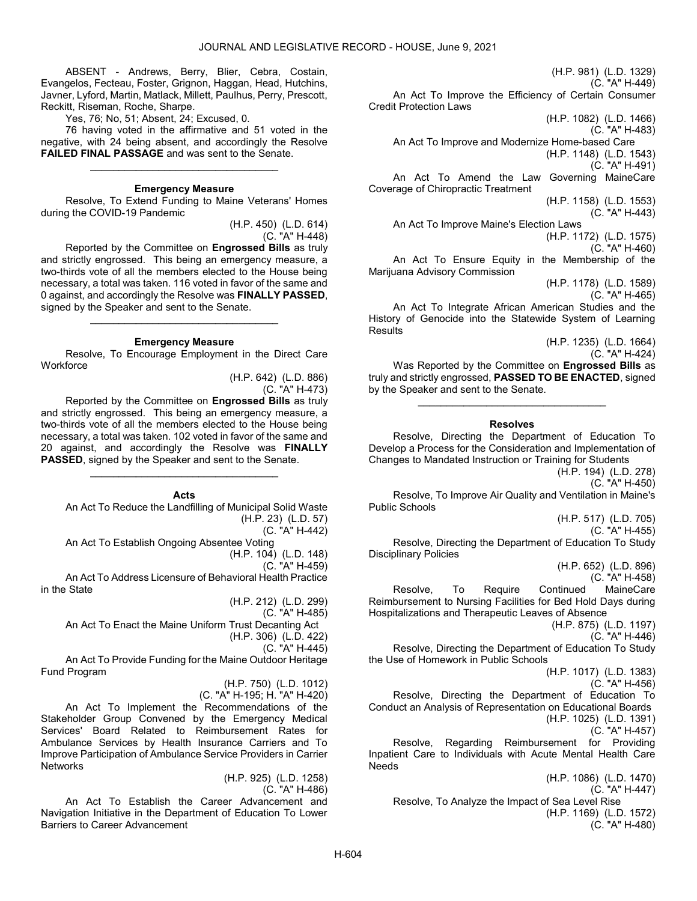ABSENT - Andrews, Berry, Blier, Cebra, Costain, Evangelos, Fecteau, Foster, Grignon, Haggan, Head, Hutchins, Javner, Lyford, Martin, Matlack, Millett, Paulhus, Perry, Prescott, Reckitt, Riseman, Roche, Sharpe.

Yes, 76; No, 51; Absent, 24; Excused, 0.

 76 having voted in the affirmative and 51 voted in the negative, with 24 being absent, and accordingly the Resolve FAILED FINAL PASSAGE and was sent to the Senate.

### Emergency Measure

\_\_\_\_\_\_\_\_\_\_\_\_\_\_\_\_\_\_\_\_\_\_\_\_\_\_\_\_\_\_\_\_\_

 Resolve, To Extend Funding to Maine Veterans' Homes during the COVID-19 Pandemic

> (H.P. 450) (L.D. 614) (C. "A" H-448)

 Reported by the Committee on Engrossed Bills as truly and strictly engrossed. This being an emergency measure, a two-thirds vote of all the members elected to the House being necessary, a total was taken. 116 voted in favor of the same and 0 against, and accordingly the Resolve was FINALLY PASSED, signed by the Speaker and sent to the Senate.

#### Emergency Measure

\_\_\_\_\_\_\_\_\_\_\_\_\_\_\_\_\_\_\_\_\_\_\_\_\_\_\_\_\_\_\_\_\_

 Resolve, To Encourage Employment in the Direct Care **Workforce** 

(H.P. 642) (L.D. 886)

(C. "A" H-473)

 Reported by the Committee on Engrossed Bills as truly and strictly engrossed. This being an emergency measure, a two-thirds vote of all the members elected to the House being necessary, a total was taken. 102 voted in favor of the same and 20 against, and accordingly the Resolve was FINALLY PASSED, signed by the Speaker and sent to the Senate.

# Acts

\_\_\_\_\_\_\_\_\_\_\_\_\_\_\_\_\_\_\_\_\_\_\_\_\_\_\_\_\_\_\_\_\_

 An Act To Reduce the Landfilling of Municipal Solid Waste (H.P. 23) (L.D. 57) (C. "A" H-442)

An Act To Establish Ongoing Absentee Voting

(H.P. 104) (L.D. 148)

(C. "A" H-459)

 An Act To Address Licensure of Behavioral Health Practice in the State

(H.P. 212) (L.D. 299)

(C. "A" H-485)

 An Act To Enact the Maine Uniform Trust Decanting Act (H.P. 306) (L.D. 422)

(C. "A" H-445)

 An Act To Provide Funding for the Maine Outdoor Heritage Fund Program

> (H.P. 750) (L.D. 1012) (C. "A" H-195; H. "A" H-420)

An Act To Implement the Recommendations of the Stakeholder Group Convened by the Emergency Medical Services' Board Related to Reimbursement Rates for Ambulance Services by Health Insurance Carriers and To Improve Participation of Ambulance Service Providers in Carrier **Networks** 

(H.P. 925) (L.D. 1258) (C. "A" H-486)

 An Act To Establish the Career Advancement and Navigation Initiative in the Department of Education To Lower Barriers to Career Advancement

(H.P. 981) (L.D. 1329) (C. "A" H-449) An Act To Improve the Efficiency of Certain Consumer Credit Protection Laws (H.P. 1082) (L.D. 1466) (C. "A" H-483) An Act To Improve and Modernize Home-based Care (H.P. 1148) (L.D. 1543) (C. "A" H-491) An Act To Amend the Law Governing MaineCare Coverage of Chiropractic Treatment (H.P. 1158) (L.D. 1553) (C. "A" H-443) An Act To Improve Maine's Election Laws (H.P. 1172) (L.D. 1575) (C. "A" H-460) An Act To Ensure Equity in the Membership of the Marijuana Advisory Commission

(H.P. 1178) (L.D. 1589)

(C. "A" H-465)

 An Act To Integrate African American Studies and the History of Genocide into the Statewide System of Learning **Results** 

> (H.P. 1235) (L.D. 1664) (C. "A" H-424)

 Was Reported by the Committee on Engrossed Bills as truly and strictly engrossed, PASSED TO BE ENACTED, signed by the Speaker and sent to the Senate.

# Resolves

\_\_\_\_\_\_\_\_\_\_\_\_\_\_\_\_\_\_\_\_\_\_\_\_\_\_\_\_\_\_\_\_\_

 Resolve, Directing the Department of Education To Develop a Process for the Consideration and Implementation of Changes to Mandated Instruction or Training for Students

(H.P. 194) (L.D. 278)

(C. "A" H-450)

 Resolve, To Improve Air Quality and Ventilation in Maine's Public Schools

(H.P. 517) (L.D. 705) (C. "A" H-455)

 Resolve, Directing the Department of Education To Study Disciplinary Policies

(H.P. 652) (L.D. 896)

(C. "A" H-458) Resolve, To Require Continued MaineCare Reimbursement to Nursing Facilities for Bed Hold Days during Hospitalizations and Therapeutic Leaves of Absence

(H.P. 875) (L.D. 1197)

(C. "A" H-446)

 Resolve, Directing the Department of Education To Study the Use of Homework in Public Schools

(H.P. 1017) (L.D. 1383)

(C. "A" H-456)

 Resolve, Directing the Department of Education To Conduct an Analysis of Representation on Educational Boards (H.P. 1025) (L.D. 1391)

(C. "A" H-457)

 Resolve, Regarding Reimbursement for Providing Inpatient Care to Individuals with Acute Mental Health Care Needs

(H.P. 1086) (L.D. 1470) (C. "A" H-447) Resolve, To Analyze the Impact of Sea Level Rise (H.P. 1169) (L.D. 1572) (C. "A" H-480)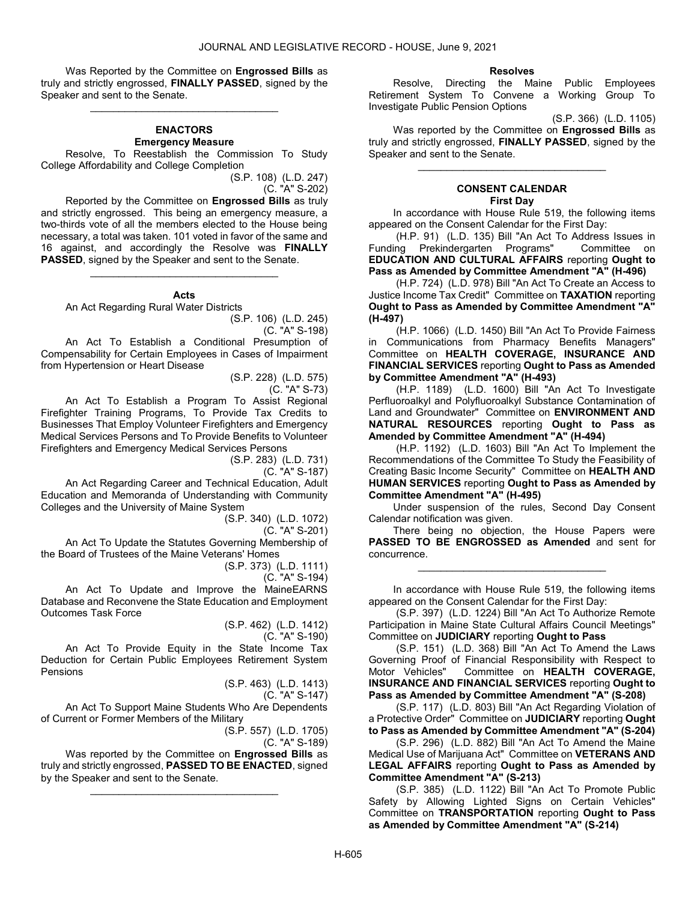Was Reported by the Committee on **Engrossed Bills** as truly and strictly engrossed, FINALLY PASSED, signed by the Speaker and sent to the Senate.

\_\_\_\_\_\_\_\_\_\_\_\_\_\_\_\_\_\_\_\_\_\_\_\_\_\_\_\_\_\_\_\_\_

# ENACTORS Emergency Measure

 Resolve, To Reestablish the Commission To Study College Affordability and College Completion

(S.P. 108) (L.D. 247) (C. "A" S-202)

 Reported by the Committee on Engrossed Bills as truly and strictly engrossed. This being an emergency measure, a two-thirds vote of all the members elected to the House being necessary, a total was taken. 101 voted in favor of the same and 16 against, and accordingly the Resolve was FINALLY PASSED, signed by the Speaker and sent to the Senate.

#### Acts

\_\_\_\_\_\_\_\_\_\_\_\_\_\_\_\_\_\_\_\_\_\_\_\_\_\_\_\_\_\_\_\_\_

An Act Regarding Rural Water Districts

(S.P. 106) (L.D. 245) (C. "A" S-198)

 An Act To Establish a Conditional Presumption of Compensability for Certain Employees in Cases of Impairment from Hypertension or Heart Disease

> (S.P. 228) (L.D. 575) (C. "A" S-73)

 An Act To Establish a Program To Assist Regional Firefighter Training Programs, To Provide Tax Credits to Businesses That Employ Volunteer Firefighters and Emergency Medical Services Persons and To Provide Benefits to Volunteer Firefighters and Emergency Medical Services Persons

(S.P. 283) (L.D. 731)

(C. "A" S-187)

 An Act Regarding Career and Technical Education, Adult Education and Memoranda of Understanding with Community Colleges and the University of Maine System

(S.P. 340) (L.D. 1072)

(C. "A" S-201)

 An Act To Update the Statutes Governing Membership of the Board of Trustees of the Maine Veterans' Homes

(S.P. 373) (L.D. 1111)

(C. "A" S-194)

 An Act To Update and Improve the MaineEARNS Database and Reconvene the State Education and Employment Outcomes Task Force

(S.P. 462) (L.D. 1412)

(C. "A" S-190)

 An Act To Provide Equity in the State Income Tax Deduction for Certain Public Employees Retirement System Pensions

> (S.P. 463) (L.D. 1413) (C. "A" S-147)

 An Act To Support Maine Students Who Are Dependents of Current or Former Members of the Military

(S.P. 557) (L.D. 1705)

(C. "A" S-189)

Was reported by the Committee on Engrossed Bills as truly and strictly engrossed, PASSED TO BE ENACTED, signed by the Speaker and sent to the Senate.

\_\_\_\_\_\_\_\_\_\_\_\_\_\_\_\_\_\_\_\_\_\_\_\_\_\_\_\_\_\_\_\_\_

#### Resolves

 Resolve, Directing the Maine Public Employees Retirement System To Convene a Working Group To Investigate Public Pension Options

(S.P. 366) (L.D. 1105)

 Was reported by the Committee on Engrossed Bills as truly and strictly engrossed, FINALLY PASSED, signed by the Speaker and sent to the Senate.

\_\_\_\_\_\_\_\_\_\_\_\_\_\_\_\_\_\_\_\_\_\_\_\_\_\_\_\_\_\_\_\_\_

#### CONSENT CALENDAR First Day

 In accordance with House Rule 519, the following items appeared on the Consent Calendar for the First Day:

 (H.P. 91) (L.D. 135) Bill "An Act To Address Issues in Funding Prekindergarten Programs" Committee on EDUCATION AND CULTURAL AFFAIRS reporting Ought to Pass as Amended by Committee Amendment "A" (H-496)

 (H.P. 724) (L.D. 978) Bill "An Act To Create an Access to Justice Income Tax Credit" Committee on TAXATION reporting Ought to Pass as Amended by Committee Amendment "A" (H-497)

 (H.P. 1066) (L.D. 1450) Bill "An Act To Provide Fairness in Communications from Pharmacy Benefits Managers" Committee on HEALTH COVERAGE, INSURANCE AND FINANCIAL SERVICES reporting Ought to Pass as Amended by Committee Amendment "A" (H-493)

 (H.P. 1189) (L.D. 1600) Bill "An Act To Investigate Perfluoroalkyl and Polyfluoroalkyl Substance Contamination of Land and Groundwater" Committee on ENVIRONMENT AND NATURAL RESOURCES reporting Ought to Pass as Amended by Committee Amendment "A" (H-494)

 (H.P. 1192) (L.D. 1603) Bill "An Act To Implement the Recommendations of the Committee To Study the Feasibility of Creating Basic Income Security" Committee on HEALTH AND HUMAN SERVICES reporting Ought to Pass as Amended by Committee Amendment "A" (H-495)

 Under suspension of the rules, Second Day Consent Calendar notification was given.

 There being no objection, the House Papers were PASSED TO BE ENGROSSED as Amended and sent for concurrence.

\_\_\_\_\_\_\_\_\_\_\_\_\_\_\_\_\_\_\_\_\_\_\_\_\_\_\_\_\_\_\_\_\_

 In accordance with House Rule 519, the following items appeared on the Consent Calendar for the First Day:

 (S.P. 397) (L.D. 1224) Bill "An Act To Authorize Remote Participation in Maine State Cultural Affairs Council Meetings" Committee on JUDICIARY reporting Ought to Pass

 (S.P. 151) (L.D. 368) Bill "An Act To Amend the Laws Governing Proof of Financial Responsibility with Respect to Motor Vehicles" Committee on HEALTH COVERAGE, INSURANCE AND FINANCIAL SERVICES reporting Ought to Pass as Amended by Committee Amendment "A" (S-208)

 (S.P. 117) (L.D. 803) Bill "An Act Regarding Violation of a Protective Order" Committee on JUDICIARY reporting Ought to Pass as Amended by Committee Amendment "A" (S-204)

 (S.P. 296) (L.D. 882) Bill "An Act To Amend the Maine Medical Use of Marijuana Act" Committee on VETERANS AND LEGAL AFFAIRS reporting Ought to Pass as Amended by Committee Amendment "A" (S-213)

 (S.P. 385) (L.D. 1122) Bill "An Act To Promote Public Safety by Allowing Lighted Signs on Certain Vehicles" Committee on TRANSPORTATION reporting Ought to Pass as Amended by Committee Amendment "A" (S-214)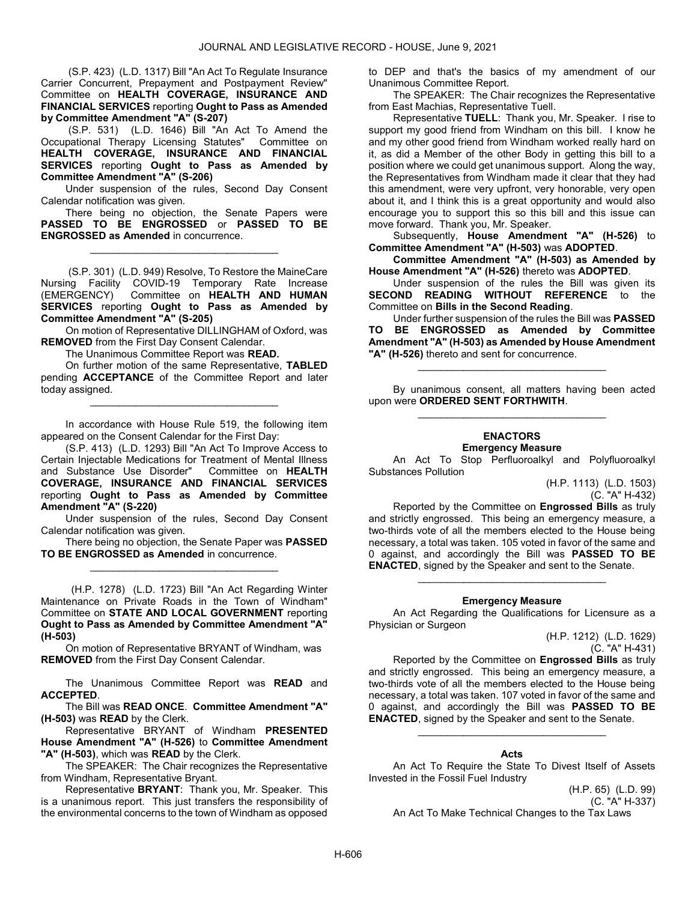(S.P. 423) (L.D. 1317) Bill "An Act To Regulate Insurance Carrier Concurrent, Prepayment and Postpayment Review" Committee on HEALTH COVERAGE, INSURANCE AND FINANCIAL SERVICES reporting Ought to Pass as Amended by Committee Amendment "A" (S-207)

 (S.P. 531) (L.D. 1646) Bill "An Act To Amend the Occupational Therapy Licensing Statutes" Committee on HEALTH COVERAGE, INSURANCE AND FINANCIAL SERVICES reporting Ought to Pass as Amended by Committee Amendment "A" (S-206)

 Under suspension of the rules, Second Day Consent Calendar notification was given.

 There being no objection, the Senate Papers were PASSED TO BE ENGROSSED or PASSED TO BE ENGROSSED as Amended in concurrence.

\_\_\_\_\_\_\_\_\_\_\_\_\_\_\_\_\_\_\_\_\_\_\_\_\_\_\_\_\_\_\_\_\_

 (S.P. 301) (L.D. 949) Resolve, To Restore the MaineCare Nursing Facility COVID-19 Temporary Rate Increase (EMERGENCY) Committee on HEALTH AND HUMAN SERVICES reporting Ought to Pass as Amended by Committee Amendment "A" (S-205)

On motion of Representative DILLINGHAM of Oxford, was REMOVED from the First Day Consent Calendar.

The Unanimous Committee Report was READ.

 On further motion of the same Representative, TABLED pending **ACCEPTANCE** of the Committee Report and later today assigned.

\_\_\_\_\_\_\_\_\_\_\_\_\_\_\_\_\_\_\_\_\_\_\_\_\_\_\_\_\_\_\_\_\_

 In accordance with House Rule 519, the following item appeared on the Consent Calendar for the First Day:

 (S.P. 413) (L.D. 1293) Bill "An Act To Improve Access to Certain Injectable Medications for Treatment of Mental Illness and Substance Use Disorder" Committee on HEALTH COVERAGE, INSURANCE AND FINANCIAL SERVICES reporting Ought to Pass as Amended by Committee Amendment "A" (S-220)

 Under suspension of the rules, Second Day Consent Calendar notification was given.

 There being no objection, the Senate Paper was PASSED TO BE ENGROSSED as Amended in concurrence. \_\_\_\_\_\_\_\_\_\_\_\_\_\_\_\_\_\_\_\_\_\_\_\_\_\_\_\_\_\_\_\_\_

 (H.P. 1278) (L.D. 1723) Bill "An Act Regarding Winter Maintenance on Private Roads in the Town of Windham" Committee on STATE AND LOCAL GOVERNMENT reporting Ought to Pass as Amended by Committee Amendment "A" (H-503)

On motion of Representative BRYANT of Windham, was REMOVED from the First Day Consent Calendar.

The Unanimous Committee Report was READ and ACCEPTED.

 The Bill was READ ONCE. Committee Amendment "A" (H-503) was READ by the Clerk.

 Representative BRYANT of Windham PRESENTED House Amendment "A" (H-526) to Committee Amendment "A" (H-503), which was READ by the Clerk.

 The SPEAKER: The Chair recognizes the Representative from Windham, Representative Bryant.

 Representative BRYANT: Thank you, Mr. Speaker. This is a unanimous report. This just transfers the responsibility of the environmental concerns to the town of Windham as opposed

to DEP and that's the basics of my amendment of our Unanimous Committee Report.

 The SPEAKER: The Chair recognizes the Representative from East Machias, Representative Tuell.

 Representative TUELL: Thank you, Mr. Speaker. I rise to support my good friend from Windham on this bill. I know he and my other good friend from Windham worked really hard on it, as did a Member of the other Body in getting this bill to a position where we could get unanimous support. Along the way, the Representatives from Windham made it clear that they had this amendment, were very upfront, very honorable, very open about it, and I think this is a great opportunity and would also encourage you to support this so this bill and this issue can move forward. Thank you, Mr. Speaker.

Subsequently, House Amendment "A" (H-526) to Committee Amendment "A" (H-503) was ADOPTED.

 Committee Amendment "A" (H-503) as Amended by House Amendment "A" (H-526) thereto was ADOPTED.

 Under suspension of the rules the Bill was given its SECOND READING WITHOUT REFERENCE to the Committee on Bills in the Second Reading.

 Under further suspension of the rules the Bill was PASSED TO BE ENGROSSED as Amended by Committee Amendment "A" (H-503) as Amended by House Amendment "A" (H-526) thereto and sent for concurrence.

 By unanimous consent, all matters having been acted upon were ORDERED SENT FORTHWITH. \_\_\_\_\_\_\_\_\_\_\_\_\_\_\_\_\_\_\_\_\_\_\_\_\_\_\_\_\_\_\_\_\_

\_\_\_\_\_\_\_\_\_\_\_\_\_\_\_\_\_\_\_\_\_\_\_\_\_\_\_\_\_\_\_\_\_

#### ENACTORS Emergency Measure

 An Act To Stop Perfluoroalkyl and Polyfluoroalkyl Substances Pollution

> (H.P. 1113) (L.D. 1503) (C. "A" H-432)

 Reported by the Committee on Engrossed Bills as truly and strictly engrossed. This being an emergency measure, a two-thirds vote of all the members elected to the House being necessary, a total was taken. 105 voted in favor of the same and 0 against, and accordingly the Bill was PASSED TO BE ENACTED, signed by the Speaker and sent to the Senate.

### Emergency Measure

\_\_\_\_\_\_\_\_\_\_\_\_\_\_\_\_\_\_\_\_\_\_\_\_\_\_\_\_\_\_\_\_\_

 An Act Regarding the Qualifications for Licensure as a Physician or Surgeon

> (H.P. 1212) (L.D. 1629) (C. "A" H-431)

 Reported by the Committee on Engrossed Bills as truly and strictly engrossed. This being an emergency measure, a two-thirds vote of all the members elected to the House being necessary, a total was taken. 107 voted in favor of the same and 0 against, and accordingly the Bill was PASSED TO BE ENACTED, signed by the Speaker and sent to the Senate.

### Acts

\_\_\_\_\_\_\_\_\_\_\_\_\_\_\_\_\_\_\_\_\_\_\_\_\_\_\_\_\_\_\_\_\_

 An Act To Require the State To Divest Itself of Assets Invested in the Fossil Fuel Industry

> (H.P. 65) (L.D. 99) (C. "A" H-337)

An Act To Make Technical Changes to the Tax Laws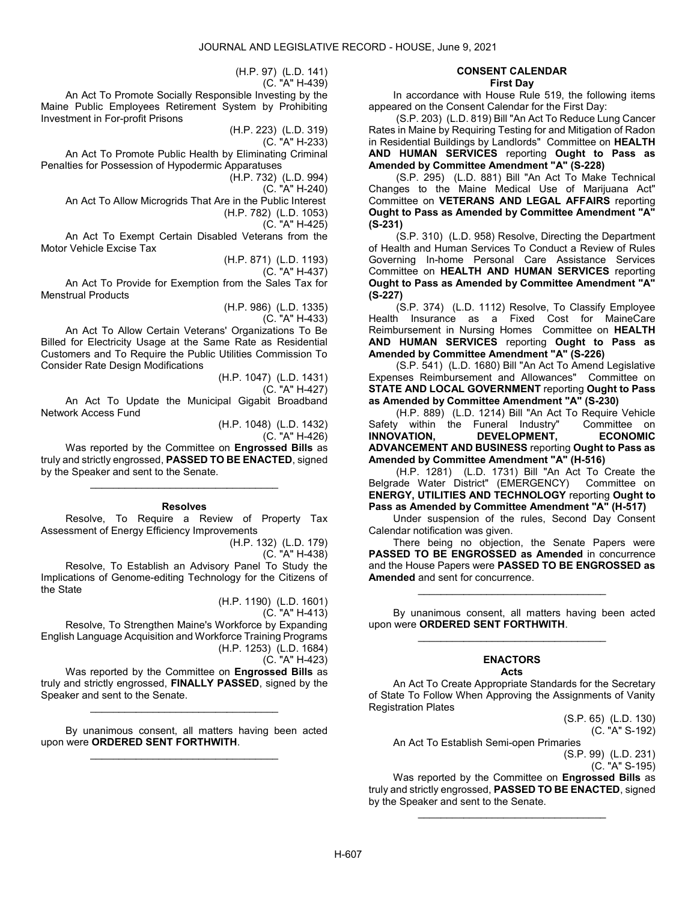(H.P. 97) (L.D. 141)

(C. "A" H-439)

 An Act To Promote Socially Responsible Investing by the Maine Public Employees Retirement System by Prohibiting Investment in For-profit Prisons

> (H.P. 223) (L.D. 319) (C. "A" H-233)

 An Act To Promote Public Health by Eliminating Criminal Penalties for Possession of Hypodermic Apparatuses

(H.P. 732) (L.D. 994)

(C. "A" H-240)

An Act To Allow Microgrids That Are in the Public Interest

(H.P. 782) (L.D. 1053)

(C. "A" H-425)

 An Act To Exempt Certain Disabled Veterans from the Motor Vehicle Excise Tax

(H.P. 871) (L.D. 1193)

(C. "A" H-437)

 An Act To Provide for Exemption from the Sales Tax for Menstrual Products

> (H.P. 986) (L.D. 1335) (C. "A" H-433)

 An Act To Allow Certain Veterans' Organizations To Be Billed for Electricity Usage at the Same Rate as Residential Customers and To Require the Public Utilities Commission To Consider Rate Design Modifications

> (H.P. 1047) (L.D. 1431) (C. "A" H-427)

 An Act To Update the Municipal Gigabit Broadband Network Access Fund

(H.P. 1048) (L.D. 1432)

(C. "A" H-426)

Was reported by the Committee on Engrossed Bills as truly and strictly engrossed, PASSED TO BE ENACTED, signed by the Speaker and sent to the Senate.

\_\_\_\_\_\_\_\_\_\_\_\_\_\_\_\_\_\_\_\_\_\_\_\_\_\_\_\_\_\_\_\_\_

Resolves

 Resolve, To Require a Review of Property Tax Assessment of Energy Efficiency Improvements

(H.P. 132) (L.D. 179) (C. "A" H-438)

Resolve, To Establish an Advisory Panel To Study the

Implications of Genome-editing Technology for the Citizens of the State

(H.P. 1190) (L.D. 1601)

(C. "A" H-413)

 Resolve, To Strengthen Maine's Workforce by Expanding English Language Acquisition and Workforce Training Programs (H.P. 1253) (L.D. 1684)

(C. "A" H-423)

Was reported by the Committee on Engrossed Bills as truly and strictly engrossed, FINALLY PASSED, signed by the Speaker and sent to the Senate.

\_\_\_\_\_\_\_\_\_\_\_\_\_\_\_\_\_\_\_\_\_\_\_\_\_\_\_\_\_\_\_\_\_

 By unanimous consent, all matters having been acted upon were ORDERED SENT FORTHWITH. \_\_\_\_\_\_\_\_\_\_\_\_\_\_\_\_\_\_\_\_\_\_\_\_\_\_\_\_\_\_\_\_\_

#### CONSENT CALENDAR First Day

 In accordance with House Rule 519, the following items appeared on the Consent Calendar for the First Day:

 (S.P. 203) (L.D. 819) Bill "An Act To Reduce Lung Cancer Rates in Maine by Requiring Testing for and Mitigation of Radon in Residential Buildings by Landlords" Committee on HEALTH AND HUMAN SERVICES reporting Ought to Pass as Amended by Committee Amendment "A" (S-228)

 (S.P. 295) (L.D. 881) Bill "An Act To Make Technical Changes to the Maine Medical Use of Marijuana Act" Committee on VETERANS AND LEGAL AFFAIRS reporting Ought to Pass as Amended by Committee Amendment "A" (S-231)

 (S.P. 310) (L.D. 958) Resolve, Directing the Department of Health and Human Services To Conduct a Review of Rules Governing In-home Personal Care Assistance Services Committee on HEALTH AND HUMAN SERVICES reporting Ought to Pass as Amended by Committee Amendment "A" (S-227)

 (S.P. 374) (L.D. 1112) Resolve, To Classify Employee Health Insurance as a Fixed Cost for MaineCare Reimbursement in Nursing Homes Committee on HEALTH AND HUMAN SERVICES reporting Ought to Pass as Amended by Committee Amendment "A" (S-226)

 (S.P. 541) (L.D. 1680) Bill "An Act To Amend Legislative Expenses Reimbursement and Allowances" Committee on STATE AND LOCAL GOVERNMENT reporting Ought to Pass as Amended by Committee Amendment "A" (S-230)

 (H.P. 889) (L.D. 1214) Bill "An Act To Require Vehicle Safety within the Funeral Industry"<br> **INNOVATION, DEVELOPMENT,** DEVELOPMENT, ECONOMIC ADVANCEMENT AND BUSINESS reporting Ought to Pass as Amended by Committee Amendment "A" (H-516)

 (H.P. 1281) (L.D. 1731) Bill "An Act To Create the Belgrade Water District" (EMERGENCY) Committee on ENERGY, UTILITIES AND TECHNOLOGY reporting Ought to Pass as Amended by Committee Amendment "A" (H-517)

 Under suspension of the rules, Second Day Consent Calendar notification was given.

 There being no objection, the Senate Papers were PASSED TO BE ENGROSSED as Amended in concurrence and the House Papers were PASSED TO BE ENGROSSED as Amended and sent for concurrence.

\_\_\_\_\_\_\_\_\_\_\_\_\_\_\_\_\_\_\_\_\_\_\_\_\_\_\_\_\_\_\_\_\_

 By unanimous consent, all matters having been acted upon were ORDERED SENT FORTHWITH. \_\_\_\_\_\_\_\_\_\_\_\_\_\_\_\_\_\_\_\_\_\_\_\_\_\_\_\_\_\_\_\_\_

#### ENACTORS Acts

 An Act To Create Appropriate Standards for the Secretary of State To Follow When Approving the Assignments of Vanity Registration Plates

(S.P. 65) (L.D. 130) (C. "A" S-192)

An Act To Establish Semi-open Primaries

(S.P. 99) (L.D. 231) (C. "A" S-195)

Was reported by the Committee on **Engrossed Bills** as truly and strictly engrossed, PASSED TO BE ENACTED, signed by the Speaker and sent to the Senate.

\_\_\_\_\_\_\_\_\_\_\_\_\_\_\_\_\_\_\_\_\_\_\_\_\_\_\_\_\_\_\_\_\_